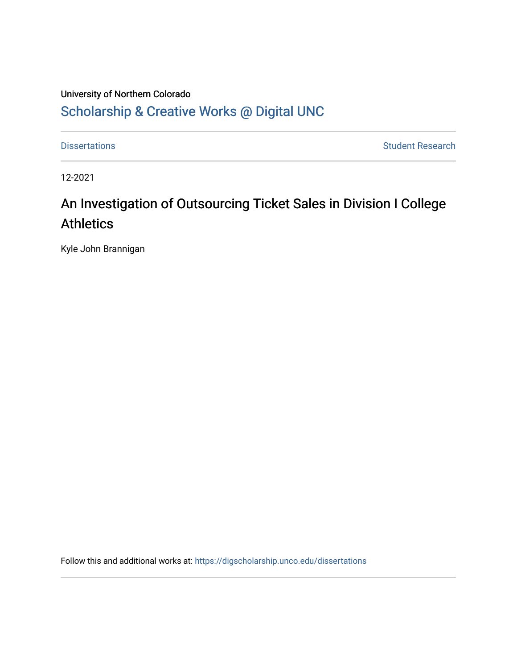## University of Northern Colorado [Scholarship & Creative Works @ Digital UNC](https://digscholarship.unco.edu/)

[Dissertations](https://digscholarship.unco.edu/dissertations) **Student Research** 

12-2021

# An Investigation of Outsourcing Ticket Sales in Division I College **Athletics**

Kyle John Brannigan

Follow this and additional works at: [https://digscholarship.unco.edu/dissertations](https://digscholarship.unco.edu/dissertations?utm_source=digscholarship.unco.edu%2Fdissertations%2F788&utm_medium=PDF&utm_campaign=PDFCoverPages)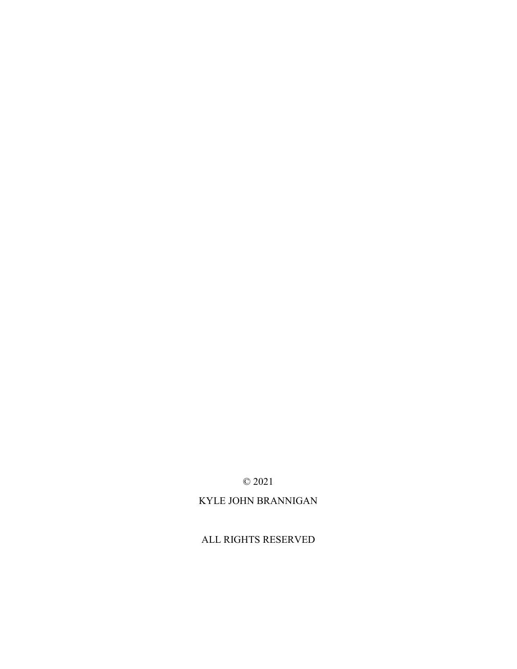## ALL RIGHTS RESERVED

## KYLE JOHN BRANNIGAN

© 2021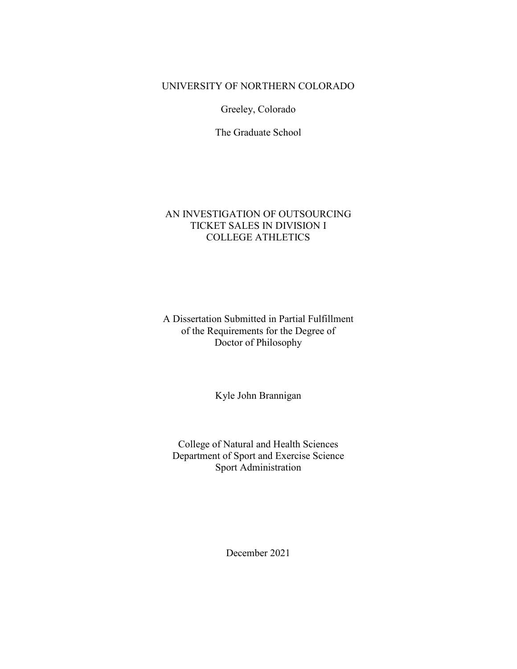## UNIVERSITY OF NORTHERN COLORADO

Greeley, Colorado

The Graduate School

## AN INVESTIGATION OF OUTSOURCING TICKET SALES IN DIVISION I COLLEGE ATHLETICS

## A Dissertation Submitted in Partial Fulfillment of the Requirements for the Degree of Doctor of Philosophy

Kyle John Brannigan

College of Natural and Health Sciences Department of Sport and Exercise Science Sport Administration

December 2021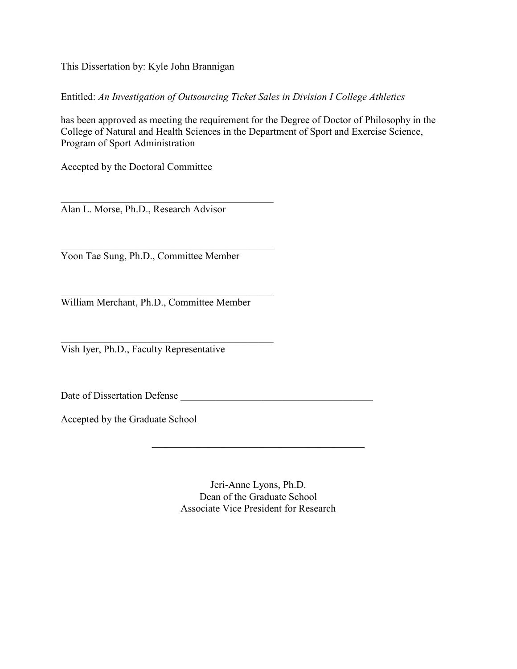This Dissertation by: Kyle John Brannigan

Entitled: *An Investigation of Outsourcing Ticket Sales in Division I College Athletics* 

has been approved as meeting the requirement for the Degree of Doctor of Philosophy in the College of Natural and Health Sciences in the Department of Sport and Exercise Science, Program of Sport Administration

Accepted by the Doctoral Committee

Alan L. Morse, Ph.D., Research Advisor

\_\_\_\_\_\_\_\_\_\_\_\_\_\_\_\_\_\_\_\_\_\_\_\_\_\_\_\_\_\_\_\_\_\_\_\_\_\_\_\_\_\_

\_\_\_\_\_\_\_\_\_\_\_\_\_\_\_\_\_\_\_\_\_\_\_\_\_\_\_\_\_\_\_\_\_\_\_\_\_\_\_\_\_\_ Yoon Tae Sung, Ph.D., Committee Member

\_\_\_\_\_\_\_\_\_\_\_\_\_\_\_\_\_\_\_\_\_\_\_\_\_\_\_\_\_\_\_\_\_\_\_\_\_\_\_\_\_\_ William Merchant, Ph.D., Committee Member

\_\_\_\_\_\_\_\_\_\_\_\_\_\_\_\_\_\_\_\_\_\_\_\_\_\_\_\_\_\_\_\_\_\_\_\_\_\_\_\_\_\_ Vish Iyer, Ph.D., Faculty Representative

Date of Dissertation Defense

Accepted by the Graduate School

Jeri-Anne Lyons, Ph.D. Dean of the Graduate School Associate Vice President for Research

\_\_\_\_\_\_\_\_\_\_\_\_\_\_\_\_\_\_\_\_\_\_\_\_\_\_\_\_\_\_\_\_\_\_\_\_\_\_\_\_\_\_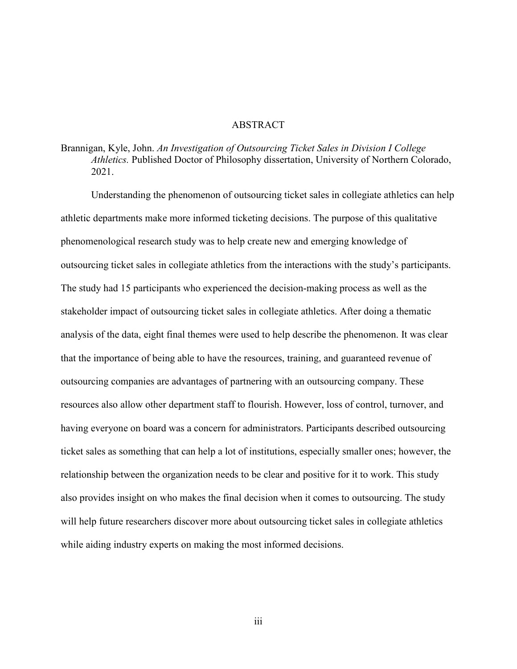#### ABSTRACT

## Brannigan, Kyle, John. *An Investigation of Outsourcing Ticket Sales in Division I College Athletics.* Published Doctor of Philosophy dissertation, University of Northern Colorado, 2021.

Understanding the phenomenon of outsourcing ticket sales in collegiate athletics can help athletic departments make more informed ticketing decisions. The purpose of this qualitative phenomenological research study was to help create new and emerging knowledge of outsourcing ticket sales in collegiate athletics from the interactions with the study's participants. The study had 15 participants who experienced the decision-making process as well as the stakeholder impact of outsourcing ticket sales in collegiate athletics. After doing a thematic analysis of the data, eight final themes were used to help describe the phenomenon. It was clear that the importance of being able to have the resources, training, and guaranteed revenue of outsourcing companies are advantages of partnering with an outsourcing company. These resources also allow other department staff to flourish. However, loss of control, turnover, and having everyone on board was a concern for administrators. Participants described outsourcing ticket sales as something that can help a lot of institutions, especially smaller ones; however, the relationship between the organization needs to be clear and positive for it to work. This study also provides insight on who makes the final decision when it comes to outsourcing. The study will help future researchers discover more about outsourcing ticket sales in collegiate athletics while aiding industry experts on making the most informed decisions.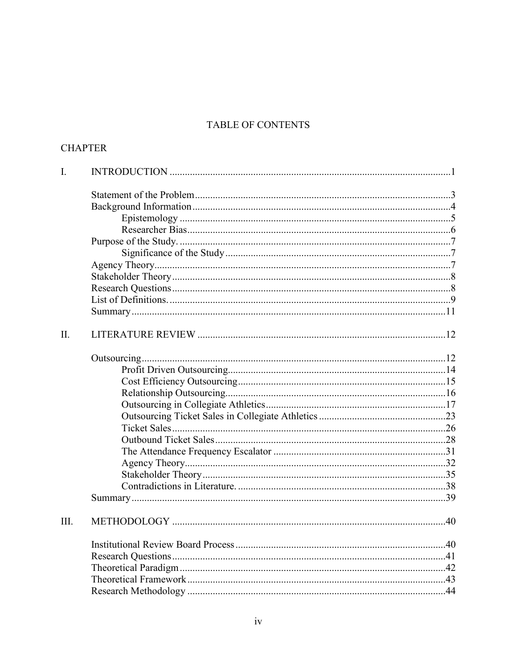## TABLE OF CONTENTS

## **CHAPTER**

| $\mathbf{I}$ . |  |
|----------------|--|
|                |  |
|                |  |
|                |  |
|                |  |
|                |  |
|                |  |
|                |  |
|                |  |
|                |  |
|                |  |
|                |  |
| II.            |  |
|                |  |
|                |  |
|                |  |
|                |  |
|                |  |
|                |  |
|                |  |
|                |  |
|                |  |
|                |  |
|                |  |
|                |  |
|                |  |
| III.           |  |
|                |  |
|                |  |
|                |  |
|                |  |
|                |  |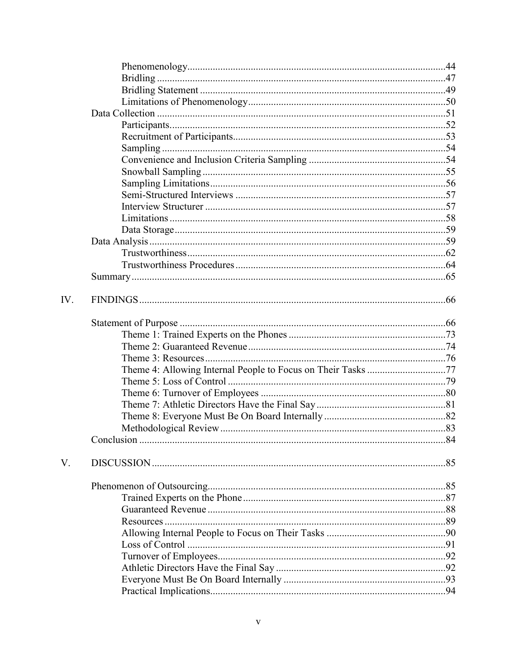| IV. |                                                              |  |
|-----|--------------------------------------------------------------|--|
|     |                                                              |  |
|     |                                                              |  |
|     |                                                              |  |
|     |                                                              |  |
|     | Theme 4: Allowing Internal People to Focus on Their Tasks 77 |  |
|     |                                                              |  |
|     |                                                              |  |
|     |                                                              |  |
|     |                                                              |  |
|     |                                                              |  |
|     |                                                              |  |
| V.  |                                                              |  |
|     |                                                              |  |
|     |                                                              |  |
|     |                                                              |  |
|     |                                                              |  |
|     |                                                              |  |
|     |                                                              |  |
|     |                                                              |  |
|     |                                                              |  |
|     |                                                              |  |
|     |                                                              |  |
|     |                                                              |  |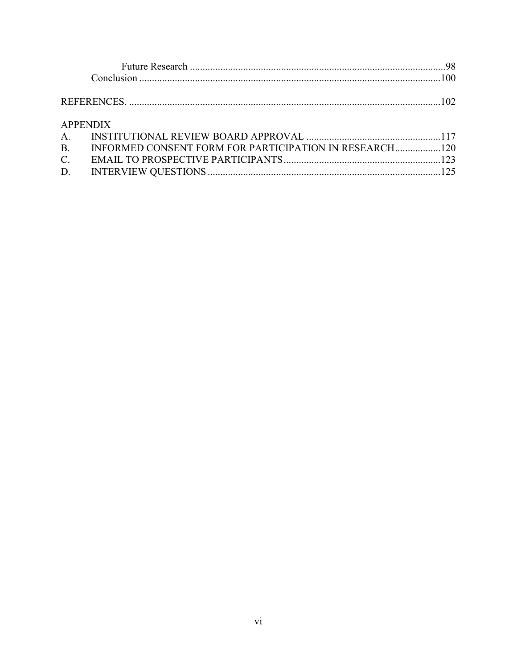| <b>APPENDIX</b> |                                                           |  |
|-----------------|-----------------------------------------------------------|--|
|                 |                                                           |  |
|                 | B. INFORMED CONSENT FORM FOR PARTICIPATION IN RESEARCH120 |  |
| $C_{\cdot}$     |                                                           |  |
|                 |                                                           |  |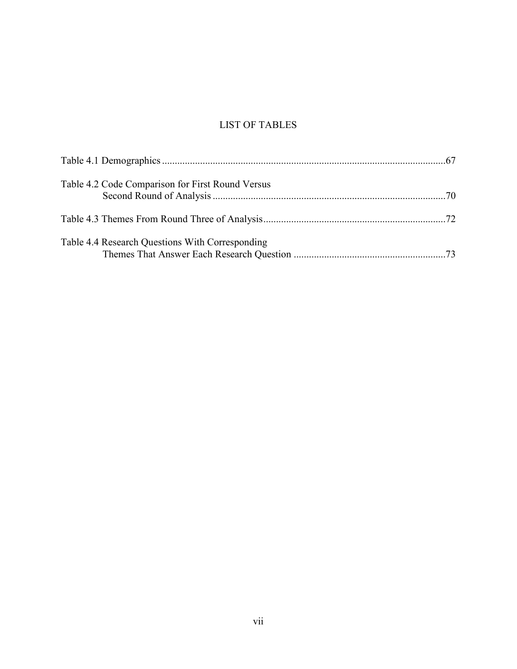## LIST OF TABLES

| Table 4.2 Code Comparison for First Round Versus |  |
|--------------------------------------------------|--|
|                                                  |  |
| Table 4.4 Research Questions With Corresponding  |  |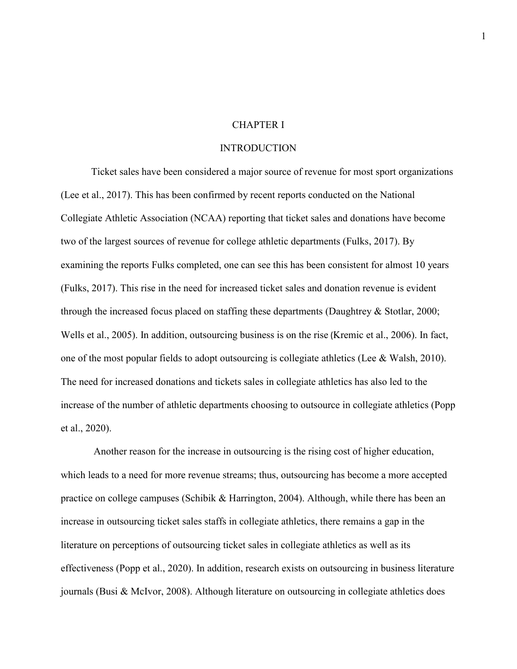#### CHAPTER I

#### **INTRODUCTION**

Ticket sales have been considered a major source of revenue for most sport organizations (Lee et al., 2017). This has been confirmed by recent reports conducted on the National Collegiate Athletic Association (NCAA) reporting that ticket sales and donations have become two of the largest sources of revenue for college athletic departments (Fulks, 2017). By examining the reports Fulks completed, one can see this has been consistent for almost 10 years (Fulks, 2017). This rise in the need for increased ticket sales and donation revenue is evident through the increased focus placed on staffing these departments (Daughtrey & Stotlar, 2000; Wells et al., 2005). In addition, outsourcing business is on the rise (Kremic et al., 2006). In fact, one of the most popular fields to adopt outsourcing is collegiate athletics (Lee & Walsh, 2010). The need for increased donations and tickets sales in collegiate athletics has also led to the increase of the number of athletic departments choosing to outsource in collegiate athletics (Popp et al., 2020).

 Another reason for the increase in outsourcing is the rising cost of higher education, which leads to a need for more revenue streams; thus, outsourcing has become a more accepted practice on college campuses (Schibik & Harrington, 2004). Although, while there has been an increase in outsourcing ticket sales staffs in collegiate athletics, there remains a gap in the literature on perceptions of outsourcing ticket sales in collegiate athletics as well as its effectiveness (Popp et al., 2020). In addition, research exists on outsourcing in business literature journals (Busi & McIvor, 2008). Although literature on outsourcing in collegiate athletics does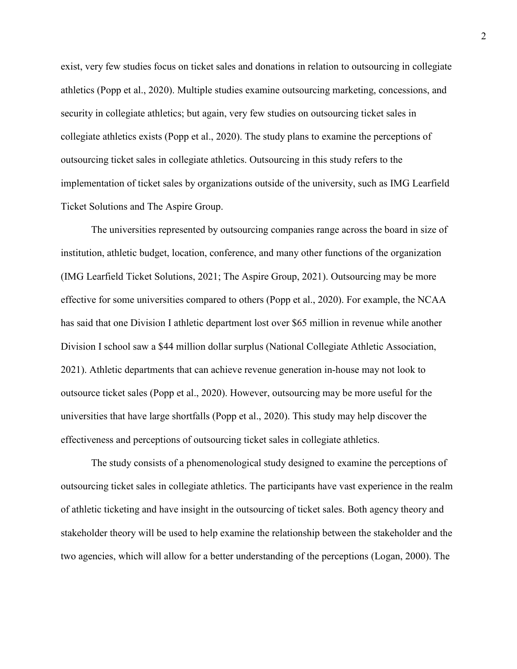exist, very few studies focus on ticket sales and donations in relation to outsourcing in collegiate athletics (Popp et al., 2020). Multiple studies examine outsourcing marketing, concessions, and security in collegiate athletics; but again, very few studies on outsourcing ticket sales in collegiate athletics exists (Popp et al., 2020). The study plans to examine the perceptions of outsourcing ticket sales in collegiate athletics. Outsourcing in this study refers to the implementation of ticket sales by organizations outside of the university, such as IMG Learfield Ticket Solutions and The Aspire Group.

The universities represented by outsourcing companies range across the board in size of institution, athletic budget, location, conference, and many other functions of the organization (IMG Learfield Ticket Solutions, 2021; The Aspire Group, 2021). Outsourcing may be more effective for some universities compared to others (Popp et al., 2020). For example, the NCAA has said that one Division I athletic department lost over \$65 million in revenue while another Division I school saw a \$44 million dollar surplus (National Collegiate Athletic Association, 2021). Athletic departments that can achieve revenue generation in-house may not look to outsource ticket sales (Popp et al., 2020). However, outsourcing may be more useful for the universities that have large shortfalls (Popp et al., 2020). This study may help discover the effectiveness and perceptions of outsourcing ticket sales in collegiate athletics.

The study consists of a phenomenological study designed to examine the perceptions of outsourcing ticket sales in collegiate athletics. The participants have vast experience in the realm of athletic ticketing and have insight in the outsourcing of ticket sales. Both agency theory and stakeholder theory will be used to help examine the relationship between the stakeholder and the two agencies, which will allow for a better understanding of the perceptions (Logan, 2000). The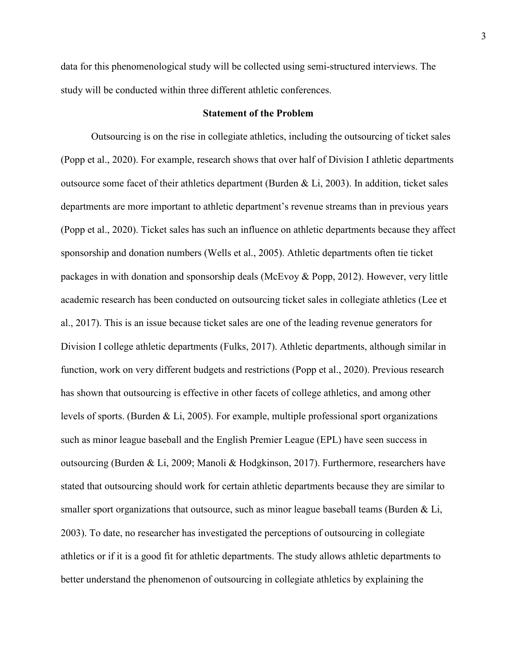data for this phenomenological study will be collected using semi-structured interviews. The study will be conducted within three different athletic conferences.

#### **Statement of the Problem**

Outsourcing is on the rise in collegiate athletics, including the outsourcing of ticket sales (Popp et al., 2020). For example, research shows that over half of Division I athletic departments outsource some facet of their athletics department (Burden & Li, 2003). In addition, ticket sales departments are more important to athletic department's revenue streams than in previous years (Popp et al., 2020). Ticket sales has such an influence on athletic departments because they affect sponsorship and donation numbers (Wells et al., 2005). Athletic departments often tie ticket packages in with donation and sponsorship deals (McEvoy & Popp, 2012). However, very little academic research has been conducted on outsourcing ticket sales in collegiate athletics (Lee et al., 2017). This is an issue because ticket sales are one of the leading revenue generators for Division I college athletic departments (Fulks, 2017). Athletic departments, although similar in function, work on very different budgets and restrictions (Popp et al., 2020). Previous research has shown that outsourcing is effective in other facets of college athletics, and among other levels of sports. (Burden & Li, 2005). For example, multiple professional sport organizations such as minor league baseball and the English Premier League (EPL) have seen success in outsourcing (Burden & Li, 2009; Manoli & Hodgkinson, 2017). Furthermore, researchers have stated that outsourcing should work for certain athletic departments because they are similar to smaller sport organizations that outsource, such as minor league baseball teams (Burden  $\&$  Li, 2003). To date, no researcher has investigated the perceptions of outsourcing in collegiate athletics or if it is a good fit for athletic departments. The study allows athletic departments to better understand the phenomenon of outsourcing in collegiate athletics by explaining the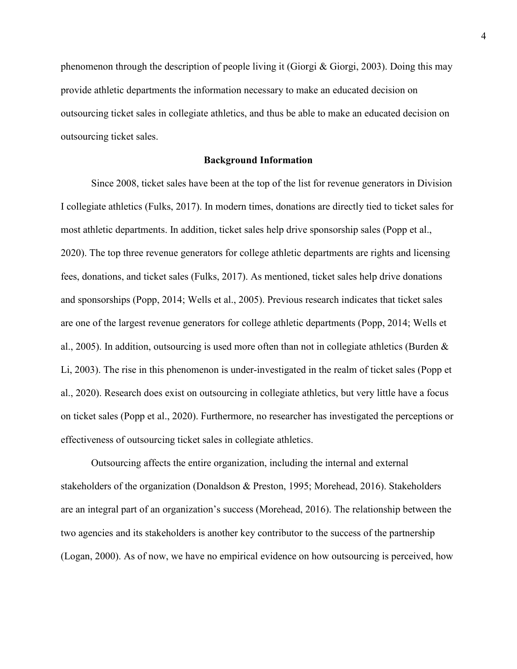phenomenon through the description of people living it (Giorgi & Giorgi, 2003). Doing this may provide athletic departments the information necessary to make an educated decision on outsourcing ticket sales in collegiate athletics, and thus be able to make an educated decision on outsourcing ticket sales.

#### **Background Information**

Since 2008, ticket sales have been at the top of the list for revenue generators in Division I collegiate athletics (Fulks, 2017). In modern times, donations are directly tied to ticket sales for most athletic departments. In addition, ticket sales help drive sponsorship sales (Popp et al., 2020). The top three revenue generators for college athletic departments are rights and licensing fees, donations, and ticket sales (Fulks, 2017). As mentioned, ticket sales help drive donations and sponsorships (Popp, 2014; Wells et al., 2005). Previous research indicates that ticket sales are one of the largest revenue generators for college athletic departments (Popp, 2014; Wells et al., 2005). In addition, outsourcing is used more often than not in collegiate athletics (Burden & Li, 2003). The rise in this phenomenon is under-investigated in the realm of ticket sales (Popp et al., 2020). Research does exist on outsourcing in collegiate athletics, but very little have a focus on ticket sales (Popp et al., 2020). Furthermore, no researcher has investigated the perceptions or effectiveness of outsourcing ticket sales in collegiate athletics.

Outsourcing affects the entire organization, including the internal and external stakeholders of the organization (Donaldson & Preston, 1995; Morehead, 2016). Stakeholders are an integral part of an organization's success (Morehead, 2016). The relationship between the two agencies and its stakeholders is another key contributor to the success of the partnership (Logan, 2000). As of now, we have no empirical evidence on how outsourcing is perceived, how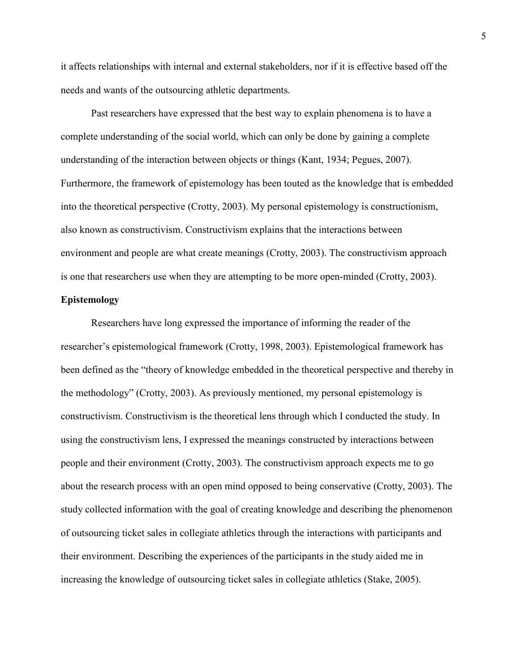it affects relationships with internal and external stakeholders, nor if it is effective based off the needs and wants of the outsourcing athletic departments.

Past researchers have expressed that the best way to explain phenomena is to have a complete understanding of the social world, which can only be done by gaining a complete understanding of the interaction between objects or things (Kant, 1934; Pegues, 2007). Furthermore, the framework of epistemology has been touted as the knowledge that is embedded into the theoretical perspective (Crotty, 2003). My personal epistemology is constructionism, also known as constructivism. Constructivism explains that the interactions between environment and people are what create meanings (Crotty, 2003). The constructivism approach is one that researchers use when they are attempting to be more open-minded (Crotty, 2003).

#### **Epistemology**

Researchers have long expressed the importance of informing the reader of the researcher's epistemological framework (Crotty, 1998, 2003). Epistemological framework has been defined as the "theory of knowledge embedded in the theoretical perspective and thereby in the methodology" (Crotty, 2003). As previously mentioned, my personal epistemology is constructivism. Constructivism is the theoretical lens through which I conducted the study. In using the constructivism lens, I expressed the meanings constructed by interactions between people and their environment (Crotty, 2003). The constructivism approach expects me to go about the research process with an open mind opposed to being conservative (Crotty, 2003). The study collected information with the goal of creating knowledge and describing the phenomenon of outsourcing ticket sales in collegiate athletics through the interactions with participants and their environment. Describing the experiences of the participants in the study aided me in increasing the knowledge of outsourcing ticket sales in collegiate athletics (Stake, 2005).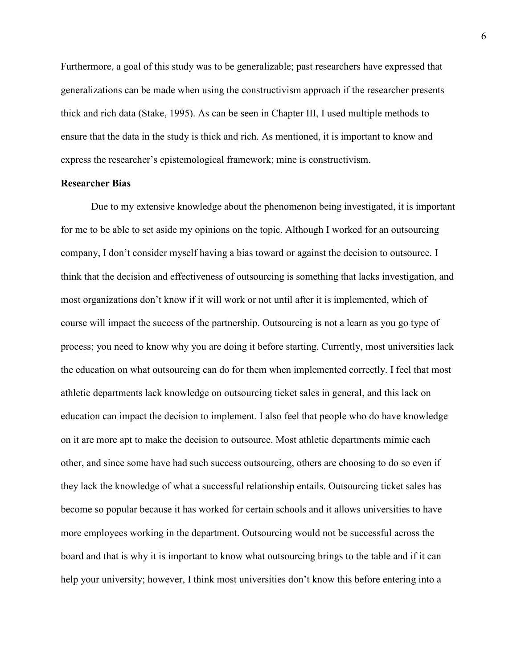Furthermore, a goal of this study was to be generalizable; past researchers have expressed that generalizations can be made when using the constructivism approach if the researcher presents thick and rich data (Stake, 1995). As can be seen in Chapter III, I used multiple methods to ensure that the data in the study is thick and rich. As mentioned, it is important to know and express the researcher's epistemological framework; mine is constructivism.

#### **Researcher Bias**

Due to my extensive knowledge about the phenomenon being investigated, it is important for me to be able to set aside my opinions on the topic. Although I worked for an outsourcing company, I don't consider myself having a bias toward or against the decision to outsource. I think that the decision and effectiveness of outsourcing is something that lacks investigation, and most organizations don't know if it will work or not until after it is implemented, which of course will impact the success of the partnership. Outsourcing is not a learn as you go type of process; you need to know why you are doing it before starting. Currently, most universities lack the education on what outsourcing can do for them when implemented correctly. I feel that most athletic departments lack knowledge on outsourcing ticket sales in general, and this lack on education can impact the decision to implement. I also feel that people who do have knowledge on it are more apt to make the decision to outsource. Most athletic departments mimic each other, and since some have had such success outsourcing, others are choosing to do so even if they lack the knowledge of what a successful relationship entails. Outsourcing ticket sales has become so popular because it has worked for certain schools and it allows universities to have more employees working in the department. Outsourcing would not be successful across the board and that is why it is important to know what outsourcing brings to the table and if it can help your university; however, I think most universities don't know this before entering into a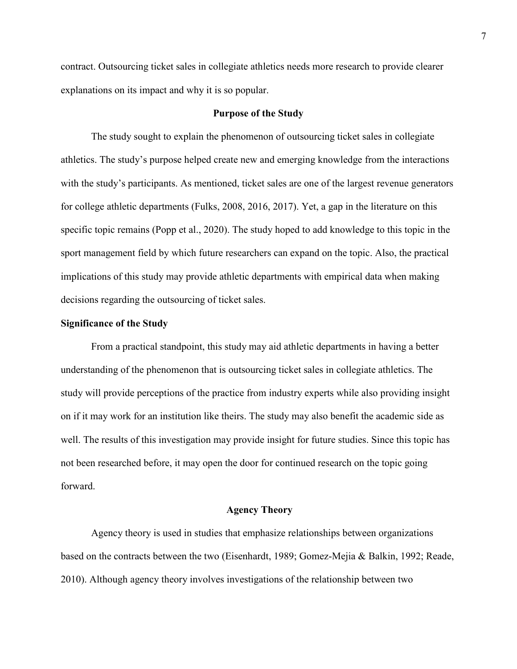contract. Outsourcing ticket sales in collegiate athletics needs more research to provide clearer explanations on its impact and why it is so popular.

#### **Purpose of the Study**

The study sought to explain the phenomenon of outsourcing ticket sales in collegiate athletics. The study's purpose helped create new and emerging knowledge from the interactions with the study's participants. As mentioned, ticket sales are one of the largest revenue generators for college athletic departments (Fulks, 2008, 2016, 2017). Yet, a gap in the literature on this specific topic remains (Popp et al., 2020). The study hoped to add knowledge to this topic in the sport management field by which future researchers can expand on the topic. Also, the practical implications of this study may provide athletic departments with empirical data when making decisions regarding the outsourcing of ticket sales.

#### **Significance of the Study**

From a practical standpoint, this study may aid athletic departments in having a better understanding of the phenomenon that is outsourcing ticket sales in collegiate athletics. The study will provide perceptions of the practice from industry experts while also providing insight on if it may work for an institution like theirs. The study may also benefit the academic side as well. The results of this investigation may provide insight for future studies. Since this topic has not been researched before, it may open the door for continued research on the topic going forward.

#### **Agency Theory**

Agency theory is used in studies that emphasize relationships between organizations based on the contracts between the two (Eisenhardt, 1989; Gomez-Mejia & Balkin, 1992; Reade, 2010). Although agency theory involves investigations of the relationship between two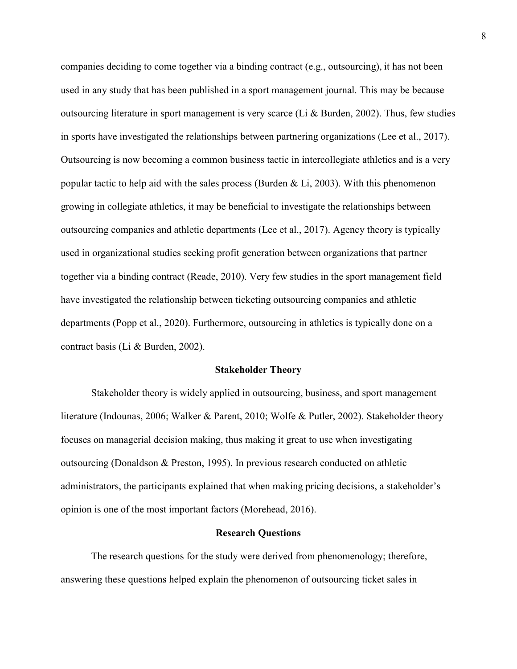companies deciding to come together via a binding contract (e.g., outsourcing), it has not been used in any study that has been published in a sport management journal. This may be because outsourcing literature in sport management is very scarce (Li & Burden, 2002). Thus, few studies in sports have investigated the relationships between partnering organizations (Lee et al., 2017). Outsourcing is now becoming a common business tactic in intercollegiate athletics and is a very popular tactic to help aid with the sales process (Burden  $& Li, 2003$ ). With this phenomenon growing in collegiate athletics, it may be beneficial to investigate the relationships between outsourcing companies and athletic departments (Lee et al., 2017). Agency theory is typically used in organizational studies seeking profit generation between organizations that partner together via a binding contract (Reade, 2010). Very few studies in the sport management field have investigated the relationship between ticketing outsourcing companies and athletic departments (Popp et al., 2020). Furthermore, outsourcing in athletics is typically done on a contract basis (Li & Burden, 2002).

#### **Stakeholder Theory**

Stakeholder theory is widely applied in outsourcing, business, and sport management literature (Indounas, 2006; Walker & Parent, 2010; Wolfe & Putler, 2002). Stakeholder theory focuses on managerial decision making, thus making it great to use when investigating outsourcing (Donaldson & Preston, 1995). In previous research conducted on athletic administrators, the participants explained that when making pricing decisions, a stakeholder's opinion is one of the most important factors (Morehead, 2016).

#### **Research Questions**

The research questions for the study were derived from phenomenology; therefore, answering these questions helped explain the phenomenon of outsourcing ticket sales in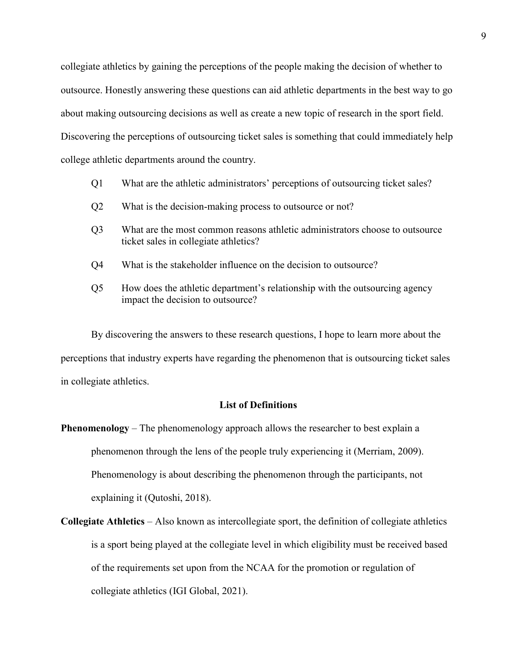collegiate athletics by gaining the perceptions of the people making the decision of whether to outsource. Honestly answering these questions can aid athletic departments in the best way to go about making outsourcing decisions as well as create a new topic of research in the sport field. Discovering the perceptions of outsourcing ticket sales is something that could immediately help college athletic departments around the country.

- Q1 What are the athletic administrators' perceptions of outsourcing ticket sales?
- Q2 What is the decision-making process to outsource or not?
- Q3 What are the most common reasons athletic administrators choose to outsource ticket sales in collegiate athletics?
- Q4 What is the stakeholder influence on the decision to outsource?
- Q5 How does the athletic department's relationship with the outsourcing agency impact the decision to outsource?

By discovering the answers to these research questions, I hope to learn more about the perceptions that industry experts have regarding the phenomenon that is outsourcing ticket sales in collegiate athletics.

## **List of Definitions**

**Phenomenology** – The phenomenology approach allows the researcher to best explain a phenomenon through the lens of the people truly experiencing it (Merriam, 2009). Phenomenology is about describing the phenomenon through the participants, not explaining it (Qutoshi, 2018).

**Collegiate Athletics** – Also known as intercollegiate sport, the definition of collegiate athletics is a sport being played at the collegiate level in which eligibility must be received based of the requirements set upon from the NCAA for the promotion or regulation of collegiate athletics (IGI Global, 2021).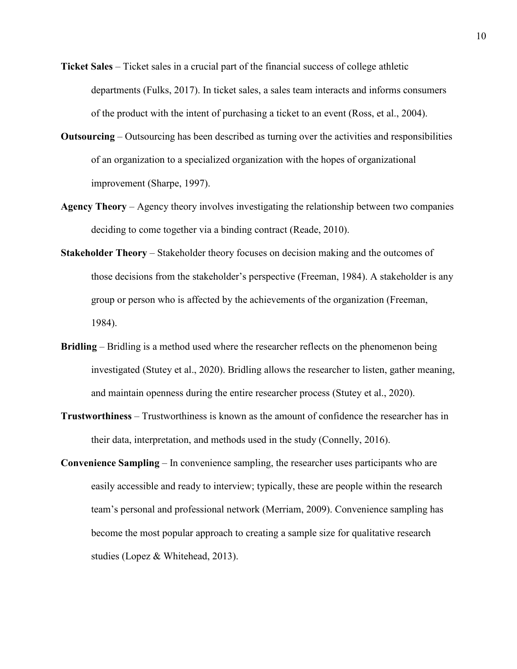- **Ticket Sales**  Ticket sales in a crucial part of the financial success of college athletic departments (Fulks, 2017). In ticket sales, a sales team interacts and informs consumers of the product with the intent of purchasing a ticket to an event (Ross, et al., 2004).
- **Outsourcing**  Outsourcing has been described as turning over the activities and responsibilities of an organization to a specialized organization with the hopes of organizational improvement (Sharpe, 1997).
- **Agency Theory**  Agency theory involves investigating the relationship between two companies deciding to come together via a binding contract (Reade, 2010).
- **Stakeholder Theory**  Stakeholder theory focuses on decision making and the outcomes of those decisions from the stakeholder's perspective (Freeman, 1984). A stakeholder is any group or person who is affected by the achievements of the organization (Freeman, 1984).
- **Bridling**  Bridling is a method used where the researcher reflects on the phenomenon being investigated (Stutey et al., 2020). Bridling allows the researcher to listen, gather meaning, and maintain openness during the entire researcher process (Stutey et al., 2020).
- **Trustworthiness**  Trustworthiness is known as the amount of confidence the researcher has in their data, interpretation, and methods used in the study (Connelly, 2016).
- **Convenience Sampling**  In convenience sampling, the researcher uses participants who are easily accessible and ready to interview; typically, these are people within the research team's personal and professional network (Merriam, 2009). Convenience sampling has become the most popular approach to creating a sample size for qualitative research studies (Lopez & Whitehead, 2013).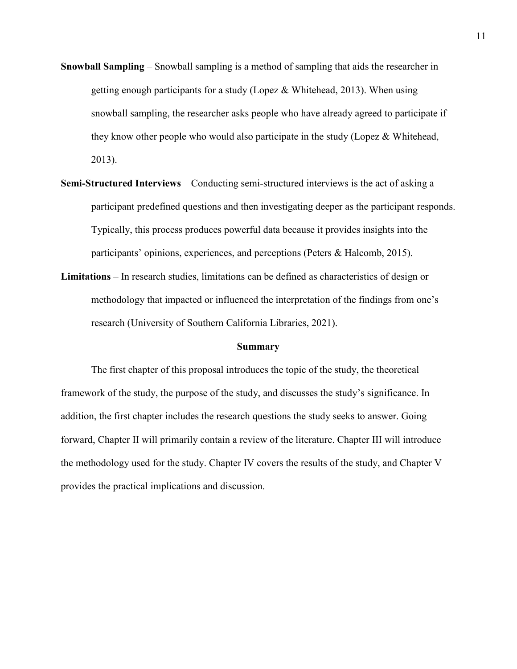- **Snowball Sampling**  Snowball sampling is a method of sampling that aids the researcher in getting enough participants for a study (Lopez & Whitehead, 2013). When using snowball sampling, the researcher asks people who have already agreed to participate if they know other people who would also participate in the study (Lopez & Whitehead, 2013).
- **Semi-Structured Interviews**  Conducting semi-structured interviews is the act of asking a participant predefined questions and then investigating deeper as the participant responds. Typically, this process produces powerful data because it provides insights into the participants' opinions, experiences, and perceptions (Peters & Halcomb, 2015).
- **Limitations**  In research studies, limitations can be defined as characteristics of design or methodology that impacted or influenced the interpretation of the findings from one's research (University of Southern California Libraries, 2021).

#### **Summary**

The first chapter of this proposal introduces the topic of the study, the theoretical framework of the study, the purpose of the study, and discusses the study's significance. In addition, the first chapter includes the research questions the study seeks to answer. Going forward, Chapter II will primarily contain a review of the literature. Chapter III will introduce the methodology used for the study. Chapter IV covers the results of the study, and Chapter V provides the practical implications and discussion.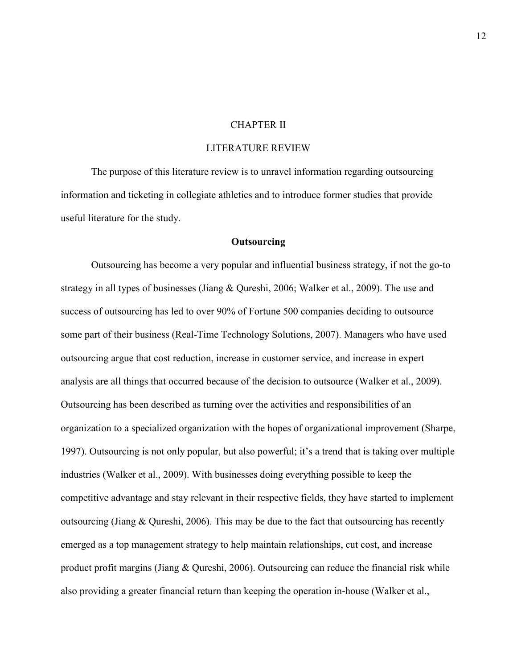#### CHAPTER II

#### LITERATURE REVIEW

The purpose of this literature review is to unravel information regarding outsourcing information and ticketing in collegiate athletics and to introduce former studies that provide useful literature for the study.

#### **Outsourcing**

Outsourcing has become a very popular and influential business strategy, if not the go-to strategy in all types of businesses (Jiang & Qureshi, 2006; Walker et al., 2009). The use and success of outsourcing has led to over 90% of Fortune 500 companies deciding to outsource some part of their business (Real-Time Technology Solutions, 2007). Managers who have used outsourcing argue that cost reduction, increase in customer service, and increase in expert analysis are all things that occurred because of the decision to outsource (Walker et al., 2009). Outsourcing has been described as turning over the activities and responsibilities of an organization to a specialized organization with the hopes of organizational improvement (Sharpe, 1997). Outsourcing is not only popular, but also powerful; it's a trend that is taking over multiple industries (Walker et al., 2009). With businesses doing everything possible to keep the competitive advantage and stay relevant in their respective fields, they have started to implement outsourcing (Jiang & Qureshi, 2006). This may be due to the fact that outsourcing has recently emerged as a top management strategy to help maintain relationships, cut cost, and increase product profit margins (Jiang & Qureshi, 2006). Outsourcing can reduce the financial risk while also providing a greater financial return than keeping the operation in-house (Walker et al.,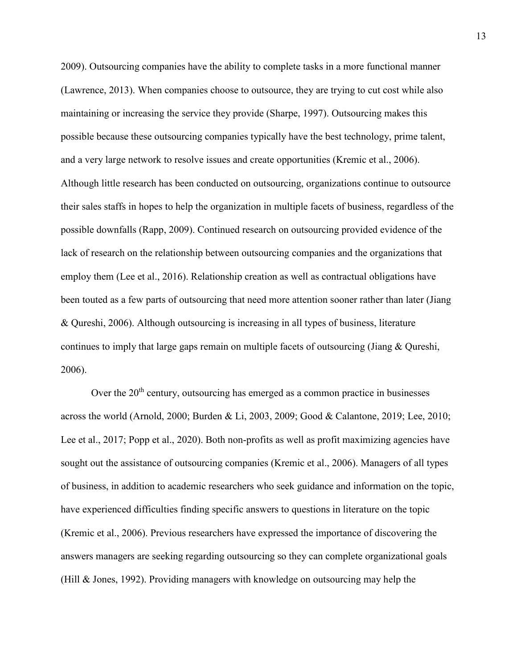2009). Outsourcing companies have the ability to complete tasks in a more functional manner (Lawrence, 2013). When companies choose to outsource, they are trying to cut cost while also maintaining or increasing the service they provide (Sharpe, 1997). Outsourcing makes this possible because these outsourcing companies typically have the best technology, prime talent, and a very large network to resolve issues and create opportunities (Kremic et al., 2006). Although little research has been conducted on outsourcing, organizations continue to outsource their sales staffs in hopes to help the organization in multiple facets of business, regardless of the possible downfalls (Rapp, 2009). Continued research on outsourcing provided evidence of the lack of research on the relationship between outsourcing companies and the organizations that employ them (Lee et al., 2016). Relationship creation as well as contractual obligations have been touted as a few parts of outsourcing that need more attention sooner rather than later (Jiang & Qureshi, 2006). Although outsourcing is increasing in all types of business, literature continues to imply that large gaps remain on multiple facets of outsourcing (Jiang & Qureshi, 2006).

Over the  $20<sup>th</sup>$  century, outsourcing has emerged as a common practice in businesses across the world (Arnold, 2000; Burden & Li, 2003, 2009; Good & Calantone, 2019; Lee, 2010; Lee et al., 2017; Popp et al., 2020). Both non-profits as well as profit maximizing agencies have sought out the assistance of outsourcing companies (Kremic et al., 2006). Managers of all types of business, in addition to academic researchers who seek guidance and information on the topic, have experienced difficulties finding specific answers to questions in literature on the topic (Kremic et al., 2006). Previous researchers have expressed the importance of discovering the answers managers are seeking regarding outsourcing so they can complete organizational goals (Hill & Jones, 1992). Providing managers with knowledge on outsourcing may help the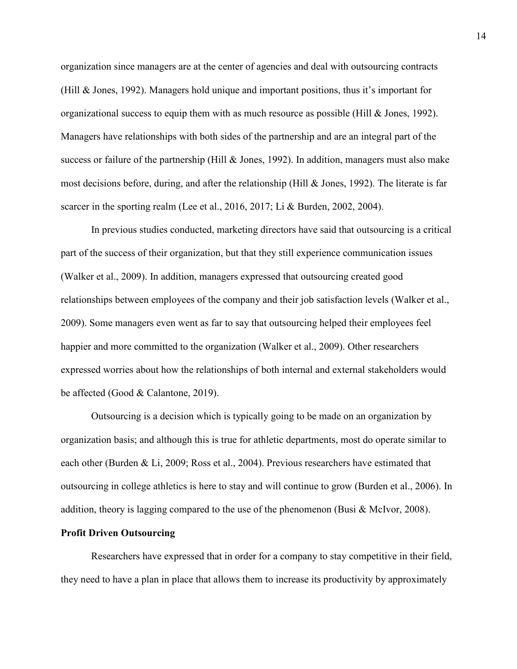organization since managers are at the center of agencies and deal with outsourcing contracts (Hill & Jones, 1992). Managers hold unique and important positions, thus it's important for organizational success to equip them with as much resource as possible (Hill & Jones, 1992). Managers have relationships with both sides of the partnership and are an integral part of the success or failure of the partnership (Hill & Jones, 1992). In addition, managers must also make most decisions before, during, and after the relationship (Hill & Jones, 1992). The literate is far scarcer in the sporting realm (Lee et al., 2016, 2017; Li & Burden, 2002, 2004).

In previous studies conducted, marketing directors have said that outsourcing is a critical part of the success of their organization, but that they still experience communication issues (Walker et al., 2009). In addition, managers expressed that outsourcing created good relationships between employees of the company and their job satisfaction levels (Walker et al., 2009). Some managers even went as far to say that outsourcing helped their employees feel happier and more committed to the organization (Walker et al., 2009). Other researchers expressed worries about how the relationships of both internal and external stakeholders would be affected (Good & Calantone, 2019).

Outsourcing is a decision which is typically going to be made on an organization by organization basis; and although this is true for athletic departments, most do operate similar to each other (Burden & Li, 2009; Ross et al., 2004). Previous researchers have estimated that outsourcing in college athletics is here to stay and will continue to grow (Burden et al., 2006). In addition, theory is lagging compared to the use of the phenomenon (Busi  $&$  McIvor, 2008).

#### **Profit Driven Outsourcing**

Researchers have expressed that in order for a company to stay competitive in their field, they need to have a plan in place that allows them to increase its productivity by approximately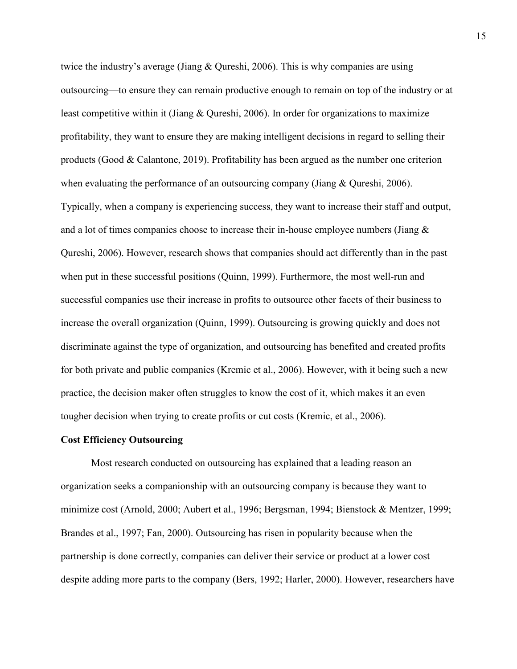twice the industry's average (Jiang & Qureshi, 2006). This is why companies are using outsourcing—to ensure they can remain productive enough to remain on top of the industry or at least competitive within it (Jiang & Qureshi, 2006). In order for organizations to maximize profitability, they want to ensure they are making intelligent decisions in regard to selling their products (Good & Calantone, 2019). Profitability has been argued as the number one criterion when evaluating the performance of an outsourcing company (Jiang & Qureshi, 2006). Typically, when a company is experiencing success, they want to increase their staff and output, and a lot of times companies choose to increase their in-house employee numbers (Jiang  $\&$ Qureshi, 2006). However, research shows that companies should act differently than in the past when put in these successful positions (Quinn, 1999). Furthermore, the most well-run and successful companies use their increase in profits to outsource other facets of their business to increase the overall organization (Quinn, 1999). Outsourcing is growing quickly and does not discriminate against the type of organization, and outsourcing has benefited and created profits for both private and public companies (Kremic et al., 2006). However, with it being such a new practice, the decision maker often struggles to know the cost of it, which makes it an even tougher decision when trying to create profits or cut costs (Kremic, et al., 2006).

#### **Cost Efficiency Outsourcing**

Most research conducted on outsourcing has explained that a leading reason an organization seeks a companionship with an outsourcing company is because they want to minimize cost (Arnold, 2000; Aubert et al., 1996; Bergsman, 1994; Bienstock & Mentzer, 1999; Brandes et al., 1997; Fan, 2000). Outsourcing has risen in popularity because when the partnership is done correctly, companies can deliver their service or product at a lower cost despite adding more parts to the company (Bers, 1992; Harler, 2000). However, researchers have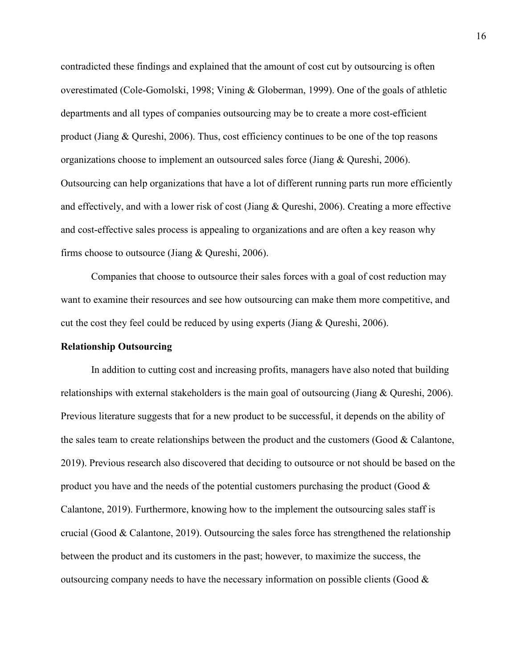contradicted these findings and explained that the amount of cost cut by outsourcing is often overestimated (Cole-Gomolski, 1998; Vining & Globerman, 1999). One of the goals of athletic departments and all types of companies outsourcing may be to create a more cost-efficient product (Jiang & Qureshi, 2006). Thus, cost efficiency continues to be one of the top reasons organizations choose to implement an outsourced sales force (Jiang & Qureshi, 2006). Outsourcing can help organizations that have a lot of different running parts run more efficiently and effectively, and with a lower risk of cost (Jiang & Qureshi, 2006). Creating a more effective and cost-effective sales process is appealing to organizations and are often a key reason why firms choose to outsource (Jiang & Qureshi, 2006).

Companies that choose to outsource their sales forces with a goal of cost reduction may want to examine their resources and see how outsourcing can make them more competitive, and cut the cost they feel could be reduced by using experts (Jiang & Qureshi, 2006).

#### **Relationship Outsourcing**

In addition to cutting cost and increasing profits, managers have also noted that building relationships with external stakeholders is the main goal of outsourcing (Jiang & Qureshi, 2006). Previous literature suggests that for a new product to be successful, it depends on the ability of the sales team to create relationships between the product and the customers (Good & Calantone, 2019). Previous research also discovered that deciding to outsource or not should be based on the product you have and the needs of the potential customers purchasing the product (Good  $\&$ Calantone, 2019). Furthermore, knowing how to the implement the outsourcing sales staff is crucial (Good  $& Calantone, 2019$ ). Outsourcing the sales force has strengthened the relationship between the product and its customers in the past; however, to maximize the success, the outsourcing company needs to have the necessary information on possible clients (Good  $\&$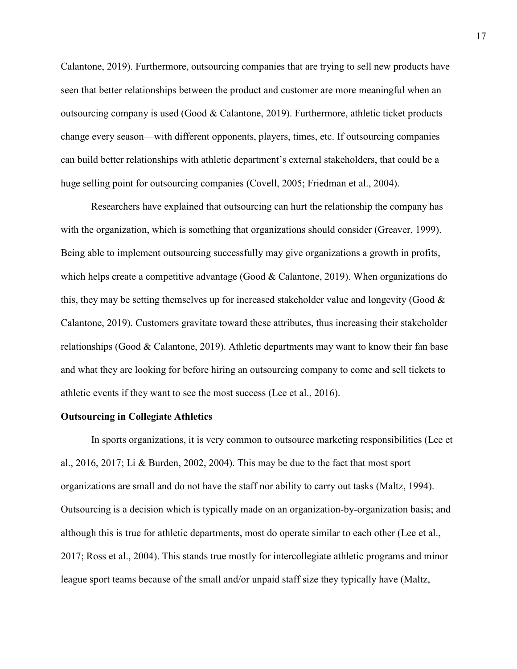Calantone, 2019). Furthermore, outsourcing companies that are trying to sell new products have seen that better relationships between the product and customer are more meaningful when an outsourcing company is used (Good  $& Calantone, 2019$ ). Furthermore, athletic ticket products change every season—with different opponents, players, times, etc. If outsourcing companies can build better relationships with athletic department's external stakeholders, that could be a huge selling point for outsourcing companies (Covell, 2005; Friedman et al., 2004).

Researchers have explained that outsourcing can hurt the relationship the company has with the organization, which is something that organizations should consider (Greaver, 1999). Being able to implement outsourcing successfully may give organizations a growth in profits, which helps create a competitive advantage (Good & Calantone, 2019). When organizations do this, they may be setting themselves up for increased stakeholder value and longevity (Good  $\&$ Calantone, 2019). Customers gravitate toward these attributes, thus increasing their stakeholder relationships (Good & Calantone, 2019). Athletic departments may want to know their fan base and what they are looking for before hiring an outsourcing company to come and sell tickets to athletic events if they want to see the most success (Lee et al., 2016).

#### **Outsourcing in Collegiate Athletics**

In sports organizations, it is very common to outsource marketing responsibilities (Lee et al., 2016, 2017; Li & Burden, 2002, 2004). This may be due to the fact that most sport organizations are small and do not have the staff nor ability to carry out tasks (Maltz, 1994). Outsourcing is a decision which is typically made on an organization-by-organization basis; and although this is true for athletic departments, most do operate similar to each other (Lee et al., 2017; Ross et al., 2004). This stands true mostly for intercollegiate athletic programs and minor league sport teams because of the small and/or unpaid staff size they typically have (Maltz,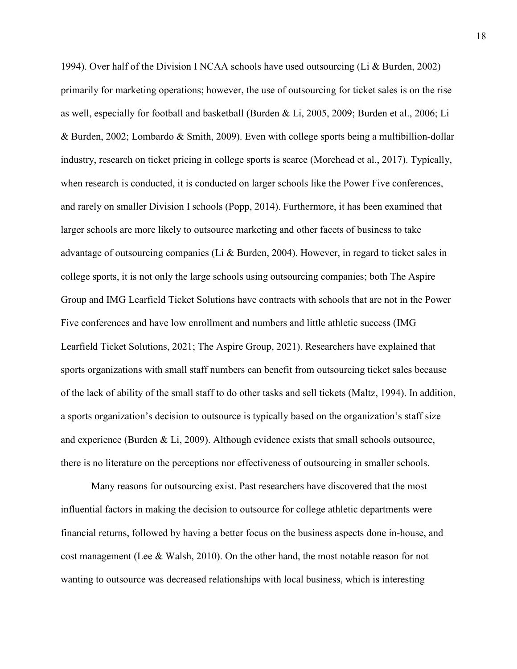1994). Over half of the Division I NCAA schools have used outsourcing (Li & Burden, 2002) primarily for marketing operations; however, the use of outsourcing for ticket sales is on the rise as well, especially for football and basketball (Burden & Li, 2005, 2009; Burden et al., 2006; Li & Burden, 2002; Lombardo & Smith, 2009). Even with college sports being a multibillion-dollar industry, research on ticket pricing in college sports is scarce (Morehead et al., 2017). Typically, when research is conducted, it is conducted on larger schools like the Power Five conferences, and rarely on smaller Division I schools (Popp, 2014). Furthermore, it has been examined that larger schools are more likely to outsource marketing and other facets of business to take advantage of outsourcing companies (Li  $\&$  Burden, 2004). However, in regard to ticket sales in college sports, it is not only the large schools using outsourcing companies; both The Aspire Group and IMG Learfield Ticket Solutions have contracts with schools that are not in the Power Five conferences and have low enrollment and numbers and little athletic success (IMG Learfield Ticket Solutions, 2021; The Aspire Group, 2021). Researchers have explained that sports organizations with small staff numbers can benefit from outsourcing ticket sales because of the lack of ability of the small staff to do other tasks and sell tickets (Maltz, 1994). In addition, a sports organization's decision to outsource is typically based on the organization's staff size and experience (Burden & Li, 2009). Although evidence exists that small schools outsource, there is no literature on the perceptions nor effectiveness of outsourcing in smaller schools.

Many reasons for outsourcing exist. Past researchers have discovered that the most influential factors in making the decision to outsource for college athletic departments were financial returns, followed by having a better focus on the business aspects done in-house, and cost management (Lee & Walsh, 2010). On the other hand, the most notable reason for not wanting to outsource was decreased relationships with local business, which is interesting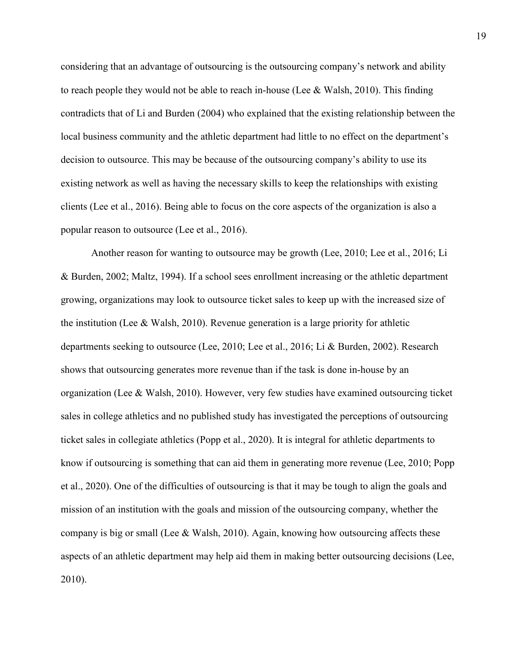considering that an advantage of outsourcing is the outsourcing company's network and ability to reach people they would not be able to reach in-house (Lee & Walsh, 2010). This finding contradicts that of Li and Burden (2004) who explained that the existing relationship between the local business community and the athletic department had little to no effect on the department's decision to outsource. This may be because of the outsourcing company's ability to use its existing network as well as having the necessary skills to keep the relationships with existing clients (Lee et al., 2016). Being able to focus on the core aspects of the organization is also a popular reason to outsource (Lee et al., 2016).

Another reason for wanting to outsource may be growth (Lee, 2010; Lee et al., 2016; Li & Burden, 2002; Maltz, 1994). If a school sees enrollment increasing or the athletic department growing, organizations may look to outsource ticket sales to keep up with the increased size of the institution (Lee & Walsh, 2010). Revenue generation is a large priority for athletic departments seeking to outsource (Lee, 2010; Lee et al., 2016; Li & Burden, 2002). Research shows that outsourcing generates more revenue than if the task is done in-house by an organization (Lee & Walsh, 2010). However, very few studies have examined outsourcing ticket sales in college athletics and no published study has investigated the perceptions of outsourcing ticket sales in collegiate athletics (Popp et al., 2020). It is integral for athletic departments to know if outsourcing is something that can aid them in generating more revenue (Lee, 2010; Popp et al., 2020). One of the difficulties of outsourcing is that it may be tough to align the goals and mission of an institution with the goals and mission of the outsourcing company, whether the company is big or small (Lee & Walsh, 2010). Again, knowing how outsourcing affects these aspects of an athletic department may help aid them in making better outsourcing decisions (Lee, 2010).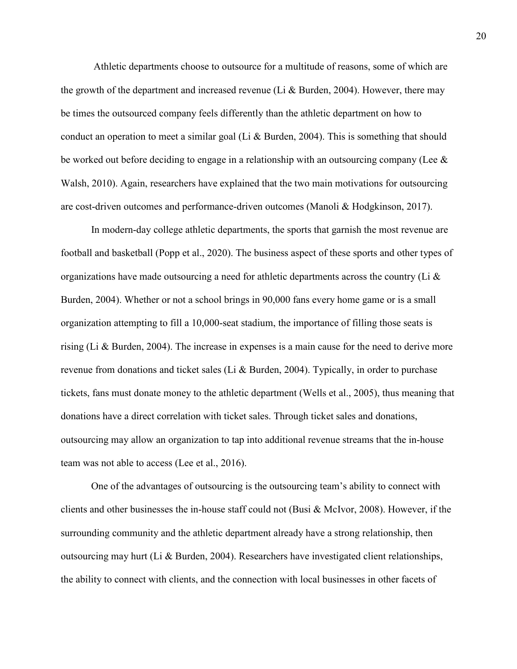Athletic departments choose to outsource for a multitude of reasons, some of which are the growth of the department and increased revenue (Li & Burden, 2004). However, there may be times the outsourced company feels differently than the athletic department on how to conduct an operation to meet a similar goal (Li & Burden, 2004). This is something that should be worked out before deciding to engage in a relationship with an outsourcing company (Lee  $\&$ Walsh, 2010). Again, researchers have explained that the two main motivations for outsourcing are cost-driven outcomes and performance-driven outcomes (Manoli & Hodgkinson, 2017).

In modern-day college athletic departments, the sports that garnish the most revenue are football and basketball (Popp et al., 2020). The business aspect of these sports and other types of organizations have made outsourcing a need for athletic departments across the country (Li  $\&$ Burden, 2004). Whether or not a school brings in 90,000 fans every home game or is a small organization attempting to fill a 10,000-seat stadium, the importance of filling those seats is rising (Li & Burden, 2004). The increase in expenses is a main cause for the need to derive more revenue from donations and ticket sales (Li & Burden, 2004). Typically, in order to purchase tickets, fans must donate money to the athletic department (Wells et al., 2005), thus meaning that donations have a direct correlation with ticket sales. Through ticket sales and donations, outsourcing may allow an organization to tap into additional revenue streams that the in-house team was not able to access (Lee et al., 2016).

One of the advantages of outsourcing is the outsourcing team's ability to connect with clients and other businesses the in-house staff could not (Busi & McIvor, 2008). However, if the surrounding community and the athletic department already have a strong relationship, then outsourcing may hurt (Li & Burden, 2004). Researchers have investigated client relationships, the ability to connect with clients, and the connection with local businesses in other facets of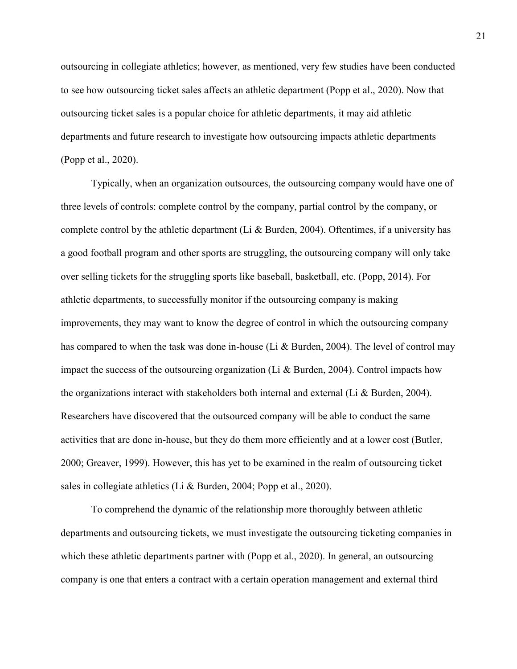outsourcing in collegiate athletics; however, as mentioned, very few studies have been conducted to see how outsourcing ticket sales affects an athletic department (Popp et al., 2020). Now that outsourcing ticket sales is a popular choice for athletic departments, it may aid athletic departments and future research to investigate how outsourcing impacts athletic departments (Popp et al., 2020).

Typically, when an organization outsources, the outsourcing company would have one of three levels of controls: complete control by the company, partial control by the company, or complete control by the athletic department (Li & Burden, 2004). Oftentimes, if a university has a good football program and other sports are struggling, the outsourcing company will only take over selling tickets for the struggling sports like baseball, basketball, etc. (Popp, 2014). For athletic departments, to successfully monitor if the outsourcing company is making improvements, they may want to know the degree of control in which the outsourcing company has compared to when the task was done in-house (Li & Burden, 2004). The level of control may impact the success of the outsourcing organization (Li & Burden, 2004). Control impacts how the organizations interact with stakeholders both internal and external (Li  $\&$  Burden, 2004). Researchers have discovered that the outsourced company will be able to conduct the same activities that are done in-house, but they do them more efficiently and at a lower cost (Butler, 2000; Greaver, 1999). However, this has yet to be examined in the realm of outsourcing ticket sales in collegiate athletics (Li & Burden, 2004; Popp et al., 2020).

To comprehend the dynamic of the relationship more thoroughly between athletic departments and outsourcing tickets, we must investigate the outsourcing ticketing companies in which these athletic departments partner with (Popp et al., 2020). In general, an outsourcing company is one that enters a contract with a certain operation management and external third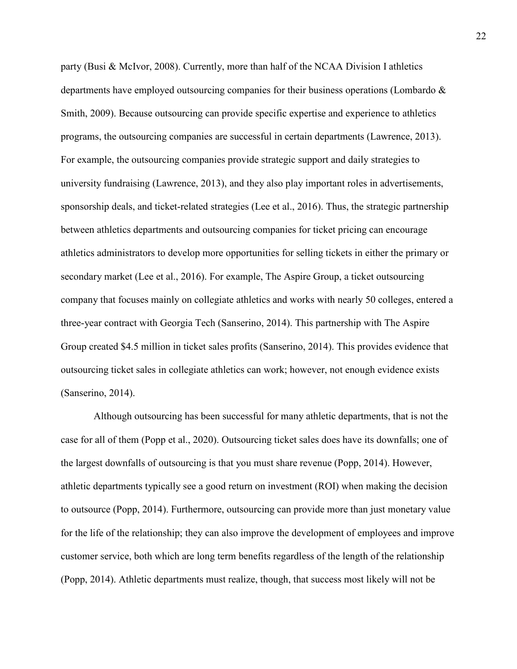party (Busi & McIvor, 2008). Currently, more than half of the NCAA Division I athletics departments have employed outsourcing companies for their business operations (Lombardo & Smith, 2009). Because outsourcing can provide specific expertise and experience to athletics programs, the outsourcing companies are successful in certain departments (Lawrence, 2013). For example, the outsourcing companies provide strategic support and daily strategies to university fundraising (Lawrence, 2013), and they also play important roles in advertisements, sponsorship deals, and ticket-related strategies (Lee et al., 2016). Thus, the strategic partnership between athletics departments and outsourcing companies for ticket pricing can encourage athletics administrators to develop more opportunities for selling tickets in either the primary or secondary market (Lee et al., 2016). For example, The Aspire Group, a ticket outsourcing company that focuses mainly on collegiate athletics and works with nearly 50 colleges, entered a three-year contract with Georgia Tech (Sanserino, 2014). This partnership with The Aspire Group created \$4.5 million in ticket sales profits (Sanserino, 2014). This provides evidence that outsourcing ticket sales in collegiate athletics can work; however, not enough evidence exists (Sanserino, 2014).

 Although outsourcing has been successful for many athletic departments, that is not the case for all of them (Popp et al., 2020). Outsourcing ticket sales does have its downfalls; one of the largest downfalls of outsourcing is that you must share revenue (Popp, 2014). However, athletic departments typically see a good return on investment (ROI) when making the decision to outsource (Popp, 2014). Furthermore, outsourcing can provide more than just monetary value for the life of the relationship; they can also improve the development of employees and improve customer service, both which are long term benefits regardless of the length of the relationship (Popp, 2014). Athletic departments must realize, though, that success most likely will not be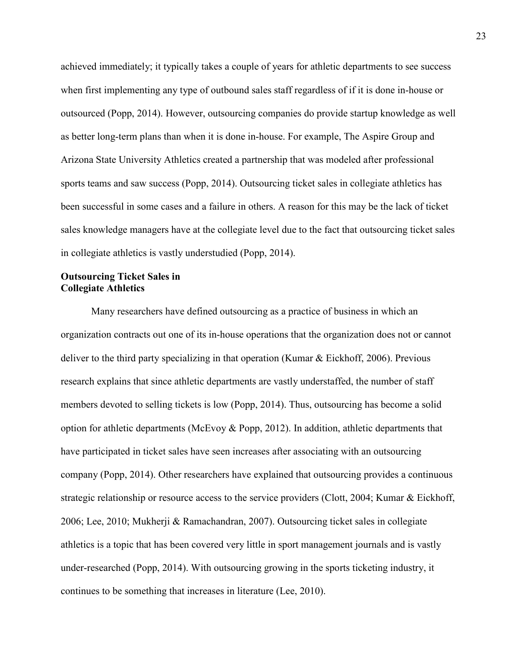achieved immediately; it typically takes a couple of years for athletic departments to see success when first implementing any type of outbound sales staff regardless of if it is done in-house or outsourced (Popp, 2014). However, outsourcing companies do provide startup knowledge as well as better long-term plans than when it is done in-house. For example, The Aspire Group and Arizona State University Athletics created a partnership that was modeled after professional sports teams and saw success (Popp, 2014). Outsourcing ticket sales in collegiate athletics has been successful in some cases and a failure in others. A reason for this may be the lack of ticket sales knowledge managers have at the collegiate level due to the fact that outsourcing ticket sales in collegiate athletics is vastly understudied (Popp, 2014).

#### **Outsourcing Ticket Sales in Collegiate Athletics**

Many researchers have defined outsourcing as a practice of business in which an organization contracts out one of its in-house operations that the organization does not or cannot deliver to the third party specializing in that operation (Kumar & Eickhoff, 2006). Previous research explains that since athletic departments are vastly understaffed, the number of staff members devoted to selling tickets is low (Popp, 2014). Thus, outsourcing has become a solid option for athletic departments (McEvoy & Popp, 2012). In addition, athletic departments that have participated in ticket sales have seen increases after associating with an outsourcing company (Popp, 2014). Other researchers have explained that outsourcing provides a continuous strategic relationship or resource access to the service providers (Clott, 2004; Kumar & Eickhoff, 2006; Lee, 2010; Mukherji & Ramachandran, 2007). Outsourcing ticket sales in collegiate athletics is a topic that has been covered very little in sport management journals and is vastly under-researched (Popp, 2014). With outsourcing growing in the sports ticketing industry, it continues to be something that increases in literature (Lee, 2010).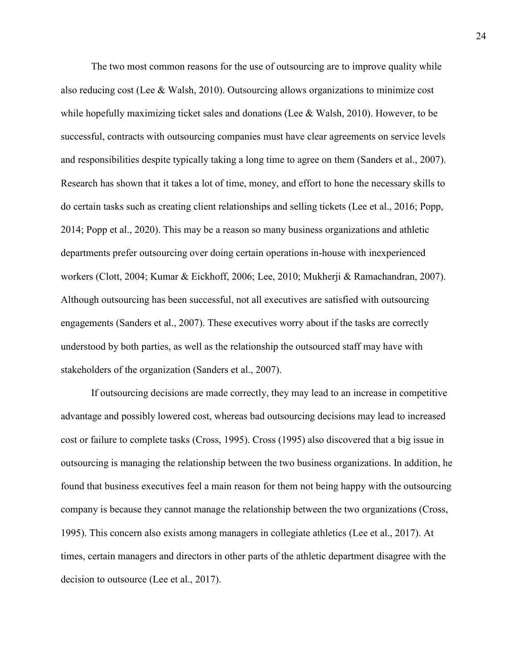The two most common reasons for the use of outsourcing are to improve quality while also reducing cost (Lee & Walsh, 2010). Outsourcing allows organizations to minimize cost while hopefully maximizing ticket sales and donations (Lee & Walsh, 2010). However, to be successful, contracts with outsourcing companies must have clear agreements on service levels and responsibilities despite typically taking a long time to agree on them (Sanders et al., 2007). Research has shown that it takes a lot of time, money, and effort to hone the necessary skills to do certain tasks such as creating client relationships and selling tickets (Lee et al., 2016; Popp, 2014; Popp et al., 2020). This may be a reason so many business organizations and athletic departments prefer outsourcing over doing certain operations in-house with inexperienced workers (Clott, 2004; Kumar & Eickhoff, 2006; Lee, 2010; Mukherji & Ramachandran, 2007). Although outsourcing has been successful, not all executives are satisfied with outsourcing engagements (Sanders et al., 2007). These executives worry about if the tasks are correctly understood by both parties, as well as the relationship the outsourced staff may have with stakeholders of the organization (Sanders et al., 2007).

If outsourcing decisions are made correctly, they may lead to an increase in competitive advantage and possibly lowered cost, whereas bad outsourcing decisions may lead to increased cost or failure to complete tasks (Cross, 1995). Cross (1995) also discovered that a big issue in outsourcing is managing the relationship between the two business organizations. In addition, he found that business executives feel a main reason for them not being happy with the outsourcing company is because they cannot manage the relationship between the two organizations (Cross, 1995). This concern also exists among managers in collegiate athletics (Lee et al., 2017). At times, certain managers and directors in other parts of the athletic department disagree with the decision to outsource (Lee et al., 2017).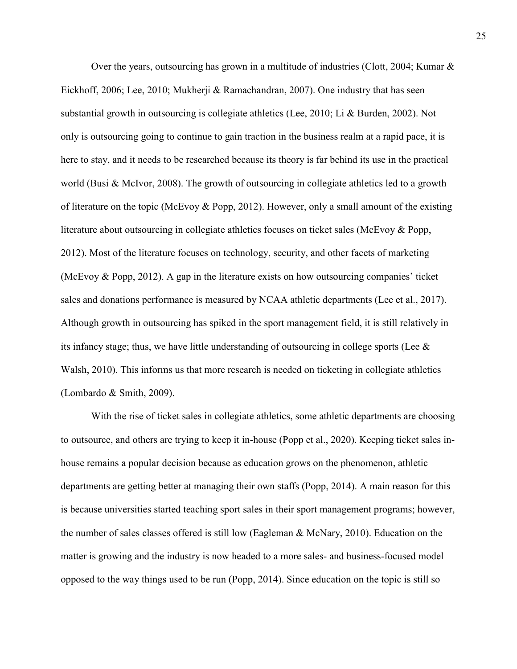Over the years, outsourcing has grown in a multitude of industries (Clott, 2004; Kumar  $\&$ Eickhoff, 2006; Lee, 2010; Mukherji & Ramachandran, 2007). One industry that has seen substantial growth in outsourcing is collegiate athletics (Lee, 2010; Li & Burden, 2002). Not only is outsourcing going to continue to gain traction in the business realm at a rapid pace, it is here to stay, and it needs to be researched because its theory is far behind its use in the practical world (Busi & McIvor, 2008). The growth of outsourcing in collegiate athletics led to a growth of literature on the topic (McEvoy & Popp, 2012). However, only a small amount of the existing literature about outsourcing in collegiate athletics focuses on ticket sales (McEvoy & Popp, 2012). Most of the literature focuses on technology, security, and other facets of marketing (McEvoy & Popp, 2012). A gap in the literature exists on how outsourcing companies' ticket sales and donations performance is measured by NCAA athletic departments (Lee et al., 2017). Although growth in outsourcing has spiked in the sport management field, it is still relatively in its infancy stage; thus, we have little understanding of outsourcing in college sports (Lee  $\&$ Walsh, 2010). This informs us that more research is needed on ticketing in collegiate athletics (Lombardo & Smith, 2009).

With the rise of ticket sales in collegiate athletics, some athletic departments are choosing to outsource, and others are trying to keep it in-house (Popp et al., 2020). Keeping ticket sales inhouse remains a popular decision because as education grows on the phenomenon, athletic departments are getting better at managing their own staffs (Popp, 2014). A main reason for this is because universities started teaching sport sales in their sport management programs; however, the number of sales classes offered is still low (Eagleman & McNary, 2010). Education on the matter is growing and the industry is now headed to a more sales- and business-focused model opposed to the way things used to be run (Popp, 2014). Since education on the topic is still so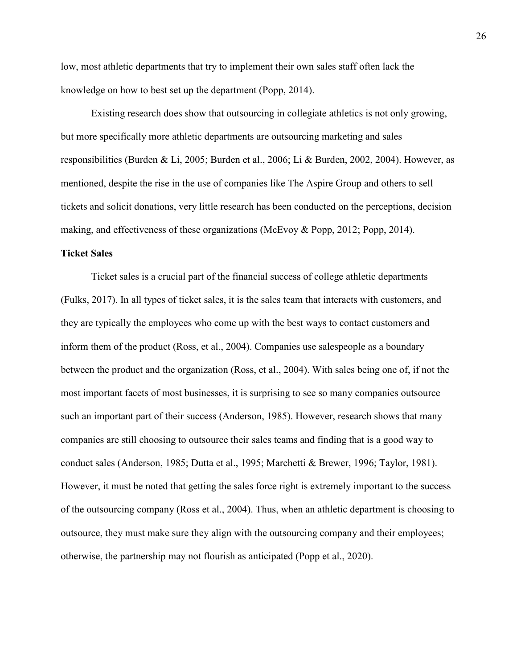low, most athletic departments that try to implement their own sales staff often lack the knowledge on how to best set up the department (Popp, 2014).

Existing research does show that outsourcing in collegiate athletics is not only growing, but more specifically more athletic departments are outsourcing marketing and sales responsibilities (Burden & Li, 2005; Burden et al., 2006; Li & Burden, 2002, 2004). However, as mentioned, despite the rise in the use of companies like The Aspire Group and others to sell tickets and solicit donations, very little research has been conducted on the perceptions, decision making, and effectiveness of these organizations (McEvoy & Popp, 2012; Popp, 2014).

#### **Ticket Sales**

Ticket sales is a crucial part of the financial success of college athletic departments (Fulks, 2017). In all types of ticket sales, it is the sales team that interacts with customers, and they are typically the employees who come up with the best ways to contact customers and inform them of the product (Ross, et al., 2004). Companies use salespeople as a boundary between the product and the organization (Ross, et al., 2004). With sales being one of, if not the most important facets of most businesses, it is surprising to see so many companies outsource such an important part of their success (Anderson, 1985). However, research shows that many companies are still choosing to outsource their sales teams and finding that is a good way to conduct sales (Anderson, 1985; Dutta et al., 1995; Marchetti & Brewer, 1996; Taylor, 1981). However, it must be noted that getting the sales force right is extremely important to the success of the outsourcing company (Ross et al., 2004). Thus, when an athletic department is choosing to outsource, they must make sure they align with the outsourcing company and their employees; otherwise, the partnership may not flourish as anticipated (Popp et al., 2020).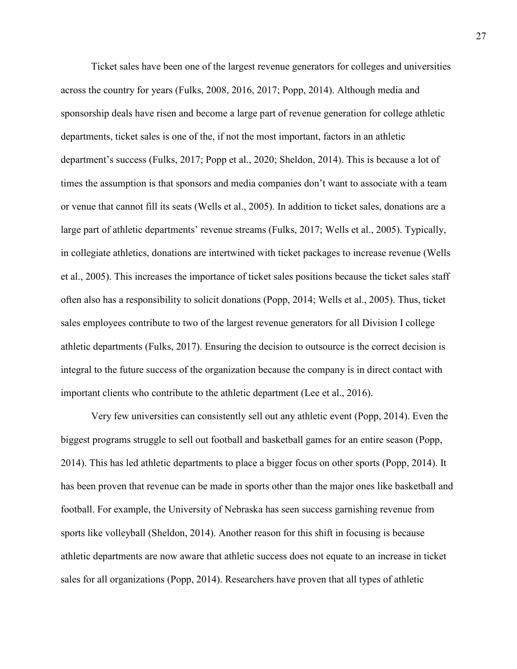Ticket sales have been one of the largest revenue generators for colleges and universities across the country for years (Fulks, 2008, 2016, 2017; Popp, 2014). Although media and sponsorship deals have risen and become a large part of revenue generation for college athletic departments, ticket sales is one of the, if not the most important, factors in an athletic department's success (Fulks, 2017; Popp et al., 2020; Sheldon, 2014). This is because a lot of times the assumption is that sponsors and media companies don't want to associate with a team or venue that cannot fill its seats (Wells et al., 2005). In addition to ticket sales, donations are a large part of athletic departments' revenue streams (Fulks, 2017; Wells et al., 2005). Typically, in collegiate athletics, donations are intertwined with ticket packages to increase revenue (Wells et al., 2005). This increases the importance of ticket sales positions because the ticket sales staff often also has a responsibility to solicit donations (Popp, 2014; Wells et al., 2005). Thus, ticket sales employees contribute to two of the largest revenue generators for all Division I college athletic departments (Fulks, 2017). Ensuring the decision to outsource is the correct decision is integral to the future success of the organization because the company is in direct contact with important clients who contribute to the athletic department (Lee et al., 2016).

Very few universities can consistently sell out any athletic event (Popp, 2014). Even the biggest programs struggle to sell out football and basketball games for an entire season (Popp, 2014). This has led athletic departments to place a bigger focus on other sports (Popp, 2014). It has been proven that revenue can be made in sports other than the major ones like basketball and football. For example, the University of Nebraska has seen success garnishing revenue from sports like volleyball (Sheldon, 2014). Another reason for this shift in focusing is because athletic departments are now aware that athletic success does not equate to an increase in ticket sales for all organizations (Popp, 2014). Researchers have proven that all types of athletic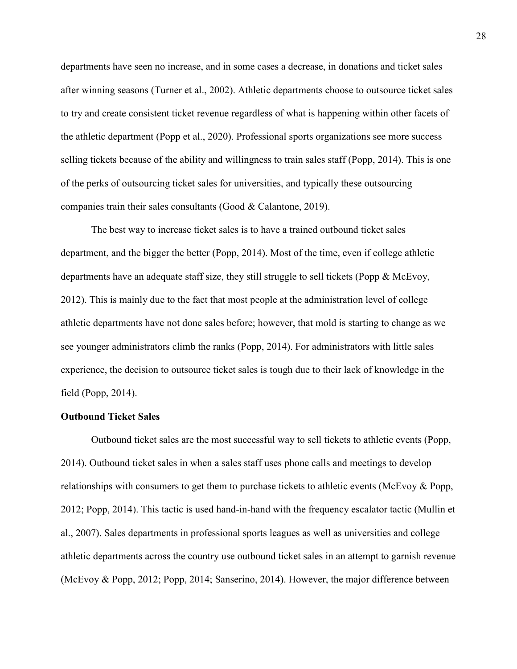departments have seen no increase, and in some cases a decrease, in donations and ticket sales after winning seasons (Turner et al., 2002). Athletic departments choose to outsource ticket sales to try and create consistent ticket revenue regardless of what is happening within other facets of the athletic department (Popp et al., 2020). Professional sports organizations see more success selling tickets because of the ability and willingness to train sales staff (Popp, 2014). This is one of the perks of outsourcing ticket sales for universities, and typically these outsourcing companies train their sales consultants (Good & Calantone, 2019).

The best way to increase ticket sales is to have a trained outbound ticket sales department, and the bigger the better (Popp, 2014). Most of the time, even if college athletic departments have an adequate staff size, they still struggle to sell tickets (Popp & McEvoy, 2012). This is mainly due to the fact that most people at the administration level of college athletic departments have not done sales before; however, that mold is starting to change as we see younger administrators climb the ranks (Popp, 2014). For administrators with little sales experience, the decision to outsource ticket sales is tough due to their lack of knowledge in the field (Popp, 2014).

### **Outbound Ticket Sales**

Outbound ticket sales are the most successful way to sell tickets to athletic events (Popp, 2014). Outbound ticket sales in when a sales staff uses phone calls and meetings to develop relationships with consumers to get them to purchase tickets to athletic events (McEvoy & Popp, 2012; Popp, 2014). This tactic is used hand-in-hand with the frequency escalator tactic (Mullin et al., 2007). Sales departments in professional sports leagues as well as universities and college athletic departments across the country use outbound ticket sales in an attempt to garnish revenue (McEvoy & Popp, 2012; Popp, 2014; Sanserino, 2014). However, the major difference between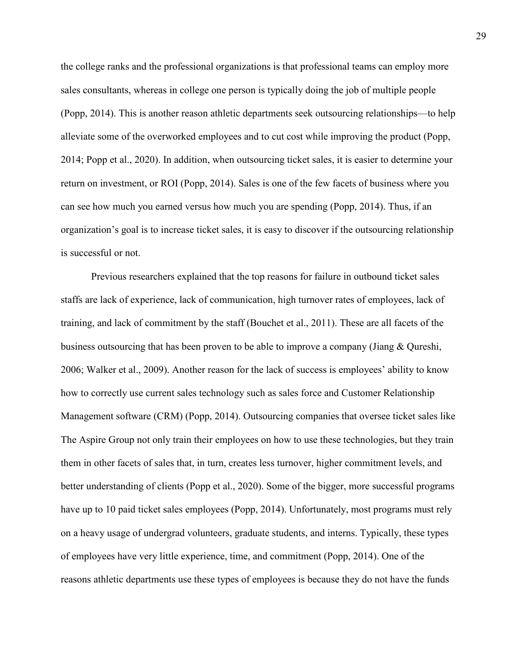the college ranks and the professional organizations is that professional teams can employ more sales consultants, whereas in college one person is typically doing the job of multiple people (Popp, 2014). This is another reason athletic departments seek outsourcing relationships—to help alleviate some of the overworked employees and to cut cost while improving the product (Popp, 2014; Popp et al., 2020). In addition, when outsourcing ticket sales, it is easier to determine your return on investment, or ROI (Popp, 2014). Sales is one of the few facets of business where you can see how much you earned versus how much you are spending (Popp, 2014). Thus, if an organization's goal is to increase ticket sales, it is easy to discover if the outsourcing relationship is successful or not.

Previous researchers explained that the top reasons for failure in outbound ticket sales staffs are lack of experience, lack of communication, high turnover rates of employees, lack of training, and lack of commitment by the staff (Bouchet et al., 2011). These are all facets of the business outsourcing that has been proven to be able to improve a company (Jiang & Qureshi, 2006; Walker et al., 2009). Another reason for the lack of success is employees' ability to know how to correctly use current sales technology such as sales force and Customer Relationship Management software (CRM) (Popp, 2014). Outsourcing companies that oversee ticket sales like The Aspire Group not only train their employees on how to use these technologies, but they train them in other facets of sales that, in turn, creates less turnover, higher commitment levels, and better understanding of clients (Popp et al., 2020). Some of the bigger, more successful programs have up to 10 paid ticket sales employees (Popp, 2014). Unfortunately, most programs must rely on a heavy usage of undergrad volunteers, graduate students, and interns. Typically, these types of employees have very little experience, time, and commitment (Popp, 2014). One of the reasons athletic departments use these types of employees is because they do not have the funds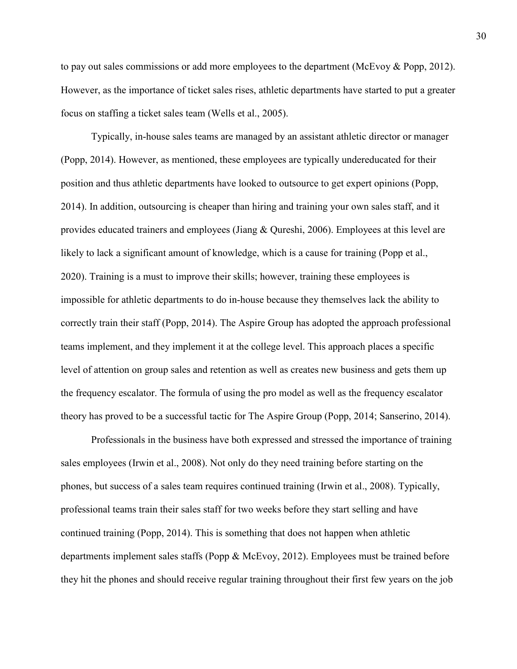to pay out sales commissions or add more employees to the department (McEvoy & Popp, 2012). However, as the importance of ticket sales rises, athletic departments have started to put a greater focus on staffing a ticket sales team (Wells et al., 2005).

Typically, in-house sales teams are managed by an assistant athletic director or manager (Popp, 2014). However, as mentioned, these employees are typically undereducated for their position and thus athletic departments have looked to outsource to get expert opinions (Popp, 2014). In addition, outsourcing is cheaper than hiring and training your own sales staff, and it provides educated trainers and employees (Jiang & Qureshi, 2006). Employees at this level are likely to lack a significant amount of knowledge, which is a cause for training (Popp et al., 2020). Training is a must to improve their skills; however, training these employees is impossible for athletic departments to do in-house because they themselves lack the ability to correctly train their staff (Popp, 2014). The Aspire Group has adopted the approach professional teams implement, and they implement it at the college level. This approach places a specific level of attention on group sales and retention as well as creates new business and gets them up the frequency escalator. The formula of using the pro model as well as the frequency escalator theory has proved to be a successful tactic for The Aspire Group (Popp, 2014; Sanserino, 2014).

Professionals in the business have both expressed and stressed the importance of training sales employees (Irwin et al., 2008). Not only do they need training before starting on the phones, but success of a sales team requires continued training (Irwin et al., 2008). Typically, professional teams train their sales staff for two weeks before they start selling and have continued training (Popp, 2014). This is something that does not happen when athletic departments implement sales staffs (Popp & McEvoy, 2012). Employees must be trained before they hit the phones and should receive regular training throughout their first few years on the job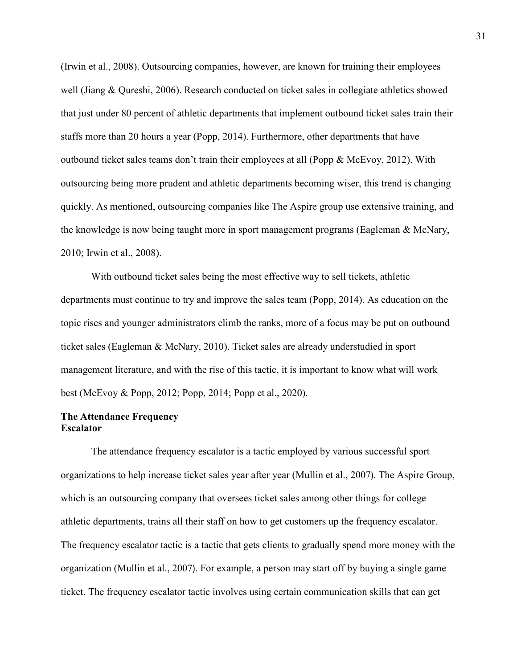(Irwin et al., 2008). Outsourcing companies, however, are known for training their employees well (Jiang & Qureshi, 2006). Research conducted on ticket sales in collegiate athletics showed that just under 80 percent of athletic departments that implement outbound ticket sales train their staffs more than 20 hours a year (Popp, 2014). Furthermore, other departments that have outbound ticket sales teams don't train their employees at all (Popp & McEvoy, 2012). With outsourcing being more prudent and athletic departments becoming wiser, this trend is changing quickly. As mentioned, outsourcing companies like The Aspire group use extensive training, and the knowledge is now being taught more in sport management programs (Eagleman & McNary, 2010; Irwin et al., 2008).

With outbound ticket sales being the most effective way to sell tickets, athletic departments must continue to try and improve the sales team (Popp, 2014). As education on the topic rises and younger administrators climb the ranks, more of a focus may be put on outbound ticket sales (Eagleman & McNary, 2010). Ticket sales are already understudied in sport management literature, and with the rise of this tactic, it is important to know what will work best (McEvoy & Popp, 2012; Popp, 2014; Popp et al., 2020).

# **The Attendance Frequency Escalator**

The attendance frequency escalator is a tactic employed by various successful sport organizations to help increase ticket sales year after year (Mullin et al., 2007). The Aspire Group, which is an outsourcing company that oversees ticket sales among other things for college athletic departments, trains all their staff on how to get customers up the frequency escalator. The frequency escalator tactic is a tactic that gets clients to gradually spend more money with the organization (Mullin et al., 2007). For example, a person may start off by buying a single game ticket. The frequency escalator tactic involves using certain communication skills that can get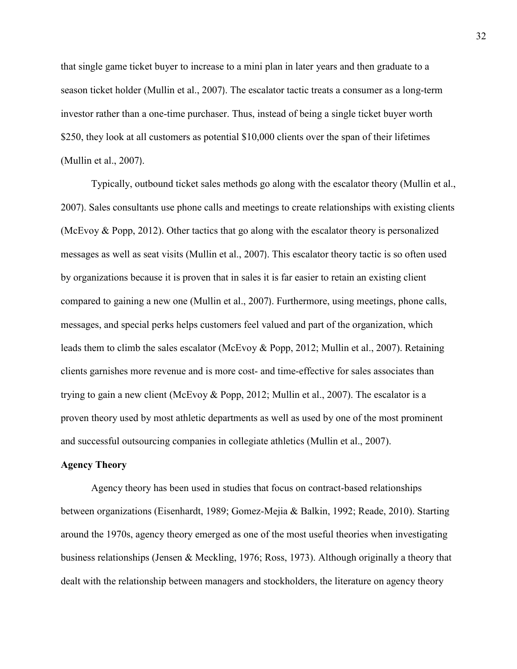that single game ticket buyer to increase to a mini plan in later years and then graduate to a season ticket holder (Mullin et al., 2007). The escalator tactic treats a consumer as a long-term investor rather than a one-time purchaser. Thus, instead of being a single ticket buyer worth \$250, they look at all customers as potential \$10,000 clients over the span of their lifetimes (Mullin et al., 2007).

Typically, outbound ticket sales methods go along with the escalator theory (Mullin et al., 2007). Sales consultants use phone calls and meetings to create relationships with existing clients (McEvoy & Popp, 2012). Other tactics that go along with the escalator theory is personalized messages as well as seat visits (Mullin et al., 2007). This escalator theory tactic is so often used by organizations because it is proven that in sales it is far easier to retain an existing client compared to gaining a new one (Mullin et al., 2007). Furthermore, using meetings, phone calls, messages, and special perks helps customers feel valued and part of the organization, which leads them to climb the sales escalator (McEvoy & Popp, 2012; Mullin et al., 2007). Retaining clients garnishes more revenue and is more cost- and time-effective for sales associates than trying to gain a new client (McEvoy & Popp, 2012; Mullin et al., 2007). The escalator is a proven theory used by most athletic departments as well as used by one of the most prominent and successful outsourcing companies in collegiate athletics (Mullin et al., 2007).

# **Agency Theory**

Agency theory has been used in studies that focus on contract-based relationships between organizations (Eisenhardt, 1989; Gomez-Mejia & Balkin, 1992; Reade, 2010). Starting around the 1970s, agency theory emerged as one of the most useful theories when investigating business relationships (Jensen & Meckling, 1976; Ross, 1973). Although originally a theory that dealt with the relationship between managers and stockholders, the literature on agency theory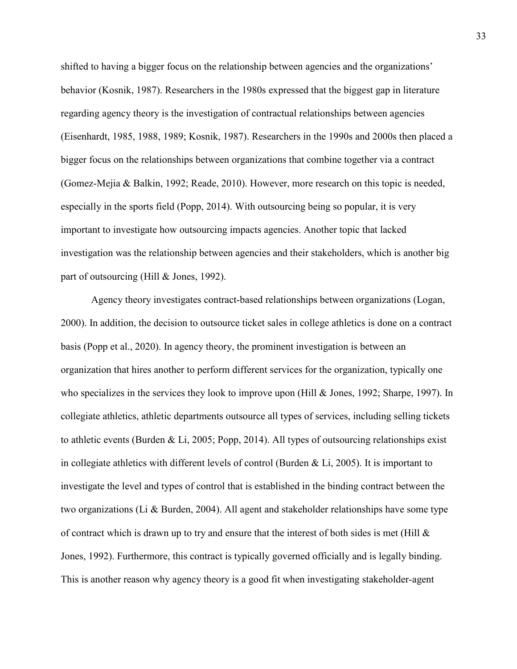shifted to having a bigger focus on the relationship between agencies and the organizations' behavior (Kosnik, 1987). Researchers in the 1980s expressed that the biggest gap in literature regarding agency theory is the investigation of contractual relationships between agencies (Eisenhardt, 1985, 1988, 1989; Kosnik, 1987). Researchers in the 1990s and 2000s then placed a bigger focus on the relationships between organizations that combine together via a contract (Gomez-Mejia & Balkin, 1992; Reade, 2010). However, more research on this topic is needed, especially in the sports field (Popp, 2014). With outsourcing being so popular, it is very important to investigate how outsourcing impacts agencies. Another topic that lacked investigation was the relationship between agencies and their stakeholders, which is another big part of outsourcing (Hill & Jones, 1992).

Agency theory investigates contract-based relationships between organizations (Logan, 2000). In addition, the decision to outsource ticket sales in college athletics is done on a contract basis (Popp et al., 2020). In agency theory, the prominent investigation is between an organization that hires another to perform different services for the organization, typically one who specializes in the services they look to improve upon (Hill & Jones, 1992; Sharpe, 1997). In collegiate athletics, athletic departments outsource all types of services, including selling tickets to athletic events (Burden & Li, 2005; Popp, 2014). All types of outsourcing relationships exist in collegiate athletics with different levels of control (Burden & Li, 2005). It is important to investigate the level and types of control that is established in the binding contract between the two organizations (Li & Burden, 2004). All agent and stakeholder relationships have some type of contract which is drawn up to try and ensure that the interest of both sides is met (Hill  $\&$ Jones, 1992). Furthermore, this contract is typically governed officially and is legally binding. This is another reason why agency theory is a good fit when investigating stakeholder-agent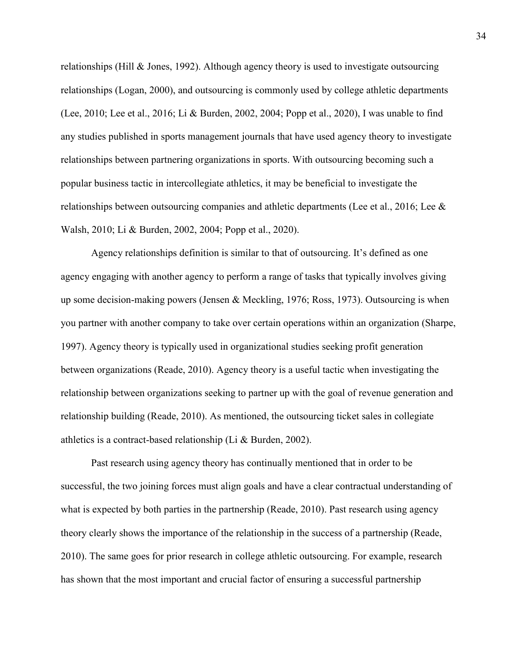relationships (Hill & Jones, 1992). Although agency theory is used to investigate outsourcing relationships (Logan, 2000), and outsourcing is commonly used by college athletic departments (Lee, 2010; Lee et al., 2016; Li & Burden, 2002, 2004; Popp et al., 2020), I was unable to find any studies published in sports management journals that have used agency theory to investigate relationships between partnering organizations in sports. With outsourcing becoming such a popular business tactic in intercollegiate athletics, it may be beneficial to investigate the relationships between outsourcing companies and athletic departments (Lee et al., 2016; Lee & Walsh, 2010; Li & Burden, 2002, 2004; Popp et al., 2020).

Agency relationships definition is similar to that of outsourcing. It's defined as one agency engaging with another agency to perform a range of tasks that typically involves giving up some decision-making powers (Jensen & Meckling, 1976; Ross, 1973). Outsourcing is when you partner with another company to take over certain operations within an organization (Sharpe, 1997). Agency theory is typically used in organizational studies seeking profit generation between organizations (Reade, 2010). Agency theory is a useful tactic when investigating the relationship between organizations seeking to partner up with the goal of revenue generation and relationship building (Reade, 2010). As mentioned, the outsourcing ticket sales in collegiate athletics is a contract-based relationship (Li & Burden, 2002).

Past research using agency theory has continually mentioned that in order to be successful, the two joining forces must align goals and have a clear contractual understanding of what is expected by both parties in the partnership (Reade, 2010). Past research using agency theory clearly shows the importance of the relationship in the success of a partnership (Reade, 2010). The same goes for prior research in college athletic outsourcing. For example, research has shown that the most important and crucial factor of ensuring a successful partnership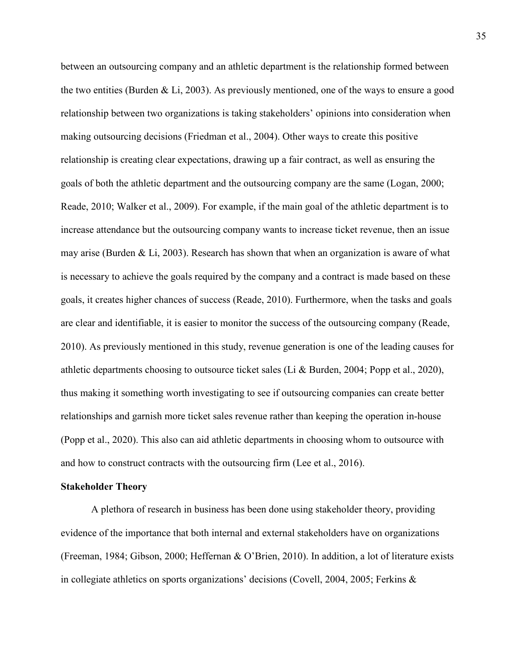between an outsourcing company and an athletic department is the relationship formed between the two entities (Burden & Li, 2003). As previously mentioned, one of the ways to ensure a good relationship between two organizations is taking stakeholders' opinions into consideration when making outsourcing decisions (Friedman et al., 2004). Other ways to create this positive relationship is creating clear expectations, drawing up a fair contract, as well as ensuring the goals of both the athletic department and the outsourcing company are the same (Logan, 2000; Reade, 2010; Walker et al., 2009). For example, if the main goal of the athletic department is to increase attendance but the outsourcing company wants to increase ticket revenue, then an issue may arise (Burden & Li, 2003). Research has shown that when an organization is aware of what is necessary to achieve the goals required by the company and a contract is made based on these goals, it creates higher chances of success (Reade, 2010). Furthermore, when the tasks and goals are clear and identifiable, it is easier to monitor the success of the outsourcing company (Reade, 2010). As previously mentioned in this study, revenue generation is one of the leading causes for athletic departments choosing to outsource ticket sales (Li & Burden, 2004; Popp et al., 2020), thus making it something worth investigating to see if outsourcing companies can create better relationships and garnish more ticket sales revenue rather than keeping the operation in-house (Popp et al., 2020). This also can aid athletic departments in choosing whom to outsource with and how to construct contracts with the outsourcing firm (Lee et al., 2016).

### **Stakeholder Theory**

A plethora of research in business has been done using stakeholder theory, providing evidence of the importance that both internal and external stakeholders have on organizations (Freeman, 1984; Gibson, 2000; Heffernan & O'Brien, 2010). In addition, a lot of literature exists in collegiate athletics on sports organizations' decisions (Covell, 2004, 2005; Ferkins &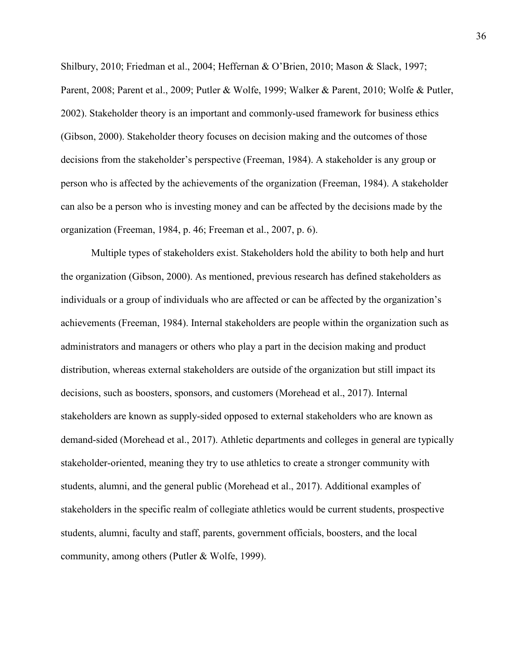Shilbury, 2010; Friedman et al., 2004; Heffernan & O'Brien, 2010; Mason & Slack, 1997; Parent, 2008; Parent et al., 2009; Putler & Wolfe, 1999; Walker & Parent, 2010; Wolfe & Putler, 2002). Stakeholder theory is an important and commonly-used framework for business ethics (Gibson, 2000). Stakeholder theory focuses on decision making and the outcomes of those decisions from the stakeholder's perspective (Freeman, 1984). A stakeholder is any group or person who is affected by the achievements of the organization (Freeman, 1984). A stakeholder can also be a person who is investing money and can be affected by the decisions made by the organization (Freeman, 1984, p. 46; Freeman et al., 2007, p. 6).

Multiple types of stakeholders exist. Stakeholders hold the ability to both help and hurt the organization (Gibson, 2000). As mentioned, previous research has defined stakeholders as individuals or a group of individuals who are affected or can be affected by the organization's achievements (Freeman, 1984). Internal stakeholders are people within the organization such as administrators and managers or others who play a part in the decision making and product distribution, whereas external stakeholders are outside of the organization but still impact its decisions, such as boosters, sponsors, and customers (Morehead et al., 2017). Internal stakeholders are known as supply-sided opposed to external stakeholders who are known as demand-sided (Morehead et al., 2017). Athletic departments and colleges in general are typically stakeholder-oriented, meaning they try to use athletics to create a stronger community with students, alumni, and the general public (Morehead et al., 2017). Additional examples of stakeholders in the specific realm of collegiate athletics would be current students, prospective students, alumni, faculty and staff, parents, government officials, boosters, and the local community, among others (Putler & Wolfe, 1999).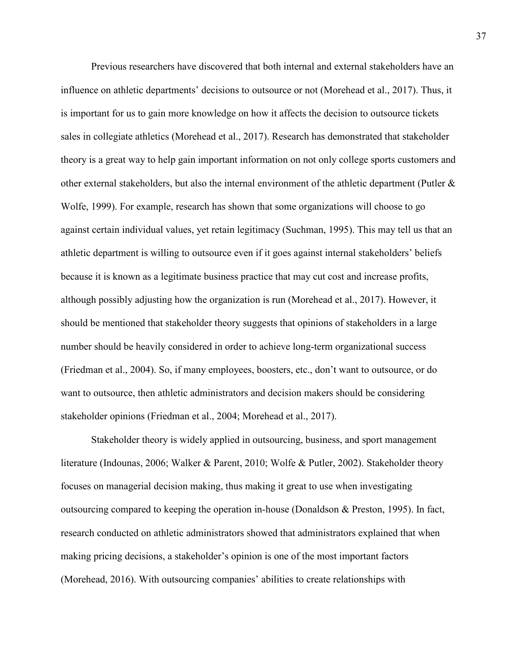Previous researchers have discovered that both internal and external stakeholders have an influence on athletic departments' decisions to outsource or not (Morehead et al., 2017). Thus, it is important for us to gain more knowledge on how it affects the decision to outsource tickets sales in collegiate athletics (Morehead et al., 2017). Research has demonstrated that stakeholder theory is a great way to help gain important information on not only college sports customers and other external stakeholders, but also the internal environment of the athletic department (Putler & Wolfe, 1999). For example, research has shown that some organizations will choose to go against certain individual values, yet retain legitimacy (Suchman, 1995). This may tell us that an athletic department is willing to outsource even if it goes against internal stakeholders' beliefs because it is known as a legitimate business practice that may cut cost and increase profits, although possibly adjusting how the organization is run (Morehead et al., 2017). However, it should be mentioned that stakeholder theory suggests that opinions of stakeholders in a large number should be heavily considered in order to achieve long-term organizational success (Friedman et al., 2004). So, if many employees, boosters, etc., don't want to outsource, or do want to outsource, then athletic administrators and decision makers should be considering stakeholder opinions (Friedman et al., 2004; Morehead et al., 2017).

Stakeholder theory is widely applied in outsourcing, business, and sport management literature (Indounas, 2006; Walker & Parent, 2010; Wolfe & Putler, 2002). Stakeholder theory focuses on managerial decision making, thus making it great to use when investigating outsourcing compared to keeping the operation in-house (Donaldson & Preston, 1995). In fact, research conducted on athletic administrators showed that administrators explained that when making pricing decisions, a stakeholder's opinion is one of the most important factors (Morehead, 2016). With outsourcing companies' abilities to create relationships with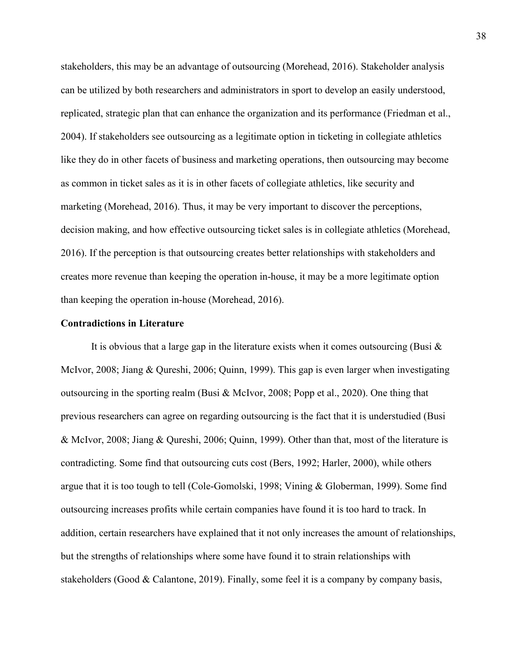stakeholders, this may be an advantage of outsourcing (Morehead, 2016). Stakeholder analysis can be utilized by both researchers and administrators in sport to develop an easily understood, replicated, strategic plan that can enhance the organization and its performance (Friedman et al., 2004). If stakeholders see outsourcing as a legitimate option in ticketing in collegiate athletics like they do in other facets of business and marketing operations, then outsourcing may become as common in ticket sales as it is in other facets of collegiate athletics, like security and marketing (Morehead, 2016). Thus, it may be very important to discover the perceptions, decision making, and how effective outsourcing ticket sales is in collegiate athletics (Morehead, 2016). If the perception is that outsourcing creates better relationships with stakeholders and creates more revenue than keeping the operation in-house, it may be a more legitimate option than keeping the operation in-house (Morehead, 2016).

#### **Contradictions in Literature**

It is obvious that a large gap in the literature exists when it comes outsourcing (Busi  $\&$ McIvor, 2008; Jiang & Qureshi, 2006; Quinn, 1999). This gap is even larger when investigating outsourcing in the sporting realm (Busi & McIvor, 2008; Popp et al., 2020). One thing that previous researchers can agree on regarding outsourcing is the fact that it is understudied (Busi & McIvor, 2008; Jiang & Qureshi, 2006; Quinn, 1999). Other than that, most of the literature is contradicting. Some find that outsourcing cuts cost (Bers, 1992; Harler, 2000), while others argue that it is too tough to tell (Cole-Gomolski, 1998; Vining & Globerman, 1999). Some find outsourcing increases profits while certain companies have found it is too hard to track. In addition, certain researchers have explained that it not only increases the amount of relationships, but the strengths of relationships where some have found it to strain relationships with stakeholders (Good & Calantone, 2019). Finally, some feel it is a company by company basis,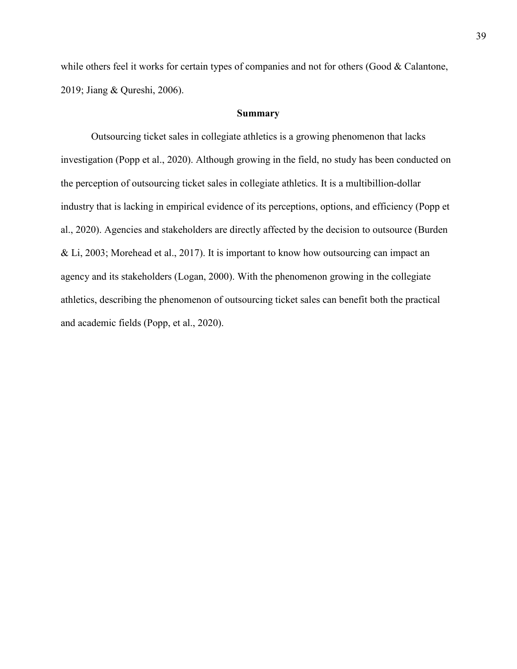while others feel it works for certain types of companies and not for others (Good & Calantone, 2019; Jiang & Qureshi, 2006).

# **Summary**

 Outsourcing ticket sales in collegiate athletics is a growing phenomenon that lacks investigation (Popp et al., 2020). Although growing in the field, no study has been conducted on the perception of outsourcing ticket sales in collegiate athletics. It is a multibillion-dollar industry that is lacking in empirical evidence of its perceptions, options, and efficiency (Popp et al., 2020). Agencies and stakeholders are directly affected by the decision to outsource (Burden & Li, 2003; Morehead et al., 2017). It is important to know how outsourcing can impact an agency and its stakeholders (Logan, 2000). With the phenomenon growing in the collegiate athletics, describing the phenomenon of outsourcing ticket sales can benefit both the practical and academic fields (Popp, et al., 2020).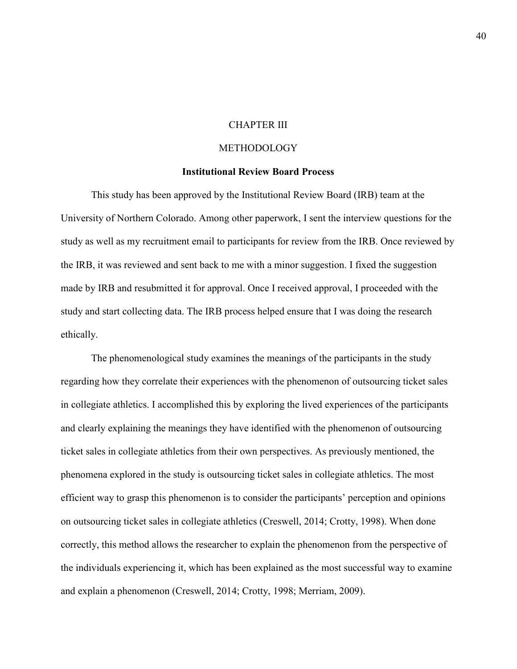# CHAPTER III

#### METHODOLOGY

#### **Institutional Review Board Process**

This study has been approved by the Institutional Review Board (IRB) team at the University of Northern Colorado. Among other paperwork, I sent the interview questions for the study as well as my recruitment email to participants for review from the IRB. Once reviewed by the IRB, it was reviewed and sent back to me with a minor suggestion. I fixed the suggestion made by IRB and resubmitted it for approval. Once I received approval, I proceeded with the study and start collecting data. The IRB process helped ensure that I was doing the research ethically.

The phenomenological study examines the meanings of the participants in the study regarding how they correlate their experiences with the phenomenon of outsourcing ticket sales in collegiate athletics. I accomplished this by exploring the lived experiences of the participants and clearly explaining the meanings they have identified with the phenomenon of outsourcing ticket sales in collegiate athletics from their own perspectives. As previously mentioned, the phenomena explored in the study is outsourcing ticket sales in collegiate athletics. The most efficient way to grasp this phenomenon is to consider the participants' perception and opinions on outsourcing ticket sales in collegiate athletics (Creswell, 2014; Crotty, 1998). When done correctly, this method allows the researcher to explain the phenomenon from the perspective of the individuals experiencing it, which has been explained as the most successful way to examine and explain a phenomenon (Creswell, 2014; Crotty, 1998; Merriam, 2009).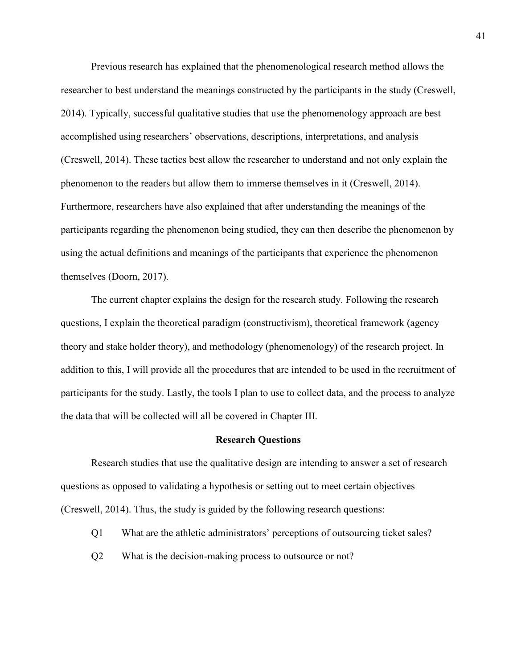Previous research has explained that the phenomenological research method allows the researcher to best understand the meanings constructed by the participants in the study (Creswell, 2014). Typically, successful qualitative studies that use the phenomenology approach are best accomplished using researchers' observations, descriptions, interpretations, and analysis (Creswell, 2014). These tactics best allow the researcher to understand and not only explain the phenomenon to the readers but allow them to immerse themselves in it (Creswell, 2014). Furthermore, researchers have also explained that after understanding the meanings of the participants regarding the phenomenon being studied, they can then describe the phenomenon by using the actual definitions and meanings of the participants that experience the phenomenon themselves (Doorn, 2017).

The current chapter explains the design for the research study. Following the research questions, I explain the theoretical paradigm (constructivism), theoretical framework (agency theory and stake holder theory), and methodology (phenomenology) of the research project. In addition to this, I will provide all the procedures that are intended to be used in the recruitment of participants for the study. Lastly, the tools I plan to use to collect data, and the process to analyze the data that will be collected will all be covered in Chapter III.

#### **Research Questions**

Research studies that use the qualitative design are intending to answer a set of research questions as opposed to validating a hypothesis or setting out to meet certain objectives (Creswell, 2014). Thus, the study is guided by the following research questions:

- Q1 What are the athletic administrators' perceptions of outsourcing ticket sales?
- Q2 What is the decision-making process to outsource or not?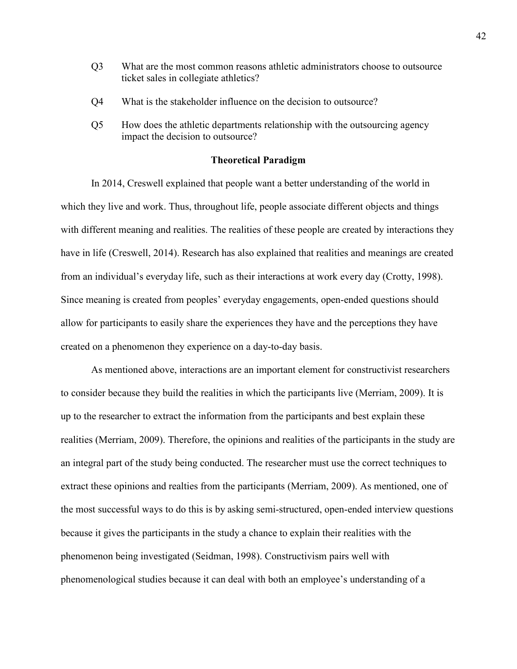- Q3 What are the most common reasons athletic administrators choose to outsource ticket sales in collegiate athletics?
- Q4 What is the stakeholder influence on the decision to outsource?
- Q5 How does the athletic departments relationship with the outsourcing agency impact the decision to outsource?

# **Theoretical Paradigm**

In 2014, Creswell explained that people want a better understanding of the world in which they live and work. Thus, throughout life, people associate different objects and things with different meaning and realities. The realities of these people are created by interactions they have in life (Creswell, 2014). Research has also explained that realities and meanings are created from an individual's everyday life, such as their interactions at work every day (Crotty, 1998). Since meaning is created from peoples' everyday engagements, open-ended questions should allow for participants to easily share the experiences they have and the perceptions they have created on a phenomenon they experience on a day-to-day basis.

As mentioned above, interactions are an important element for constructivist researchers to consider because they build the realities in which the participants live (Merriam, 2009). It is up to the researcher to extract the information from the participants and best explain these realities (Merriam, 2009). Therefore, the opinions and realities of the participants in the study are an integral part of the study being conducted. The researcher must use the correct techniques to extract these opinions and realties from the participants (Merriam, 2009). As mentioned, one of the most successful ways to do this is by asking semi-structured, open-ended interview questions because it gives the participants in the study a chance to explain their realities with the phenomenon being investigated (Seidman, 1998). Constructivism pairs well with phenomenological studies because it can deal with both an employee's understanding of a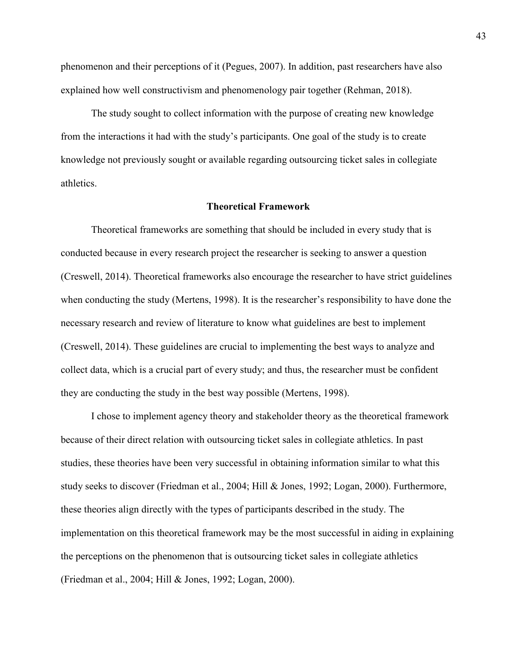phenomenon and their perceptions of it (Pegues, 2007). In addition, past researchers have also explained how well constructivism and phenomenology pair together (Rehman, 2018).

The study sought to collect information with the purpose of creating new knowledge from the interactions it had with the study's participants. One goal of the study is to create knowledge not previously sought or available regarding outsourcing ticket sales in collegiate athletics.

# **Theoretical Framework**

Theoretical frameworks are something that should be included in every study that is conducted because in every research project the researcher is seeking to answer a question (Creswell, 2014). Theoretical frameworks also encourage the researcher to have strict guidelines when conducting the study (Mertens, 1998). It is the researcher's responsibility to have done the necessary research and review of literature to know what guidelines are best to implement (Creswell, 2014). These guidelines are crucial to implementing the best ways to analyze and collect data, which is a crucial part of every study; and thus, the researcher must be confident they are conducting the study in the best way possible (Mertens, 1998).

I chose to implement agency theory and stakeholder theory as the theoretical framework because of their direct relation with outsourcing ticket sales in collegiate athletics. In past studies, these theories have been very successful in obtaining information similar to what this study seeks to discover (Friedman et al., 2004; Hill & Jones, 1992; Logan, 2000). Furthermore, these theories align directly with the types of participants described in the study. The implementation on this theoretical framework may be the most successful in aiding in explaining the perceptions on the phenomenon that is outsourcing ticket sales in collegiate athletics (Friedman et al., 2004; Hill & Jones, 1992; Logan, 2000).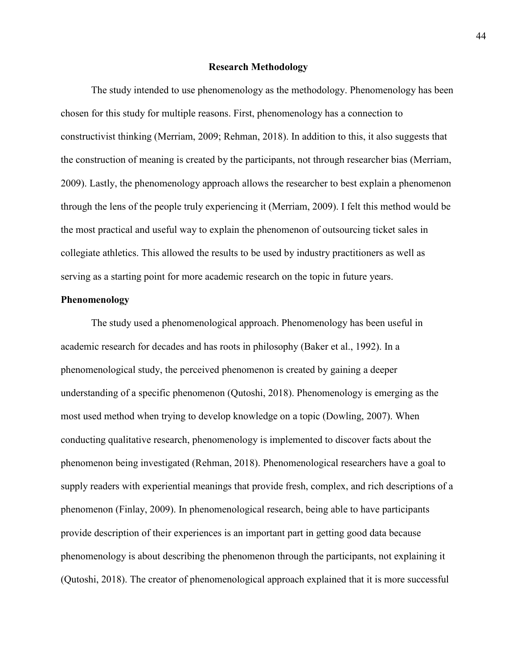### **Research Methodology**

The study intended to use phenomenology as the methodology. Phenomenology has been chosen for this study for multiple reasons. First, phenomenology has a connection to constructivist thinking (Merriam, 2009; Rehman, 2018). In addition to this, it also suggests that the construction of meaning is created by the participants, not through researcher bias (Merriam, 2009). Lastly, the phenomenology approach allows the researcher to best explain a phenomenon through the lens of the people truly experiencing it (Merriam, 2009). I felt this method would be the most practical and useful way to explain the phenomenon of outsourcing ticket sales in collegiate athletics. This allowed the results to be used by industry practitioners as well as serving as a starting point for more academic research on the topic in future years.

# **Phenomenology**

 The study used a phenomenological approach. Phenomenology has been useful in academic research for decades and has roots in philosophy (Baker et al., 1992). In a phenomenological study, the perceived phenomenon is created by gaining a deeper understanding of a specific phenomenon (Qutoshi, 2018). Phenomenology is emerging as the most used method when trying to develop knowledge on a topic (Dowling, 2007). When conducting qualitative research, phenomenology is implemented to discover facts about the phenomenon being investigated (Rehman, 2018). Phenomenological researchers have a goal to supply readers with experiential meanings that provide fresh, complex, and rich descriptions of a phenomenon (Finlay, 2009). In phenomenological research, being able to have participants provide description of their experiences is an important part in getting good data because phenomenology is about describing the phenomenon through the participants, not explaining it (Qutoshi, 2018). The creator of phenomenological approach explained that it is more successful

44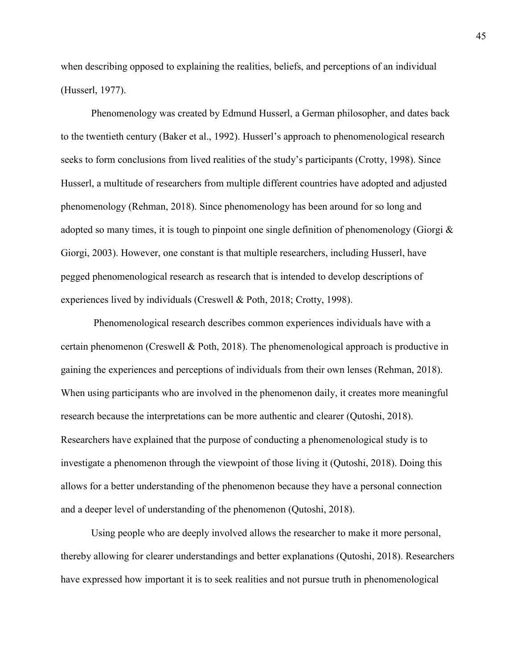when describing opposed to explaining the realities, beliefs, and perceptions of an individual (Husserl, 1977).

Phenomenology was created by Edmund Husserl, a German philosopher, and dates back to the twentieth century (Baker et al., 1992). Husserl's approach to phenomenological research seeks to form conclusions from lived realities of the study's participants (Crotty, 1998). Since Husserl, a multitude of researchers from multiple different countries have adopted and adjusted phenomenology (Rehman, 2018). Since phenomenology has been around for so long and adopted so many times, it is tough to pinpoint one single definition of phenomenology (Giorgi  $\&$ Giorgi, 2003). However, one constant is that multiple researchers, including Husserl, have pegged phenomenological research as research that is intended to develop descriptions of experiences lived by individuals (Creswell & Poth, 2018; Crotty, 1998).

 Phenomenological research describes common experiences individuals have with a certain phenomenon (Creswell & Poth, 2018). The phenomenological approach is productive in gaining the experiences and perceptions of individuals from their own lenses (Rehman, 2018). When using participants who are involved in the phenomenon daily, it creates more meaningful research because the interpretations can be more authentic and clearer (Qutoshi, 2018). Researchers have explained that the purpose of conducting a phenomenological study is to investigate a phenomenon through the viewpoint of those living it (Qutoshi, 2018). Doing this allows for a better understanding of the phenomenon because they have a personal connection and a deeper level of understanding of the phenomenon (Qutoshi, 2018).

Using people who are deeply involved allows the researcher to make it more personal, thereby allowing for clearer understandings and better explanations (Qutoshi, 2018). Researchers have expressed how important it is to seek realities and not pursue truth in phenomenological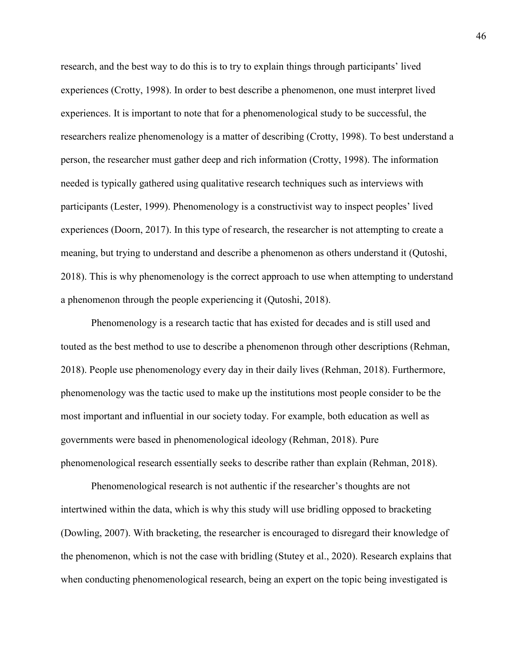research, and the best way to do this is to try to explain things through participants' lived experiences (Crotty, 1998). In order to best describe a phenomenon, one must interpret lived experiences. It is important to note that for a phenomenological study to be successful, the researchers realize phenomenology is a matter of describing (Crotty, 1998). To best understand a person, the researcher must gather deep and rich information (Crotty, 1998). The information needed is typically gathered using qualitative research techniques such as interviews with participants (Lester, 1999). Phenomenology is a constructivist way to inspect peoples' lived experiences (Doorn, 2017). In this type of research, the researcher is not attempting to create a meaning, but trying to understand and describe a phenomenon as others understand it (Qutoshi, 2018). This is why phenomenology is the correct approach to use when attempting to understand a phenomenon through the people experiencing it (Qutoshi, 2018).

Phenomenology is a research tactic that has existed for decades and is still used and touted as the best method to use to describe a phenomenon through other descriptions (Rehman, 2018). People use phenomenology every day in their daily lives (Rehman, 2018). Furthermore, phenomenology was the tactic used to make up the institutions most people consider to be the most important and influential in our society today. For example, both education as well as governments were based in phenomenological ideology (Rehman, 2018). Pure phenomenological research essentially seeks to describe rather than explain (Rehman, 2018).

Phenomenological research is not authentic if the researcher's thoughts are not intertwined within the data, which is why this study will use bridling opposed to bracketing (Dowling, 2007). With bracketing, the researcher is encouraged to disregard their knowledge of the phenomenon, which is not the case with bridling (Stutey et al., 2020). Research explains that when conducting phenomenological research, being an expert on the topic being investigated is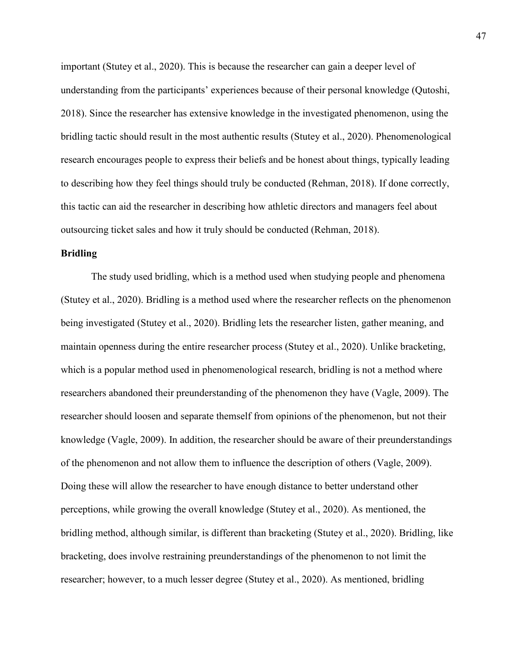important (Stutey et al., 2020). This is because the researcher can gain a deeper level of understanding from the participants' experiences because of their personal knowledge (Qutoshi, 2018). Since the researcher has extensive knowledge in the investigated phenomenon, using the bridling tactic should result in the most authentic results (Stutey et al., 2020). Phenomenological research encourages people to express their beliefs and be honest about things, typically leading to describing how they feel things should truly be conducted (Rehman, 2018). If done correctly, this tactic can aid the researcher in describing how athletic directors and managers feel about outsourcing ticket sales and how it truly should be conducted (Rehman, 2018).

# **Bridling**

The study used bridling, which is a method used when studying people and phenomena (Stutey et al., 2020). Bridling is a method used where the researcher reflects on the phenomenon being investigated (Stutey et al., 2020). Bridling lets the researcher listen, gather meaning, and maintain openness during the entire researcher process (Stutey et al., 2020). Unlike bracketing, which is a popular method used in phenomenological research, bridling is not a method where researchers abandoned their preunderstanding of the phenomenon they have (Vagle, 2009). The researcher should loosen and separate themself from opinions of the phenomenon, but not their knowledge (Vagle, 2009). In addition, the researcher should be aware of their preunderstandings of the phenomenon and not allow them to influence the description of others (Vagle, 2009). Doing these will allow the researcher to have enough distance to better understand other perceptions, while growing the overall knowledge (Stutey et al., 2020). As mentioned, the bridling method, although similar, is different than bracketing (Stutey et al., 2020). Bridling, like bracketing, does involve restraining preunderstandings of the phenomenon to not limit the researcher; however, to a much lesser degree (Stutey et al., 2020). As mentioned, bridling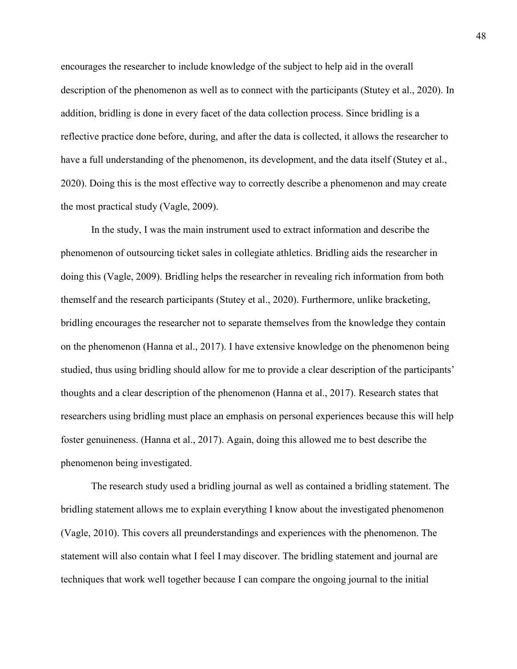encourages the researcher to include knowledge of the subject to help aid in the overall description of the phenomenon as well as to connect with the participants (Stutey et al., 2020). In addition, bridling is done in every facet of the data collection process. Since bridling is a reflective practice done before, during, and after the data is collected, it allows the researcher to have a full understanding of the phenomenon, its development, and the data itself (Stutey et al., 2020). Doing this is the most effective way to correctly describe a phenomenon and may create the most practical study (Vagle, 2009).

In the study, I was the main instrument used to extract information and describe the phenomenon of outsourcing ticket sales in collegiate athletics. Bridling aids the researcher in doing this (Vagle, 2009). Bridling helps the researcher in revealing rich information from both themself and the research participants (Stutey et al., 2020). Furthermore, unlike bracketing, bridling encourages the researcher not to separate themselves from the knowledge they contain on the phenomenon (Hanna et al., 2017). I have extensive knowledge on the phenomenon being studied, thus using bridling should allow for me to provide a clear description of the participants' thoughts and a clear description of the phenomenon (Hanna et al., 2017). Research states that researchers using bridling must place an emphasis on personal experiences because this will help foster genuineness. (Hanna et al., 2017). Again, doing this allowed me to best describe the phenomenon being investigated.

The research study used a bridling journal as well as contained a bridling statement. The bridling statement allows me to explain everything I know about the investigated phenomenon (Vagle, 2010). This covers all preunderstandings and experiences with the phenomenon. The statement will also contain what I feel I may discover. The bridling statement and journal are techniques that work well together because I can compare the ongoing journal to the initial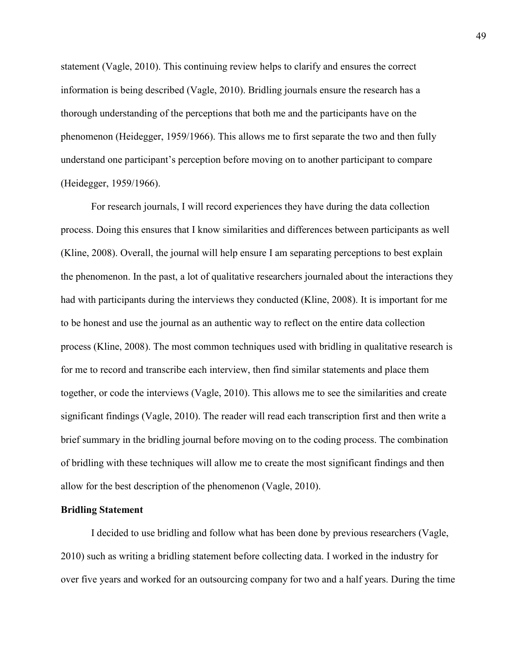statement (Vagle, 2010). This continuing review helps to clarify and ensures the correct information is being described (Vagle, 2010). Bridling journals ensure the research has a thorough understanding of the perceptions that both me and the participants have on the phenomenon (Heidegger, 1959/1966). This allows me to first separate the two and then fully understand one participant's perception before moving on to another participant to compare (Heidegger, 1959/1966).

For research journals, I will record experiences they have during the data collection process. Doing this ensures that I know similarities and differences between participants as well (Kline, 2008). Overall, the journal will help ensure I am separating perceptions to best explain the phenomenon. In the past, a lot of qualitative researchers journaled about the interactions they had with participants during the interviews they conducted (Kline, 2008). It is important for me to be honest and use the journal as an authentic way to reflect on the entire data collection process (Kline, 2008). The most common techniques used with bridling in qualitative research is for me to record and transcribe each interview, then find similar statements and place them together, or code the interviews (Vagle, 2010). This allows me to see the similarities and create significant findings (Vagle, 2010). The reader will read each transcription first and then write a brief summary in the bridling journal before moving on to the coding process. The combination of bridling with these techniques will allow me to create the most significant findings and then allow for the best description of the phenomenon (Vagle, 2010).

### **Bridling Statement**

I decided to use bridling and follow what has been done by previous researchers (Vagle, 2010) such as writing a bridling statement before collecting data. I worked in the industry for over five years and worked for an outsourcing company for two and a half years. During the time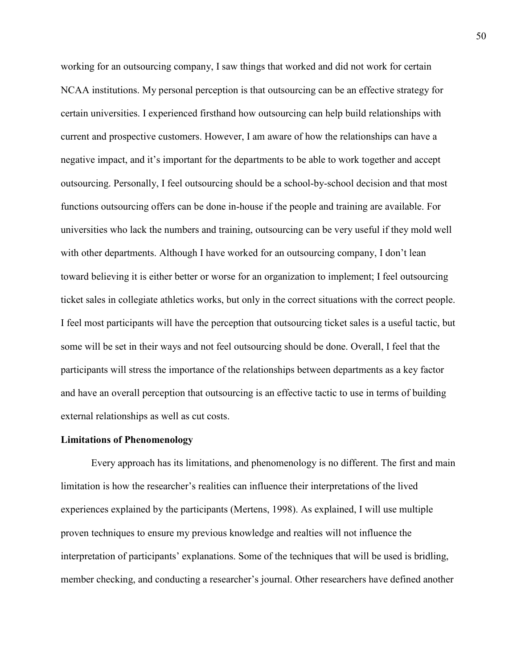working for an outsourcing company, I saw things that worked and did not work for certain NCAA institutions. My personal perception is that outsourcing can be an effective strategy for certain universities. I experienced firsthand how outsourcing can help build relationships with current and prospective customers. However, I am aware of how the relationships can have a negative impact, and it's important for the departments to be able to work together and accept outsourcing. Personally, I feel outsourcing should be a school-by-school decision and that most functions outsourcing offers can be done in-house if the people and training are available. For universities who lack the numbers and training, outsourcing can be very useful if they mold well with other departments. Although I have worked for an outsourcing company, I don't lean toward believing it is either better or worse for an organization to implement; I feel outsourcing ticket sales in collegiate athletics works, but only in the correct situations with the correct people. I feel most participants will have the perception that outsourcing ticket sales is a useful tactic, but some will be set in their ways and not feel outsourcing should be done. Overall, I feel that the participants will stress the importance of the relationships between departments as a key factor and have an overall perception that outsourcing is an effective tactic to use in terms of building external relationships as well as cut costs.

#### **Limitations of Phenomenology**

Every approach has its limitations, and phenomenology is no different. The first and main limitation is how the researcher's realities can influence their interpretations of the lived experiences explained by the participants (Mertens, 1998). As explained, I will use multiple proven techniques to ensure my previous knowledge and realties will not influence the interpretation of participants' explanations. Some of the techniques that will be used is bridling, member checking, and conducting a researcher's journal. Other researchers have defined another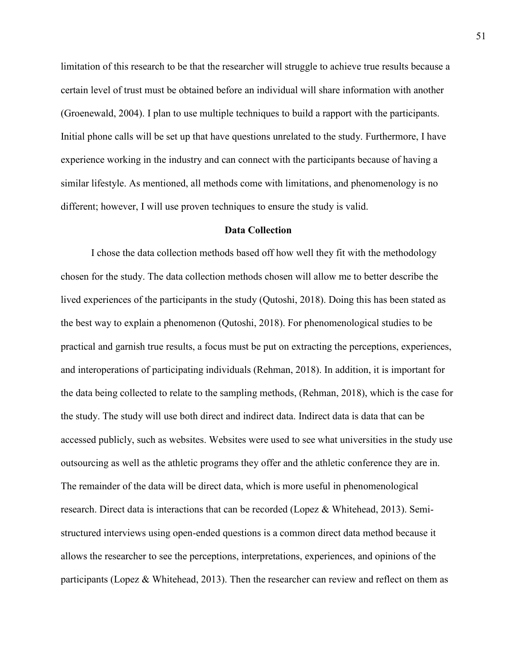limitation of this research to be that the researcher will struggle to achieve true results because a certain level of trust must be obtained before an individual will share information with another (Groenewald, 2004). I plan to use multiple techniques to build a rapport with the participants. Initial phone calls will be set up that have questions unrelated to the study. Furthermore, I have experience working in the industry and can connect with the participants because of having a similar lifestyle. As mentioned, all methods come with limitations, and phenomenology is no different; however, I will use proven techniques to ensure the study is valid.

#### **Data Collection**

I chose the data collection methods based off how well they fit with the methodology chosen for the study. The data collection methods chosen will allow me to better describe the lived experiences of the participants in the study (Qutoshi, 2018). Doing this has been stated as the best way to explain a phenomenon (Qutoshi, 2018). For phenomenological studies to be practical and garnish true results, a focus must be put on extracting the perceptions, experiences, and interoperations of participating individuals (Rehman, 2018). In addition, it is important for the data being collected to relate to the sampling methods, (Rehman, 2018), which is the case for the study. The study will use both direct and indirect data. Indirect data is data that can be accessed publicly, such as websites. Websites were used to see what universities in the study use outsourcing as well as the athletic programs they offer and the athletic conference they are in. The remainder of the data will be direct data, which is more useful in phenomenological research. Direct data is interactions that can be recorded (Lopez & Whitehead, 2013). Semistructured interviews using open-ended questions is a common direct data method because it allows the researcher to see the perceptions, interpretations, experiences, and opinions of the participants (Lopez & Whitehead, 2013). Then the researcher can review and reflect on them as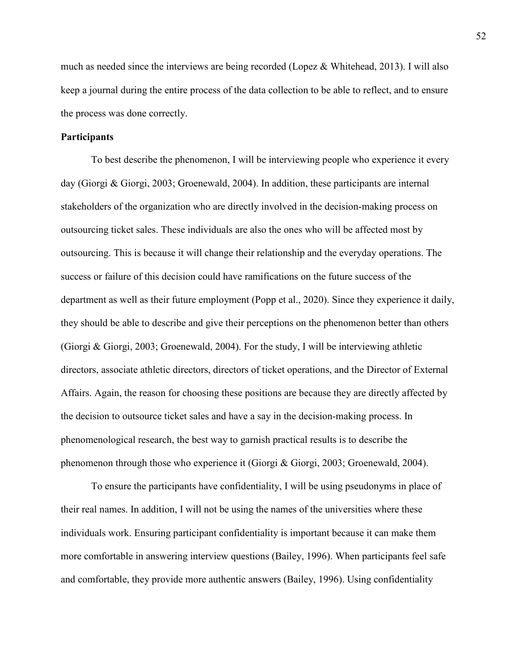much as needed since the interviews are being recorded (Lopez & Whitehead, 2013). I will also keep a journal during the entire process of the data collection to be able to reflect, and to ensure the process was done correctly.

# **Participants**

To best describe the phenomenon, I will be interviewing people who experience it every day (Giorgi & Giorgi, 2003; Groenewald, 2004). In addition, these participants are internal stakeholders of the organization who are directly involved in the decision-making process on outsourcing ticket sales. These individuals are also the ones who will be affected most by outsourcing. This is because it will change their relationship and the everyday operations. The success or failure of this decision could have ramifications on the future success of the department as well as their future employment (Popp et al., 2020). Since they experience it daily, they should be able to describe and give their perceptions on the phenomenon better than others (Giorgi & Giorgi, 2003; Groenewald, 2004). For the study, I will be interviewing athletic directors, associate athletic directors, directors of ticket operations, and the Director of External Affairs. Again, the reason for choosing these positions are because they are directly affected by the decision to outsource ticket sales and have a say in the decision-making process. In phenomenological research, the best way to garnish practical results is to describe the phenomenon through those who experience it (Giorgi & Giorgi, 2003; Groenewald, 2004).

To ensure the participants have confidentiality, I will be using pseudonyms in place of their real names. In addition, I will not be using the names of the universities where these individuals work. Ensuring participant confidentiality is important because it can make them more comfortable in answering interview questions (Bailey, 1996). When participants feel safe and comfortable, they provide more authentic answers (Bailey, 1996). Using confidentiality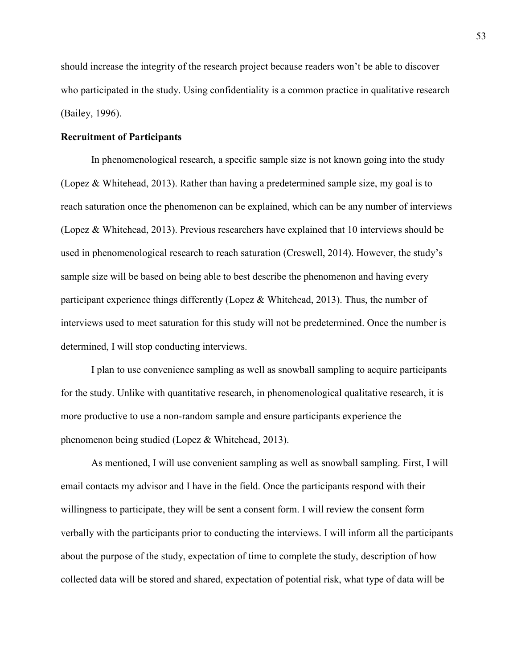should increase the integrity of the research project because readers won't be able to discover who participated in the study. Using confidentiality is a common practice in qualitative research (Bailey, 1996).

# **Recruitment of Participants**

In phenomenological research, a specific sample size is not known going into the study (Lopez & Whitehead, 2013). Rather than having a predetermined sample size, my goal is to reach saturation once the phenomenon can be explained, which can be any number of interviews (Lopez & Whitehead, 2013). Previous researchers have explained that 10 interviews should be used in phenomenological research to reach saturation (Creswell, 2014). However, the study's sample size will be based on being able to best describe the phenomenon and having every participant experience things differently (Lopez & Whitehead, 2013). Thus, the number of interviews used to meet saturation for this study will not be predetermined. Once the number is determined, I will stop conducting interviews.

I plan to use convenience sampling as well as snowball sampling to acquire participants for the study. Unlike with quantitative research, in phenomenological qualitative research, it is more productive to use a non-random sample and ensure participants experience the phenomenon being studied (Lopez & Whitehead, 2013).

 As mentioned, I will use convenient sampling as well as snowball sampling. First, I will email contacts my advisor and I have in the field. Once the participants respond with their willingness to participate, they will be sent a consent form. I will review the consent form verbally with the participants prior to conducting the interviews. I will inform all the participants about the purpose of the study, expectation of time to complete the study, description of how collected data will be stored and shared, expectation of potential risk, what type of data will be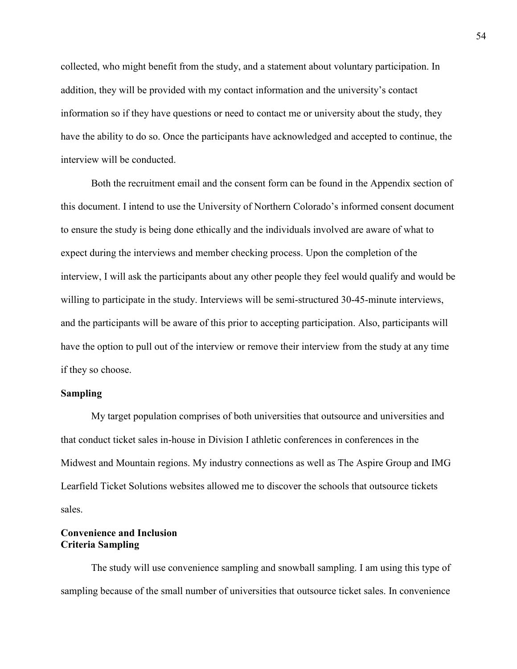collected, who might benefit from the study, and a statement about voluntary participation. In addition, they will be provided with my contact information and the university's contact information so if they have questions or need to contact me or university about the study, they have the ability to do so. Once the participants have acknowledged and accepted to continue, the interview will be conducted.

Both the recruitment email and the consent form can be found in the Appendix section of this document. I intend to use the University of Northern Colorado's informed consent document to ensure the study is being done ethically and the individuals involved are aware of what to expect during the interviews and member checking process. Upon the completion of the interview, I will ask the participants about any other people they feel would qualify and would be willing to participate in the study. Interviews will be semi-structured 30-45-minute interviews, and the participants will be aware of this prior to accepting participation. Also, participants will have the option to pull out of the interview or remove their interview from the study at any time if they so choose.

# **Sampling**

My target population comprises of both universities that outsource and universities and that conduct ticket sales in-house in Division I athletic conferences in conferences in the Midwest and Mountain regions. My industry connections as well as The Aspire Group and IMG Learfield Ticket Solutions websites allowed me to discover the schools that outsource tickets sales.

# **Convenience and Inclusion Criteria Sampling**

The study will use convenience sampling and snowball sampling. I am using this type of sampling because of the small number of universities that outsource ticket sales. In convenience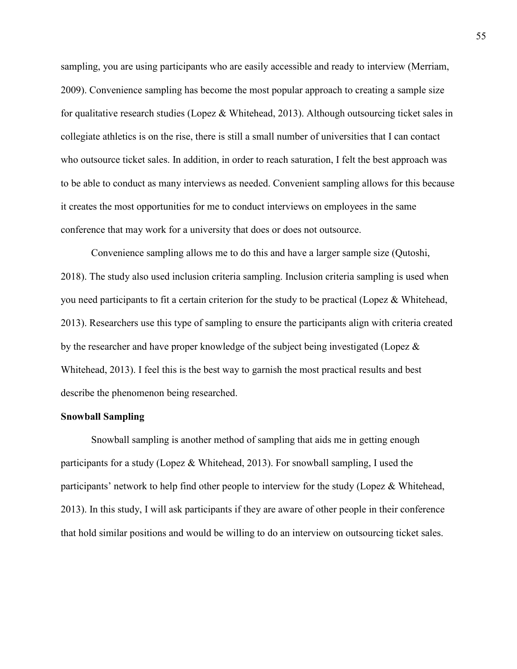sampling, you are using participants who are easily accessible and ready to interview (Merriam, 2009). Convenience sampling has become the most popular approach to creating a sample size for qualitative research studies (Lopez & Whitehead, 2013). Although outsourcing ticket sales in collegiate athletics is on the rise, there is still a small number of universities that I can contact who outsource ticket sales. In addition, in order to reach saturation, I felt the best approach was to be able to conduct as many interviews as needed. Convenient sampling allows for this because it creates the most opportunities for me to conduct interviews on employees in the same conference that may work for a university that does or does not outsource.

Convenience sampling allows me to do this and have a larger sample size (Qutoshi, 2018). The study also used inclusion criteria sampling. Inclusion criteria sampling is used when you need participants to fit a certain criterion for the study to be practical (Lopez & Whitehead, 2013). Researchers use this type of sampling to ensure the participants align with criteria created by the researcher and have proper knowledge of the subject being investigated (Lopez & Whitehead, 2013). I feel this is the best way to garnish the most practical results and best describe the phenomenon being researched.

# **Snowball Sampling**

Snowball sampling is another method of sampling that aids me in getting enough participants for a study (Lopez & Whitehead, 2013). For snowball sampling, I used the participants' network to help find other people to interview for the study (Lopez  $\&$  Whitehead, 2013). In this study, I will ask participants if they are aware of other people in their conference that hold similar positions and would be willing to do an interview on outsourcing ticket sales.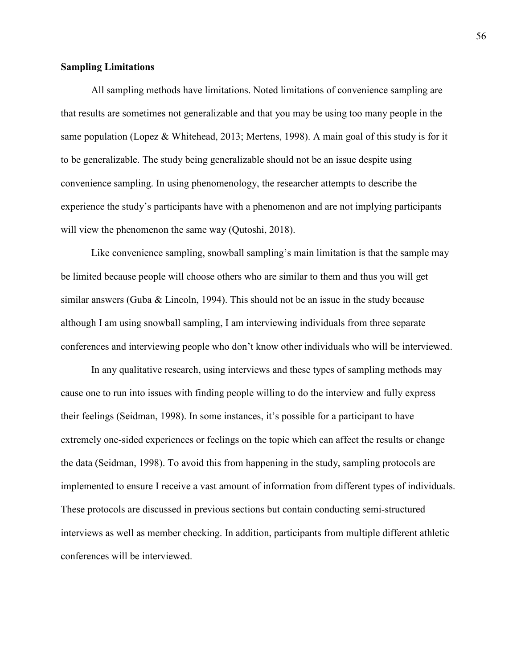# **Sampling Limitations**

All sampling methods have limitations. Noted limitations of convenience sampling are that results are sometimes not generalizable and that you may be using too many people in the same population (Lopez & Whitehead, 2013; Mertens, 1998). A main goal of this study is for it to be generalizable. The study being generalizable should not be an issue despite using convenience sampling. In using phenomenology, the researcher attempts to describe the experience the study's participants have with a phenomenon and are not implying participants will view the phenomenon the same way (Qutoshi, 2018).

 Like convenience sampling, snowball sampling's main limitation is that the sample may be limited because people will choose others who are similar to them and thus you will get similar answers (Guba & Lincoln, 1994). This should not be an issue in the study because although I am using snowball sampling, I am interviewing individuals from three separate conferences and interviewing people who don't know other individuals who will be interviewed.

 In any qualitative research, using interviews and these types of sampling methods may cause one to run into issues with finding people willing to do the interview and fully express their feelings (Seidman, 1998). In some instances, it's possible for a participant to have extremely one-sided experiences or feelings on the topic which can affect the results or change the data (Seidman, 1998). To avoid this from happening in the study, sampling protocols are implemented to ensure I receive a vast amount of information from different types of individuals. These protocols are discussed in previous sections but contain conducting semi-structured interviews as well as member checking. In addition, participants from multiple different athletic conferences will be interviewed.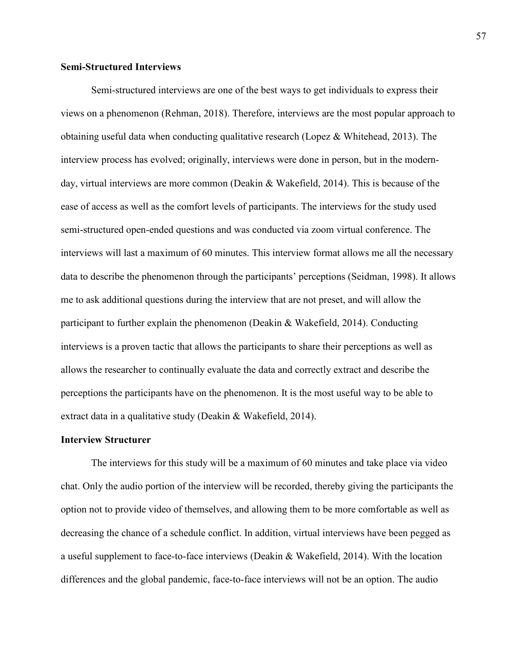# **Semi-Structured Interviews**

Semi-structured interviews are one of the best ways to get individuals to express their views on a phenomenon (Rehman, 2018). Therefore, interviews are the most popular approach to obtaining useful data when conducting qualitative research (Lopez & Whitehead, 2013). The interview process has evolved; originally, interviews were done in person, but in the modernday, virtual interviews are more common (Deakin & Wakefield, 2014). This is because of the ease of access as well as the comfort levels of participants. The interviews for the study used semi-structured open-ended questions and was conducted via zoom virtual conference. The interviews will last a maximum of 60 minutes. This interview format allows me all the necessary data to describe the phenomenon through the participants' perceptions (Seidman, 1998). It allows me to ask additional questions during the interview that are not preset, and will allow the participant to further explain the phenomenon (Deakin & Wakefield, 2014). Conducting interviews is a proven tactic that allows the participants to share their perceptions as well as allows the researcher to continually evaluate the data and correctly extract and describe the perceptions the participants have on the phenomenon. It is the most useful way to be able to extract data in a qualitative study (Deakin & Wakefield, 2014).

#### **Interview Structurer**

The interviews for this study will be a maximum of 60 minutes and take place via video chat. Only the audio portion of the interview will be recorded, thereby giving the participants the option not to provide video of themselves, and allowing them to be more comfortable as well as decreasing the chance of a schedule conflict. In addition, virtual interviews have been pegged as a useful supplement to face-to-face interviews (Deakin & Wakefield, 2014). With the location differences and the global pandemic, face-to-face interviews will not be an option. The audio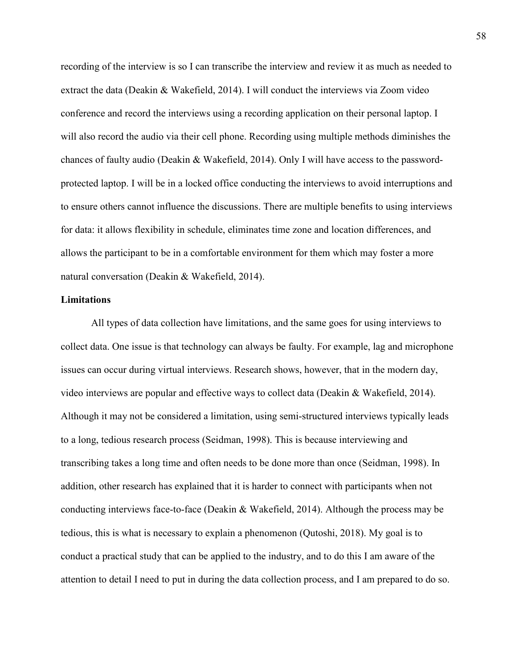recording of the interview is so I can transcribe the interview and review it as much as needed to extract the data (Deakin & Wakefield, 2014). I will conduct the interviews via Zoom video conference and record the interviews using a recording application on their personal laptop. I will also record the audio via their cell phone. Recording using multiple methods diminishes the chances of faulty audio (Deakin & Wakefield, 2014). Only I will have access to the passwordprotected laptop. I will be in a locked office conducting the interviews to avoid interruptions and to ensure others cannot influence the discussions. There are multiple benefits to using interviews for data: it allows flexibility in schedule, eliminates time zone and location differences, and allows the participant to be in a comfortable environment for them which may foster a more natural conversation (Deakin & Wakefield, 2014).

#### **Limitations**

All types of data collection have limitations, and the same goes for using interviews to collect data. One issue is that technology can always be faulty. For example, lag and microphone issues can occur during virtual interviews. Research shows, however, that in the modern day, video interviews are popular and effective ways to collect data (Deakin & Wakefield, 2014). Although it may not be considered a limitation, using semi-structured interviews typically leads to a long, tedious research process (Seidman, 1998). This is because interviewing and transcribing takes a long time and often needs to be done more than once (Seidman, 1998). In addition, other research has explained that it is harder to connect with participants when not conducting interviews face-to-face (Deakin & Wakefield, 2014). Although the process may be tedious, this is what is necessary to explain a phenomenon (Qutoshi, 2018). My goal is to conduct a practical study that can be applied to the industry, and to do this I am aware of the attention to detail I need to put in during the data collection process, and I am prepared to do so.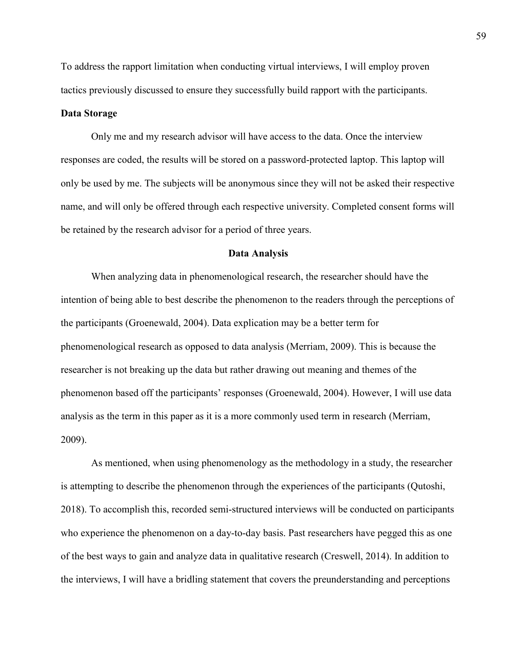To address the rapport limitation when conducting virtual interviews, I will employ proven tactics previously discussed to ensure they successfully build rapport with the participants.

# **Data Storage**

Only me and my research advisor will have access to the data. Once the interview responses are coded, the results will be stored on a password-protected laptop. This laptop will only be used by me. The subjects will be anonymous since they will not be asked their respective name, and will only be offered through each respective university. Completed consent forms will be retained by the research advisor for a period of three years.

#### **Data Analysis**

When analyzing data in phenomenological research, the researcher should have the intention of being able to best describe the phenomenon to the readers through the perceptions of the participants (Groenewald, 2004). Data explication may be a better term for phenomenological research as opposed to data analysis (Merriam, 2009). This is because the researcher is not breaking up the data but rather drawing out meaning and themes of the phenomenon based off the participants' responses (Groenewald, 2004). However, I will use data analysis as the term in this paper as it is a more commonly used term in research (Merriam, 2009).

As mentioned, when using phenomenology as the methodology in a study, the researcher is attempting to describe the phenomenon through the experiences of the participants (Qutoshi, 2018). To accomplish this, recorded semi-structured interviews will be conducted on participants who experience the phenomenon on a day-to-day basis. Past researchers have pegged this as one of the best ways to gain and analyze data in qualitative research (Creswell, 2014). In addition to the interviews, I will have a bridling statement that covers the preunderstanding and perceptions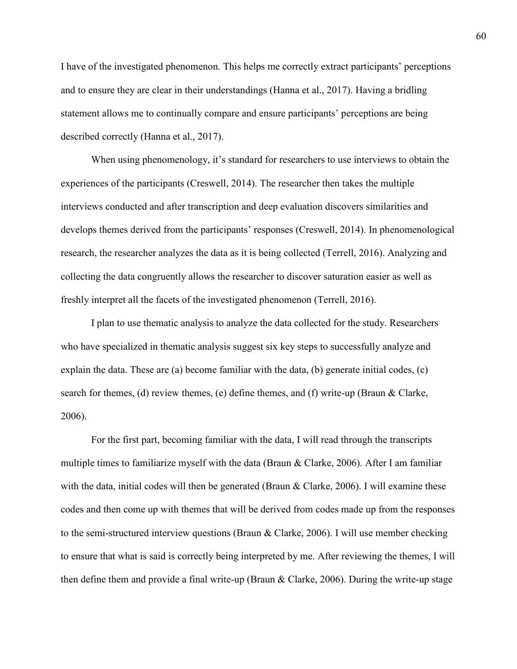I have of the investigated phenomenon. This helps me correctly extract participants' perceptions and to ensure they are clear in their understandings (Hanna et al., 2017). Having a bridling statement allows me to continually compare and ensure participants' perceptions are being described correctly (Hanna et al., 2017).

When using phenomenology, it's standard for researchers to use interviews to obtain the experiences of the participants (Creswell, 2014). The researcher then takes the multiple interviews conducted and after transcription and deep evaluation discovers similarities and develops themes derived from the participants' responses (Creswell, 2014). In phenomenological research, the researcher analyzes the data as it is being collected (Terrell, 2016). Analyzing and collecting the data congruently allows the researcher to discover saturation easier as well as freshly interpret all the facets of the investigated phenomenon (Terrell, 2016).

I plan to use thematic analysis to analyze the data collected for the study. Researchers who have specialized in thematic analysis suggest six key steps to successfully analyze and explain the data. These are (a) become familiar with the data, (b) generate initial codes,  $(c)$ search for themes, (d) review themes, (e) define themes, and (f) write-up (Braun & Clarke, 2006).

For the first part, becoming familiar with the data, I will read through the transcripts multiple times to familiarize myself with the data (Braun  $\&$  Clarke, 2006). After I am familiar with the data, initial codes will then be generated (Braun  $\&$  Clarke, 2006). I will examine these codes and then come up with themes that will be derived from codes made up from the responses to the semi-structured interview questions (Braun & Clarke, 2006). I will use member checking to ensure that what is said is correctly being interpreted by me. After reviewing the themes, I will then define them and provide a final write-up (Braun & Clarke, 2006). During the write-up stage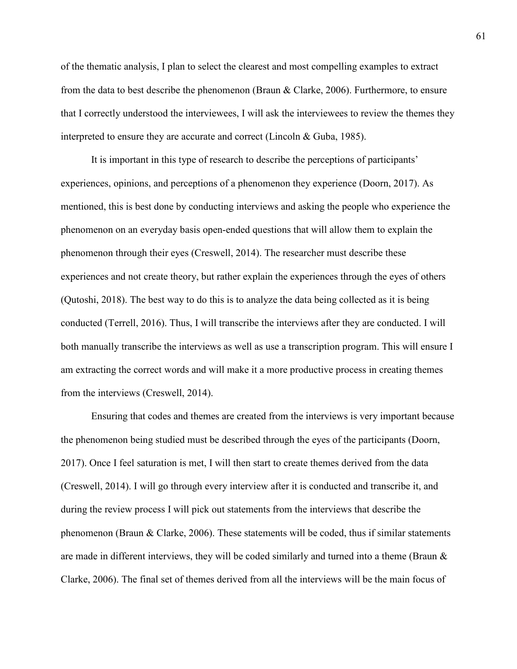of the thematic analysis, I plan to select the clearest and most compelling examples to extract from the data to best describe the phenomenon (Braun & Clarke, 2006). Furthermore, to ensure that I correctly understood the interviewees, I will ask the interviewees to review the themes they interpreted to ensure they are accurate and correct (Lincoln & Guba, 1985).

It is important in this type of research to describe the perceptions of participants' experiences, opinions, and perceptions of a phenomenon they experience (Doorn, 2017). As mentioned, this is best done by conducting interviews and asking the people who experience the phenomenon on an everyday basis open-ended questions that will allow them to explain the phenomenon through their eyes (Creswell, 2014). The researcher must describe these experiences and not create theory, but rather explain the experiences through the eyes of others (Qutoshi, 2018). The best way to do this is to analyze the data being collected as it is being conducted (Terrell, 2016). Thus, I will transcribe the interviews after they are conducted. I will both manually transcribe the interviews as well as use a transcription program. This will ensure I am extracting the correct words and will make it a more productive process in creating themes from the interviews (Creswell, 2014).

Ensuring that codes and themes are created from the interviews is very important because the phenomenon being studied must be described through the eyes of the participants (Doorn, 2017). Once I feel saturation is met, I will then start to create themes derived from the data (Creswell, 2014). I will go through every interview after it is conducted and transcribe it, and during the review process I will pick out statements from the interviews that describe the phenomenon (Braun & Clarke, 2006). These statements will be coded, thus if similar statements are made in different interviews, they will be coded similarly and turned into a theme (Braun  $\&$ Clarke, 2006). The final set of themes derived from all the interviews will be the main focus of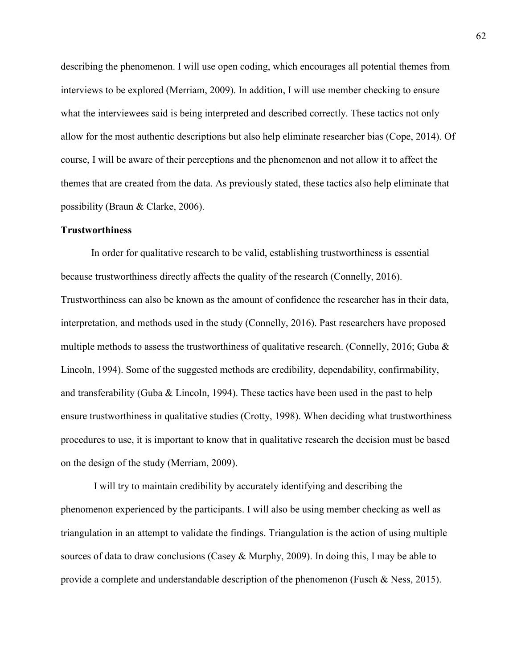describing the phenomenon. I will use open coding, which encourages all potential themes from interviews to be explored (Merriam, 2009). In addition, I will use member checking to ensure what the interviewees said is being interpreted and described correctly. These tactics not only allow for the most authentic descriptions but also help eliminate researcher bias (Cope, 2014). Of course, I will be aware of their perceptions and the phenomenon and not allow it to affect the themes that are created from the data. As previously stated, these tactics also help eliminate that possibility (Braun & Clarke, 2006).

### **Trustworthiness**

In order for qualitative research to be valid, establishing trustworthiness is essential because trustworthiness directly affects the quality of the research (Connelly, 2016). Trustworthiness can also be known as the amount of confidence the researcher has in their data, interpretation, and methods used in the study (Connelly, 2016). Past researchers have proposed multiple methods to assess the trustworthiness of qualitative research. (Connelly, 2016; Guba & Lincoln, 1994). Some of the suggested methods are credibility, dependability, confirmability, and transferability (Guba & Lincoln, 1994). These tactics have been used in the past to help ensure trustworthiness in qualitative studies (Crotty, 1998). When deciding what trustworthiness procedures to use, it is important to know that in qualitative research the decision must be based on the design of the study (Merriam, 2009).

 I will try to maintain credibility by accurately identifying and describing the phenomenon experienced by the participants. I will also be using member checking as well as triangulation in an attempt to validate the findings. Triangulation is the action of using multiple sources of data to draw conclusions (Casey & Murphy, 2009). In doing this, I may be able to provide a complete and understandable description of the phenomenon (Fusch & Ness, 2015).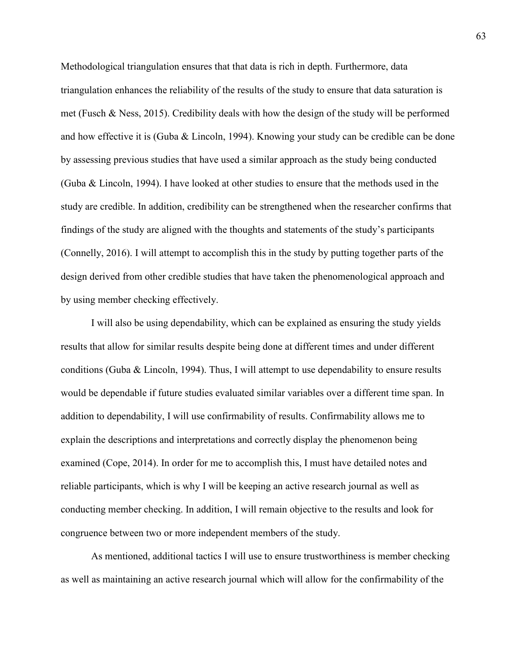Methodological triangulation ensures that that data is rich in depth. Furthermore, data triangulation enhances the reliability of the results of the study to ensure that data saturation is met (Fusch & Ness, 2015). Credibility deals with how the design of the study will be performed and how effective it is (Guba & Lincoln, 1994). Knowing your study can be credible can be done by assessing previous studies that have used a similar approach as the study being conducted (Guba & Lincoln, 1994). I have looked at other studies to ensure that the methods used in the study are credible. In addition, credibility can be strengthened when the researcher confirms that findings of the study are aligned with the thoughts and statements of the study's participants (Connelly, 2016). I will attempt to accomplish this in the study by putting together parts of the design derived from other credible studies that have taken the phenomenological approach and by using member checking effectively.

I will also be using dependability, which can be explained as ensuring the study yields results that allow for similar results despite being done at different times and under different conditions (Guba & Lincoln, 1994). Thus, I will attempt to use dependability to ensure results would be dependable if future studies evaluated similar variables over a different time span. In addition to dependability, I will use confirmability of results. Confirmability allows me to explain the descriptions and interpretations and correctly display the phenomenon being examined (Cope, 2014). In order for me to accomplish this, I must have detailed notes and reliable participants, which is why I will be keeping an active research journal as well as conducting member checking. In addition, I will remain objective to the results and look for congruence between two or more independent members of the study.

As mentioned, additional tactics I will use to ensure trustworthiness is member checking as well as maintaining an active research journal which will allow for the confirmability of the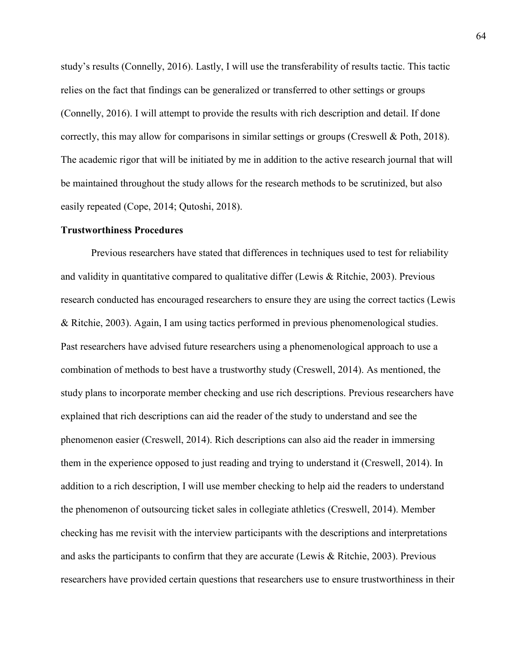study's results (Connelly, 2016). Lastly, I will use the transferability of results tactic. This tactic relies on the fact that findings can be generalized or transferred to other settings or groups (Connelly, 2016). I will attempt to provide the results with rich description and detail. If done correctly, this may allow for comparisons in similar settings or groups (Creswell & Poth, 2018). The academic rigor that will be initiated by me in addition to the active research journal that will be maintained throughout the study allows for the research methods to be scrutinized, but also easily repeated (Cope, 2014; Qutoshi, 2018).

#### **Trustworthiness Procedures**

 Previous researchers have stated that differences in techniques used to test for reliability and validity in quantitative compared to qualitative differ (Lewis  $\&$  Ritchie, 2003). Previous research conducted has encouraged researchers to ensure they are using the correct tactics (Lewis & Ritchie, 2003). Again, I am using tactics performed in previous phenomenological studies. Past researchers have advised future researchers using a phenomenological approach to use a combination of methods to best have a trustworthy study (Creswell, 2014). As mentioned, the study plans to incorporate member checking and use rich descriptions. Previous researchers have explained that rich descriptions can aid the reader of the study to understand and see the phenomenon easier (Creswell, 2014). Rich descriptions can also aid the reader in immersing them in the experience opposed to just reading and trying to understand it (Creswell, 2014). In addition to a rich description, I will use member checking to help aid the readers to understand the phenomenon of outsourcing ticket sales in collegiate athletics (Creswell, 2014). Member checking has me revisit with the interview participants with the descriptions and interpretations and asks the participants to confirm that they are accurate (Lewis & Ritchie, 2003). Previous researchers have provided certain questions that researchers use to ensure trustworthiness in their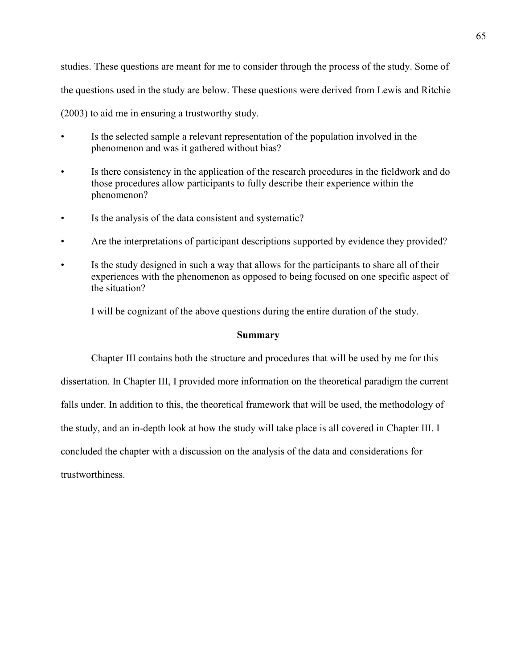studies. These questions are meant for me to consider through the process of the study. Some of the questions used in the study are below. These questions were derived from Lewis and Ritchie (2003) to aid me in ensuring a trustworthy study.

- Is the selected sample a relevant representation of the population involved in the phenomenon and was it gathered without bias?
- Is there consistency in the application of the research procedures in the fieldwork and do those procedures allow participants to fully describe their experience within the phenomenon?
- Is the analysis of the data consistent and systematic?
- Are the interpretations of participant descriptions supported by evidence they provided?
- Is the study designed in such a way that allows for the participants to share all of their experiences with the phenomenon as opposed to being focused on one specific aspect of the situation?

I will be cognizant of the above questions during the entire duration of the study.

### **Summary**

Chapter III contains both the structure and procedures that will be used by me for this dissertation. In Chapter III, I provided more information on the theoretical paradigm the current falls under. In addition to this, the theoretical framework that will be used, the methodology of the study, and an in-depth look at how the study will take place is all covered in Chapter III. I concluded the chapter with a discussion on the analysis of the data and considerations for trustworthiness.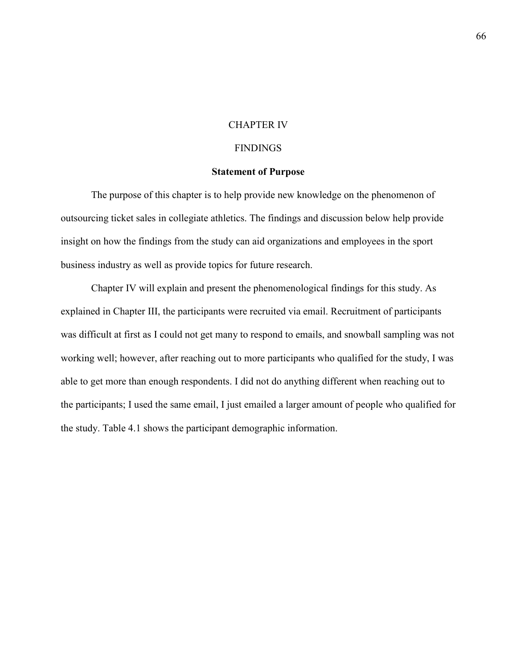### CHAPTER IV

### **FINDINGS**

### **Statement of Purpose**

The purpose of this chapter is to help provide new knowledge on the phenomenon of outsourcing ticket sales in collegiate athletics. The findings and discussion below help provide insight on how the findings from the study can aid organizations and employees in the sport business industry as well as provide topics for future research.

Chapter IV will explain and present the phenomenological findings for this study. As explained in Chapter III, the participants were recruited via email. Recruitment of participants was difficult at first as I could not get many to respond to emails, and snowball sampling was not working well; however, after reaching out to more participants who qualified for the study, I was able to get more than enough respondents. I did not do anything different when reaching out to the participants; I used the same email, I just emailed a larger amount of people who qualified for the study. Table 4.1 shows the participant demographic information.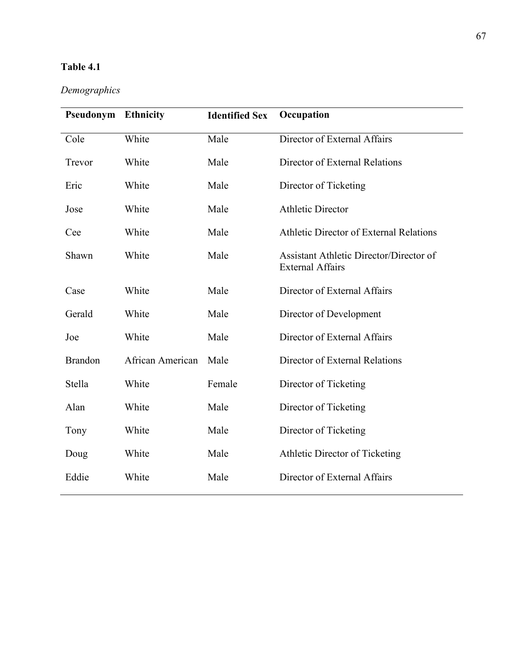# **Table 4.1**

# *Demographics*

| Pseudonym      | <b>Ethnicity</b> | <b>Identified Sex</b> | Occupation                                                         |
|----------------|------------------|-----------------------|--------------------------------------------------------------------|
| Cole           | White            | Male                  | Director of External Affairs                                       |
| Trevor         | White            | Male                  | Director of External Relations                                     |
| Eric           | White            | Male                  | Director of Ticketing                                              |
| Jose           | White            | Male                  | <b>Athletic Director</b>                                           |
| Cee            | White            | Male                  | Athletic Director of External Relations                            |
| Shawn          | White            | Male                  | Assistant Athletic Director/Director of<br><b>External Affairs</b> |
| Case           | White            | Male                  | Director of External Affairs                                       |
| Gerald         | White            | Male                  | Director of Development                                            |
| Joe            | White            | Male                  | Director of External Affairs                                       |
| <b>Brandon</b> | African American | Male                  | Director of External Relations                                     |
| Stella         | White            | Female                | Director of Ticketing                                              |
| Alan           | White            | Male                  | Director of Ticketing                                              |
| Tony           | White            | Male                  | Director of Ticketing                                              |
| Doug           | White            | Male                  | Athletic Director of Ticketing                                     |
| Eddie          | White            | Male                  | Director of External Affairs                                       |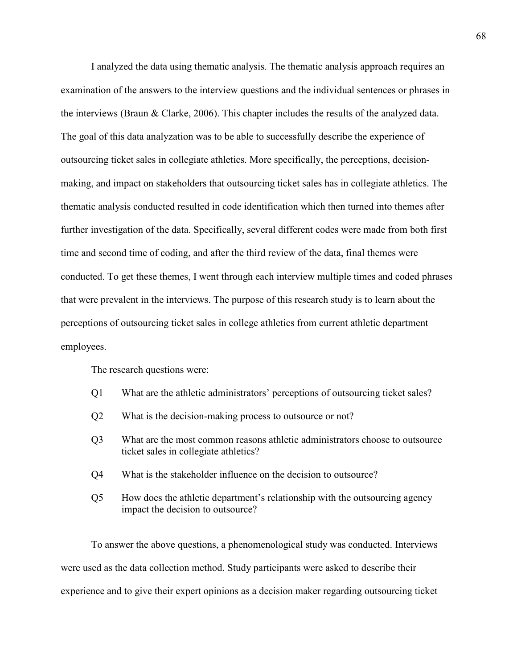I analyzed the data using thematic analysis. The thematic analysis approach requires an examination of the answers to the interview questions and the individual sentences or phrases in the interviews (Braun & Clarke, 2006). This chapter includes the results of the analyzed data. The goal of this data analyzation was to be able to successfully describe the experience of outsourcing ticket sales in collegiate athletics. More specifically, the perceptions, decisionmaking, and impact on stakeholders that outsourcing ticket sales has in collegiate athletics. The thematic analysis conducted resulted in code identification which then turned into themes after further investigation of the data. Specifically, several different codes were made from both first time and second time of coding, and after the third review of the data, final themes were conducted. To get these themes, I went through each interview multiple times and coded phrases that were prevalent in the interviews. The purpose of this research study is to learn about the perceptions of outsourcing ticket sales in college athletics from current athletic department employees.

The research questions were:

- Q1 What are the athletic administrators' perceptions of outsourcing ticket sales?
- Q2 What is the decision-making process to outsource or not?
- Q3 What are the most common reasons athletic administrators choose to outsource ticket sales in collegiate athletics?
- Q4 What is the stakeholder influence on the decision to outsource?
- Q5 How does the athletic department's relationship with the outsourcing agency impact the decision to outsource?

To answer the above questions, a phenomenological study was conducted. Interviews were used as the data collection method. Study participants were asked to describe their experience and to give their expert opinions as a decision maker regarding outsourcing ticket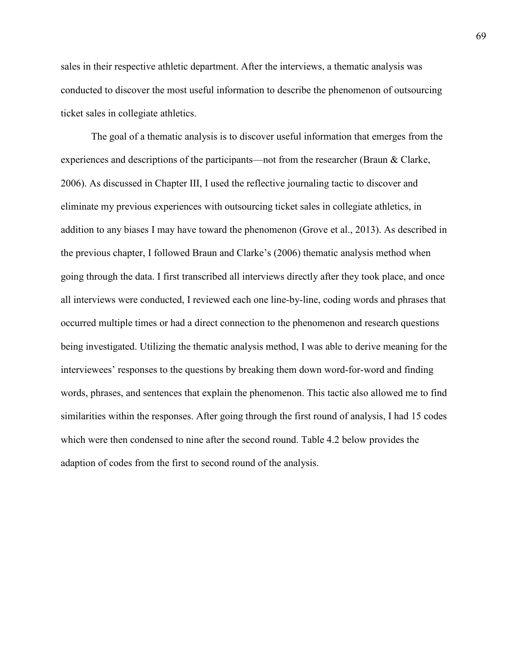sales in their respective athletic department. After the interviews, a thematic analysis was conducted to discover the most useful information to describe the phenomenon of outsourcing ticket sales in collegiate athletics.

The goal of a thematic analysis is to discover useful information that emerges from the experiences and descriptions of the participants—not from the researcher (Braun & Clarke, 2006). As discussed in Chapter III, I used the reflective journaling tactic to discover and eliminate my previous experiences with outsourcing ticket sales in collegiate athletics, in addition to any biases I may have toward the phenomenon (Grove et al., 2013). As described in the previous chapter, I followed Braun and Clarke's (2006) thematic analysis method when going through the data. I first transcribed all interviews directly after they took place, and once all interviews were conducted, I reviewed each one line-by-line, coding words and phrases that occurred multiple times or had a direct connection to the phenomenon and research questions being investigated. Utilizing the thematic analysis method, I was able to derive meaning for the interviewees' responses to the questions by breaking them down word-for-word and finding words, phrases, and sentences that explain the phenomenon. This tactic also allowed me to find similarities within the responses. After going through the first round of analysis, I had 15 codes which were then condensed to nine after the second round. Table 4.2 below provides the adaption of codes from the first to second round of the analysis.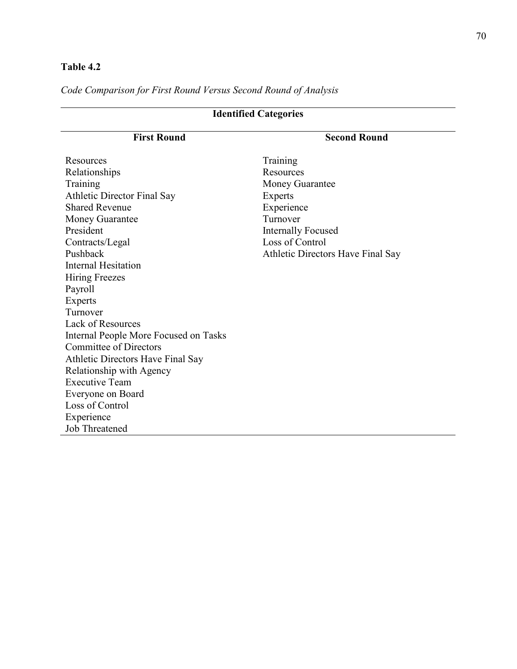# **Table 4.2**

*Code Comparison for First Round Versus Second Round of Analysis* 

| <b>Identified Categories</b>          |                                   |  |  |
|---------------------------------------|-----------------------------------|--|--|
| <b>First Round</b>                    | <b>Second Round</b>               |  |  |
| Resources                             | Training                          |  |  |
| Relationships                         | Resources                         |  |  |
| Training                              | <b>Money Guarantee</b>            |  |  |
| <b>Athletic Director Final Say</b>    | <b>Experts</b>                    |  |  |
| <b>Shared Revenue</b>                 | Experience                        |  |  |
| Money Guarantee                       | Turnover                          |  |  |
| President                             | <b>Internally Focused</b>         |  |  |
| Contracts/Legal                       | Loss of Control                   |  |  |
| Pushback                              | Athletic Directors Have Final Say |  |  |
| <b>Internal Hesitation</b>            |                                   |  |  |
| <b>Hiring Freezes</b>                 |                                   |  |  |
| Payroll                               |                                   |  |  |
| Experts                               |                                   |  |  |
| Turnover                              |                                   |  |  |
| <b>Lack of Resources</b>              |                                   |  |  |
| Internal People More Focused on Tasks |                                   |  |  |
| <b>Committee of Directors</b>         |                                   |  |  |
| Athletic Directors Have Final Say     |                                   |  |  |
| Relationship with Agency              |                                   |  |  |
| <b>Executive Team</b>                 |                                   |  |  |
| Everyone on Board                     |                                   |  |  |
| Loss of Control                       |                                   |  |  |
| Experience                            |                                   |  |  |
| <b>Job Threatened</b>                 |                                   |  |  |

 $\overline{\phantom{a}}$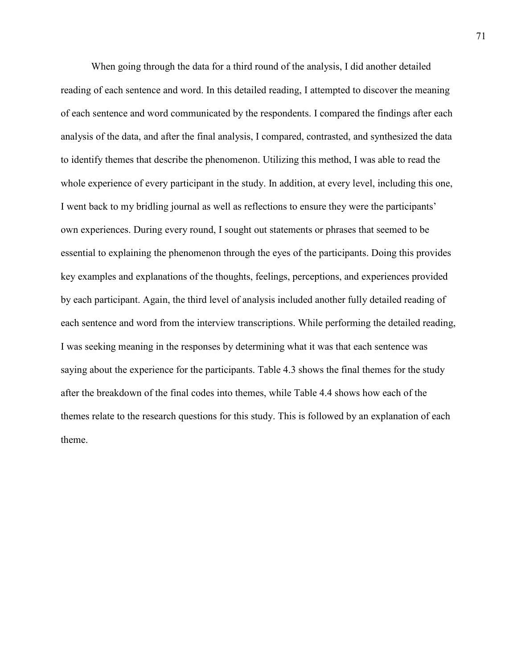When going through the data for a third round of the analysis, I did another detailed reading of each sentence and word. In this detailed reading, I attempted to discover the meaning of each sentence and word communicated by the respondents. I compared the findings after each analysis of the data, and after the final analysis, I compared, contrasted, and synthesized the data to identify themes that describe the phenomenon. Utilizing this method, I was able to read the whole experience of every participant in the study. In addition, at every level, including this one, I went back to my bridling journal as well as reflections to ensure they were the participants' own experiences. During every round, I sought out statements or phrases that seemed to be essential to explaining the phenomenon through the eyes of the participants. Doing this provides key examples and explanations of the thoughts, feelings, perceptions, and experiences provided by each participant. Again, the third level of analysis included another fully detailed reading of each sentence and word from the interview transcriptions. While performing the detailed reading, I was seeking meaning in the responses by determining what it was that each sentence was saying about the experience for the participants. Table 4.3 shows the final themes for the study after the breakdown of the final codes into themes, while Table 4.4 shows how each of the themes relate to the research questions for this study. This is followed by an explanation of each theme.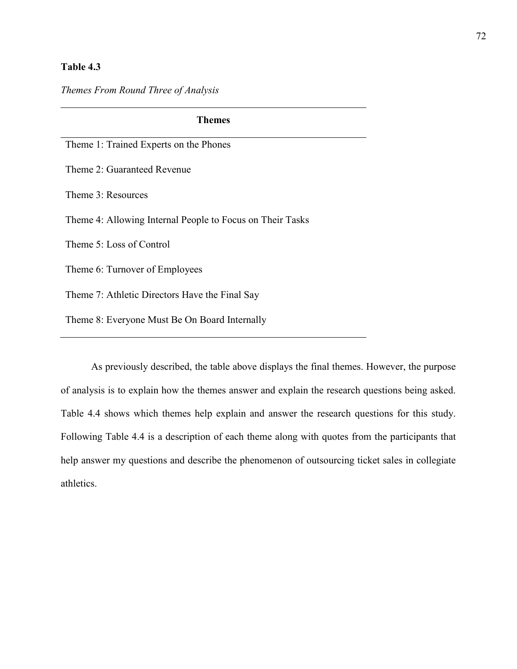# **Table 4.3**

# *Themes From Round Three of Analysis*

| <b>Themes</b>                                             |  |  |  |
|-----------------------------------------------------------|--|--|--|
| Theme 1: Trained Experts on the Phones                    |  |  |  |
| Theme 2: Guaranteed Revenue                               |  |  |  |
| Theme 3: Resources                                        |  |  |  |
| Theme 4: Allowing Internal People to Focus on Their Tasks |  |  |  |
| Theme 5: Loss of Control                                  |  |  |  |
| Theme 6: Turnover of Employees                            |  |  |  |
| Theme 7: Athletic Directors Have the Final Say            |  |  |  |
| Theme 8: Everyone Must Be On Board Internally             |  |  |  |

As previously described, the table above displays the final themes. However, the purpose of analysis is to explain how the themes answer and explain the research questions being asked. Table 4.4 shows which themes help explain and answer the research questions for this study. Following Table 4.4 is a description of each theme along with quotes from the participants that help answer my questions and describe the phenomenon of outsourcing ticket sales in collegiate athletics.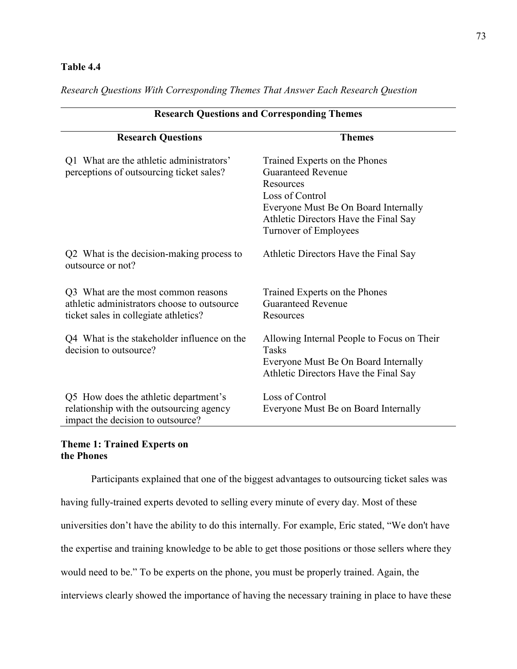# **Table 4.4**

*Research Questions With Corresponding Themes That Answer Each Research Question* 

| <b>Research Questions and Corresponding Themes</b>                                                                          |                                                                                                                                                                                                      |  |  |
|-----------------------------------------------------------------------------------------------------------------------------|------------------------------------------------------------------------------------------------------------------------------------------------------------------------------------------------------|--|--|
| <b>Research Questions</b>                                                                                                   | <b>Themes</b>                                                                                                                                                                                        |  |  |
| Q1 What are the athletic administrators'<br>perceptions of outsourcing ticket sales?                                        | Trained Experts on the Phones<br><b>Guaranteed Revenue</b><br>Resources<br>Loss of Control<br>Everyone Must Be On Board Internally<br>Athletic Directors Have the Final Say<br>Turnover of Employees |  |  |
| Q2 What is the decision-making process to<br>outsource or not?                                                              | Athletic Directors Have the Final Say                                                                                                                                                                |  |  |
| Q3 What are the most common reasons<br>athletic administrators choose to outsource<br>ticket sales in collegiate athletics? | Trained Experts on the Phones<br><b>Guaranteed Revenue</b><br>Resources                                                                                                                              |  |  |
| Q4 What is the stakeholder influence on the<br>decision to outsource?                                                       | Allowing Internal People to Focus on Their<br><b>Tasks</b><br>Everyone Must Be On Board Internally<br>Athletic Directors Have the Final Say                                                          |  |  |
| Q5 How does the athletic department's<br>relationship with the outsourcing agency<br>impact the decision to outsource?      | Loss of Control<br>Everyone Must Be on Board Internally                                                                                                                                              |  |  |

# **Theme 1: Trained Experts on the Phones**

Participants explained that one of the biggest advantages to outsourcing ticket sales was having fully-trained experts devoted to selling every minute of every day. Most of these universities don't have the ability to do this internally. For example, Eric stated, "We don't have the expertise and training knowledge to be able to get those positions or those sellers where they would need to be." To be experts on the phone, you must be properly trained. Again, the interviews clearly showed the importance of having the necessary training in place to have these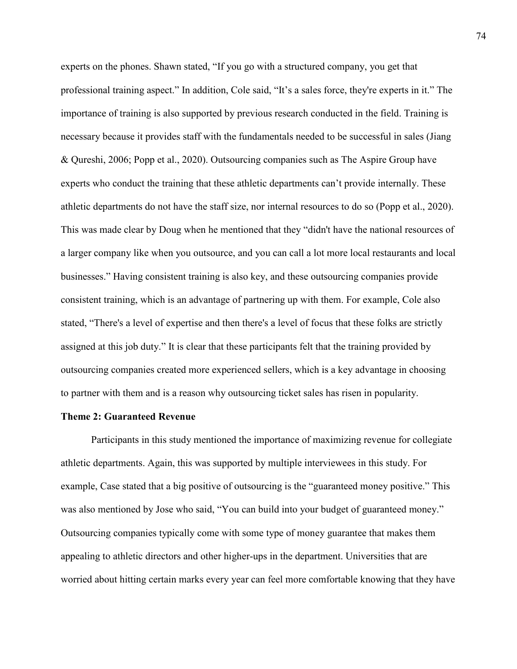experts on the phones. Shawn stated, "If you go with a structured company, you get that professional training aspect." In addition, Cole said, "It's a sales force, they're experts in it." The importance of training is also supported by previous research conducted in the field. Training is necessary because it provides staff with the fundamentals needed to be successful in sales (Jiang & Qureshi, 2006; Popp et al., 2020). Outsourcing companies such as The Aspire Group have experts who conduct the training that these athletic departments can't provide internally. These athletic departments do not have the staff size, nor internal resources to do so (Popp et al., 2020). This was made clear by Doug when he mentioned that they "didn't have the national resources of a larger company like when you outsource, and you can call a lot more local restaurants and local businesses." Having consistent training is also key, and these outsourcing companies provide consistent training, which is an advantage of partnering up with them. For example, Cole also stated, "There's a level of expertise and then there's a level of focus that these folks are strictly assigned at this job duty." It is clear that these participants felt that the training provided by outsourcing companies created more experienced sellers, which is a key advantage in choosing to partner with them and is a reason why outsourcing ticket sales has risen in popularity.

### **Theme 2: Guaranteed Revenue**

Participants in this study mentioned the importance of maximizing revenue for collegiate athletic departments. Again, this was supported by multiple interviewees in this study. For example, Case stated that a big positive of outsourcing is the "guaranteed money positive." This was also mentioned by Jose who said, "You can build into your budget of guaranteed money." Outsourcing companies typically come with some type of money guarantee that makes them appealing to athletic directors and other higher-ups in the department. Universities that are worried about hitting certain marks every year can feel more comfortable knowing that they have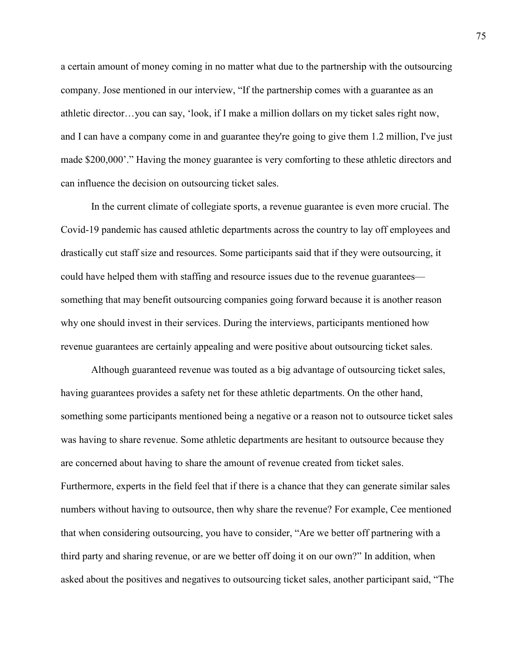a certain amount of money coming in no matter what due to the partnership with the outsourcing company. Jose mentioned in our interview, "If the partnership comes with a guarantee as an athletic director…you can say, 'look, if I make a million dollars on my ticket sales right now, and I can have a company come in and guarantee they're going to give them 1.2 million, I've just made \$200,000'." Having the money guarantee is very comforting to these athletic directors and can influence the decision on outsourcing ticket sales.

In the current climate of collegiate sports, a revenue guarantee is even more crucial. The Covid-19 pandemic has caused athletic departments across the country to lay off employees and drastically cut staff size and resources. Some participants said that if they were outsourcing, it could have helped them with staffing and resource issues due to the revenue guarantees something that may benefit outsourcing companies going forward because it is another reason why one should invest in their services. During the interviews, participants mentioned how revenue guarantees are certainly appealing and were positive about outsourcing ticket sales.

Although guaranteed revenue was touted as a big advantage of outsourcing ticket sales, having guarantees provides a safety net for these athletic departments. On the other hand, something some participants mentioned being a negative or a reason not to outsource ticket sales was having to share revenue. Some athletic departments are hesitant to outsource because they are concerned about having to share the amount of revenue created from ticket sales. Furthermore, experts in the field feel that if there is a chance that they can generate similar sales numbers without having to outsource, then why share the revenue? For example, Cee mentioned that when considering outsourcing, you have to consider, "Are we better off partnering with a third party and sharing revenue, or are we better off doing it on our own?" In addition, when asked about the positives and negatives to outsourcing ticket sales, another participant said, "The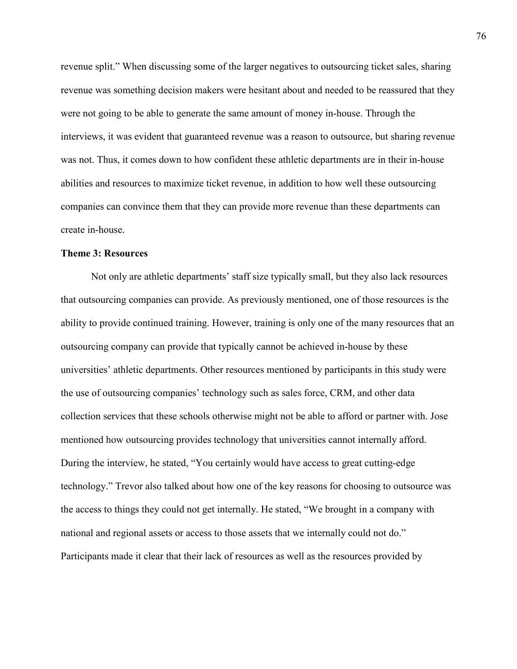revenue split." When discussing some of the larger negatives to outsourcing ticket sales, sharing revenue was something decision makers were hesitant about and needed to be reassured that they were not going to be able to generate the same amount of money in-house. Through the interviews, it was evident that guaranteed revenue was a reason to outsource, but sharing revenue was not. Thus, it comes down to how confident these athletic departments are in their in-house abilities and resources to maximize ticket revenue, in addition to how well these outsourcing companies can convince them that they can provide more revenue than these departments can create in-house.

# **Theme 3: Resources**

Not only are athletic departments' staff size typically small, but they also lack resources that outsourcing companies can provide. As previously mentioned, one of those resources is the ability to provide continued training. However, training is only one of the many resources that an outsourcing company can provide that typically cannot be achieved in-house by these universities' athletic departments. Other resources mentioned by participants in this study were the use of outsourcing companies' technology such as sales force, CRM, and other data collection services that these schools otherwise might not be able to afford or partner with. Jose mentioned how outsourcing provides technology that universities cannot internally afford. During the interview, he stated, "You certainly would have access to great cutting-edge technology." Trevor also talked about how one of the key reasons for choosing to outsource was the access to things they could not get internally. He stated, "We brought in a company with national and regional assets or access to those assets that we internally could not do." Participants made it clear that their lack of resources as well as the resources provided by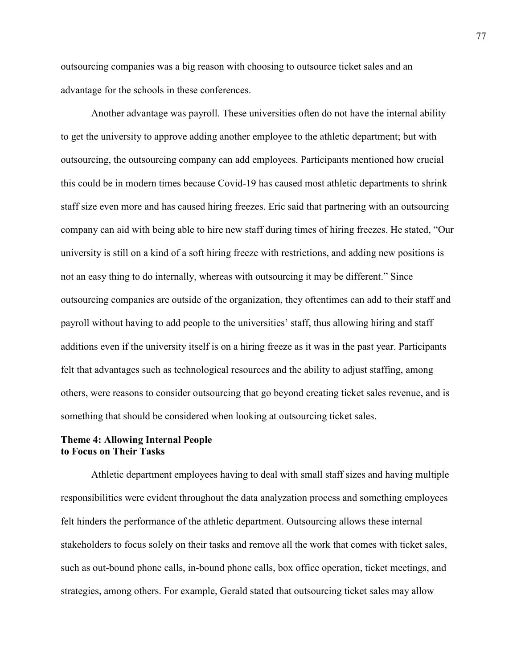outsourcing companies was a big reason with choosing to outsource ticket sales and an advantage for the schools in these conferences.

Another advantage was payroll. These universities often do not have the internal ability to get the university to approve adding another employee to the athletic department; but with outsourcing, the outsourcing company can add employees. Participants mentioned how crucial this could be in modern times because Covid-19 has caused most athletic departments to shrink staff size even more and has caused hiring freezes. Eric said that partnering with an outsourcing company can aid with being able to hire new staff during times of hiring freezes. He stated, "Our university is still on a kind of a soft hiring freeze with restrictions, and adding new positions is not an easy thing to do internally, whereas with outsourcing it may be different." Since outsourcing companies are outside of the organization, they oftentimes can add to their staff and payroll without having to add people to the universities' staff, thus allowing hiring and staff additions even if the university itself is on a hiring freeze as it was in the past year. Participants felt that advantages such as technological resources and the ability to adjust staffing, among others, were reasons to consider outsourcing that go beyond creating ticket sales revenue, and is something that should be considered when looking at outsourcing ticket sales.

# **Theme 4: Allowing Internal People to Focus on Their Tasks**

Athletic department employees having to deal with small staff sizes and having multiple responsibilities were evident throughout the data analyzation process and something employees felt hinders the performance of the athletic department. Outsourcing allows these internal stakeholders to focus solely on their tasks and remove all the work that comes with ticket sales, such as out-bound phone calls, in-bound phone calls, box office operation, ticket meetings, and strategies, among others. For example, Gerald stated that outsourcing ticket sales may allow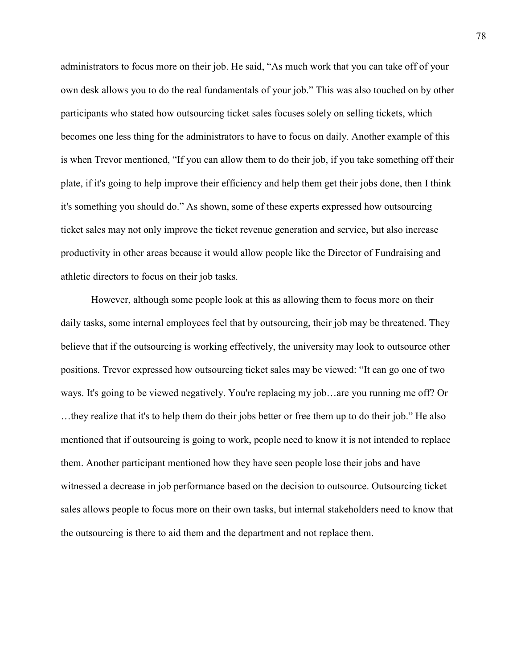administrators to focus more on their job. He said, "As much work that you can take off of your own desk allows you to do the real fundamentals of your job." This was also touched on by other participants who stated how outsourcing ticket sales focuses solely on selling tickets, which becomes one less thing for the administrators to have to focus on daily. Another example of this is when Trevor mentioned, "If you can allow them to do their job, if you take something off their plate, if it's going to help improve their efficiency and help them get their jobs done, then I think it's something you should do." As shown, some of these experts expressed how outsourcing ticket sales may not only improve the ticket revenue generation and service, but also increase productivity in other areas because it would allow people like the Director of Fundraising and athletic directors to focus on their job tasks.

However, although some people look at this as allowing them to focus more on their daily tasks, some internal employees feel that by outsourcing, their job may be threatened. They believe that if the outsourcing is working effectively, the university may look to outsource other positions. Trevor expressed how outsourcing ticket sales may be viewed: "It can go one of two ways. It's going to be viewed negatively. You're replacing my job…are you running me off? Or …they realize that it's to help them do their jobs better or free them up to do their job." He also mentioned that if outsourcing is going to work, people need to know it is not intended to replace them. Another participant mentioned how they have seen people lose their jobs and have witnessed a decrease in job performance based on the decision to outsource. Outsourcing ticket sales allows people to focus more on their own tasks, but internal stakeholders need to know that the outsourcing is there to aid them and the department and not replace them.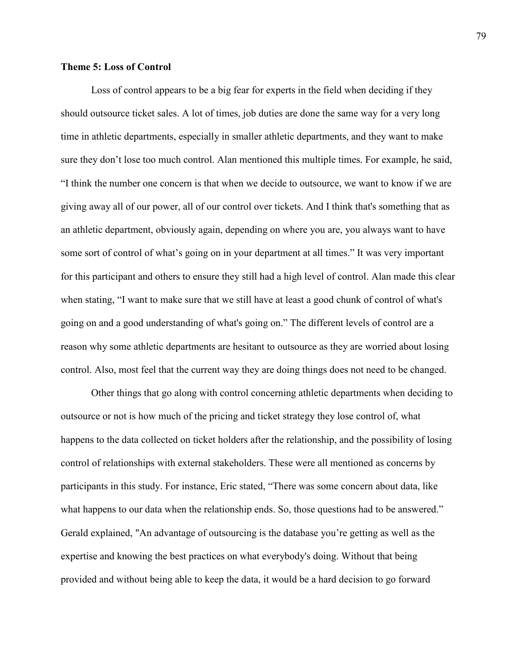### **Theme 5: Loss of Control**

Loss of control appears to be a big fear for experts in the field when deciding if they should outsource ticket sales. A lot of times, job duties are done the same way for a very long time in athletic departments, especially in smaller athletic departments, and they want to make sure they don't lose too much control. Alan mentioned this multiple times. For example, he said, "I think the number one concern is that when we decide to outsource, we want to know if we are giving away all of our power, all of our control over tickets. And I think that's something that as an athletic department, obviously again, depending on where you are, you always want to have some sort of control of what's going on in your department at all times." It was very important for this participant and others to ensure they still had a high level of control. Alan made this clear when stating, "I want to make sure that we still have at least a good chunk of control of what's going on and a good understanding of what's going on." The different levels of control are a reason why some athletic departments are hesitant to outsource as they are worried about losing control. Also, most feel that the current way they are doing things does not need to be changed.

Other things that go along with control concerning athletic departments when deciding to outsource or not is how much of the pricing and ticket strategy they lose control of, what happens to the data collected on ticket holders after the relationship, and the possibility of losing control of relationships with external stakeholders. These were all mentioned as concerns by participants in this study. For instance, Eric stated, "There was some concern about data, like what happens to our data when the relationship ends. So, those questions had to be answered." Gerald explained, "An advantage of outsourcing is the database you're getting as well as the expertise and knowing the best practices on what everybody's doing. Without that being provided and without being able to keep the data, it would be a hard decision to go forward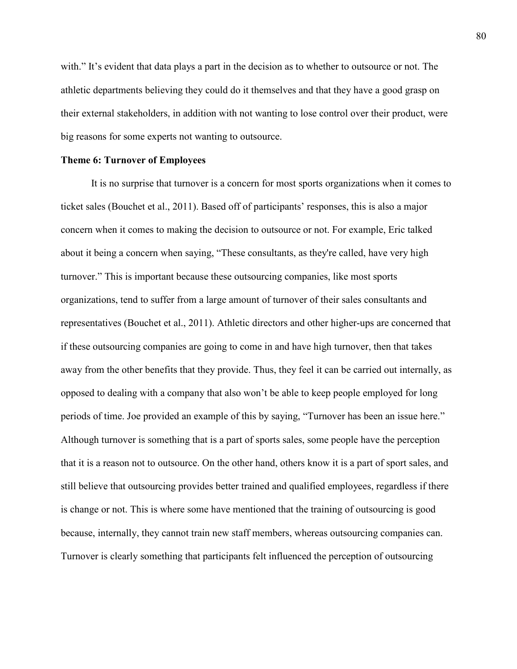with." It's evident that data plays a part in the decision as to whether to outsource or not. The athletic departments believing they could do it themselves and that they have a good grasp on their external stakeholders, in addition with not wanting to lose control over their product, were big reasons for some experts not wanting to outsource.

### **Theme 6: Turnover of Employees**

It is no surprise that turnover is a concern for most sports organizations when it comes to ticket sales (Bouchet et al., 2011). Based off of participants' responses, this is also a major concern when it comes to making the decision to outsource or not. For example, Eric talked about it being a concern when saying, "These consultants, as they're called, have very high turnover." This is important because these outsourcing companies, like most sports organizations, tend to suffer from a large amount of turnover of their sales consultants and representatives (Bouchet et al., 2011). Athletic directors and other higher-ups are concerned that if these outsourcing companies are going to come in and have high turnover, then that takes away from the other benefits that they provide. Thus, they feel it can be carried out internally, as opposed to dealing with a company that also won't be able to keep people employed for long periods of time. Joe provided an example of this by saying, "Turnover has been an issue here." Although turnover is something that is a part of sports sales, some people have the perception that it is a reason not to outsource. On the other hand, others know it is a part of sport sales, and still believe that outsourcing provides better trained and qualified employees, regardless if there is change or not. This is where some have mentioned that the training of outsourcing is good because, internally, they cannot train new staff members, whereas outsourcing companies can. Turnover is clearly something that participants felt influenced the perception of outsourcing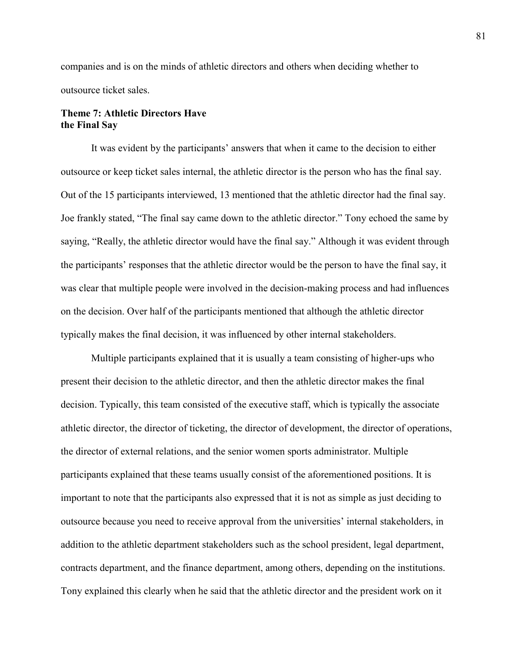companies and is on the minds of athletic directors and others when deciding whether to outsource ticket sales.

# **Theme 7: Athletic Directors Have the Final Say**

It was evident by the participants' answers that when it came to the decision to either outsource or keep ticket sales internal, the athletic director is the person who has the final say. Out of the 15 participants interviewed, 13 mentioned that the athletic director had the final say. Joe frankly stated, "The final say came down to the athletic director." Tony echoed the same by saying, "Really, the athletic director would have the final say." Although it was evident through the participants' responses that the athletic director would be the person to have the final say, it was clear that multiple people were involved in the decision-making process and had influences on the decision. Over half of the participants mentioned that although the athletic director typically makes the final decision, it was influenced by other internal stakeholders.

Multiple participants explained that it is usually a team consisting of higher-ups who present their decision to the athletic director, and then the athletic director makes the final decision. Typically, this team consisted of the executive staff, which is typically the associate athletic director, the director of ticketing, the director of development, the director of operations, the director of external relations, and the senior women sports administrator. Multiple participants explained that these teams usually consist of the aforementioned positions. It is important to note that the participants also expressed that it is not as simple as just deciding to outsource because you need to receive approval from the universities' internal stakeholders, in addition to the athletic department stakeholders such as the school president, legal department, contracts department, and the finance department, among others, depending on the institutions. Tony explained this clearly when he said that the athletic director and the president work on it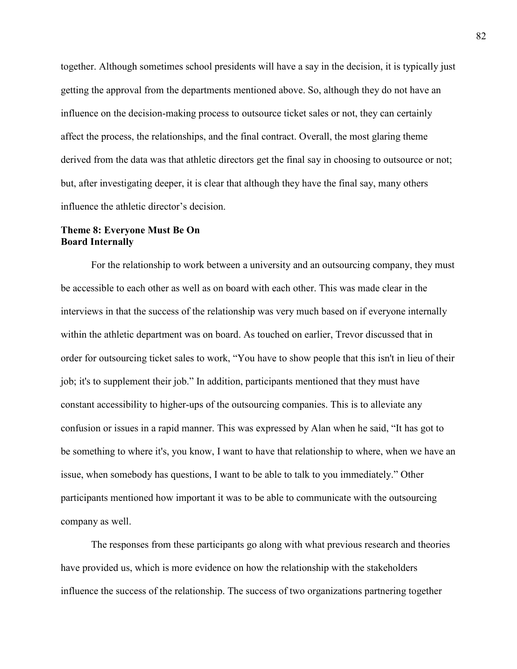together. Although sometimes school presidents will have a say in the decision, it is typically just getting the approval from the departments mentioned above. So, although they do not have an influence on the decision-making process to outsource ticket sales or not, they can certainly affect the process, the relationships, and the final contract. Overall, the most glaring theme derived from the data was that athletic directors get the final say in choosing to outsource or not; but, after investigating deeper, it is clear that although they have the final say, many others influence the athletic director's decision.

# **Theme 8: Everyone Must Be On Board Internally**

For the relationship to work between a university and an outsourcing company, they must be accessible to each other as well as on board with each other. This was made clear in the interviews in that the success of the relationship was very much based on if everyone internally within the athletic department was on board. As touched on earlier, Trevor discussed that in order for outsourcing ticket sales to work, "You have to show people that this isn't in lieu of their job; it's to supplement their job." In addition, participants mentioned that they must have constant accessibility to higher-ups of the outsourcing companies. This is to alleviate any confusion or issues in a rapid manner. This was expressed by Alan when he said, "It has got to be something to where it's, you know, I want to have that relationship to where, when we have an issue, when somebody has questions, I want to be able to talk to you immediately." Other participants mentioned how important it was to be able to communicate with the outsourcing company as well.

The responses from these participants go along with what previous research and theories have provided us, which is more evidence on how the relationship with the stakeholders influence the success of the relationship. The success of two organizations partnering together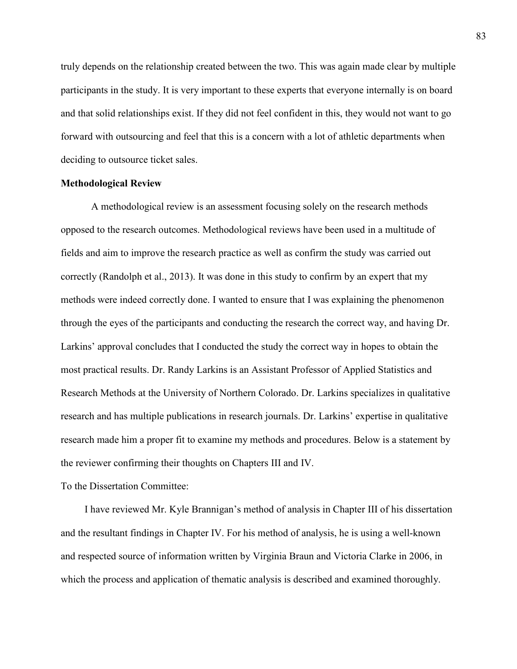truly depends on the relationship created between the two. This was again made clear by multiple participants in the study. It is very important to these experts that everyone internally is on board and that solid relationships exist. If they did not feel confident in this, they would not want to go forward with outsourcing and feel that this is a concern with a lot of athletic departments when deciding to outsource ticket sales.

### **Methodological Review**

A methodological review is an assessment focusing solely on the research methods opposed to the research outcomes. Methodological reviews have been used in a multitude of fields and aim to improve the research practice as well as confirm the study was carried out correctly (Randolph et al., 2013). It was done in this study to confirm by an expert that my methods were indeed correctly done. I wanted to ensure that I was explaining the phenomenon through the eyes of the participants and conducting the research the correct way, and having Dr. Larkins' approval concludes that I conducted the study the correct way in hopes to obtain the most practical results. Dr. Randy Larkins is an Assistant Professor of Applied Statistics and Research Methods at the University of Northern Colorado. Dr. Larkins specializes in qualitative research and has multiple publications in research journals. Dr. Larkins' expertise in qualitative research made him a proper fit to examine my methods and procedures. Below is a statement by the reviewer confirming their thoughts on Chapters III and IV.

To the Dissertation Committee:

I have reviewed Mr. Kyle Brannigan's method of analysis in Chapter III of his dissertation and the resultant findings in Chapter IV. For his method of analysis, he is using a well-known and respected source of information written by Virginia Braun and Victoria Clarke in 2006, in which the process and application of thematic analysis is described and examined thoroughly.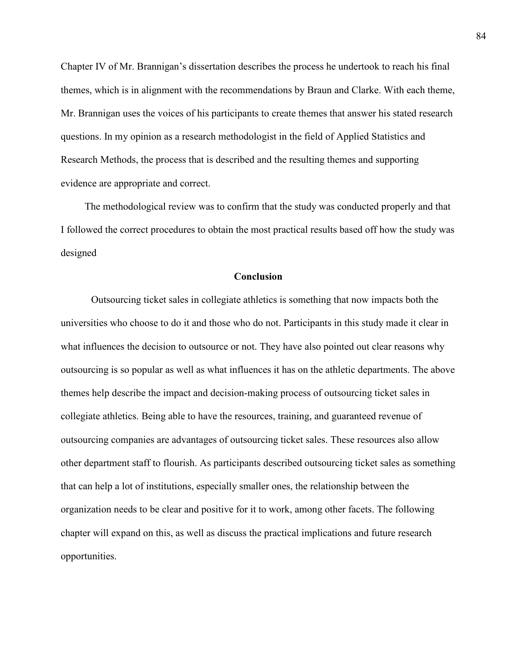Chapter IV of Mr. Brannigan's dissertation describes the process he undertook to reach his final themes, which is in alignment with the recommendations by Braun and Clarke. With each theme, Mr. Brannigan uses the voices of his participants to create themes that answer his stated research questions. In my opinion as a research methodologist in the field of Applied Statistics and Research Methods, the process that is described and the resulting themes and supporting evidence are appropriate and correct.

The methodological review was to confirm that the study was conducted properly and that I followed the correct procedures to obtain the most practical results based off how the study was designed

### **Conclusion**

Outsourcing ticket sales in collegiate athletics is something that now impacts both the universities who choose to do it and those who do not. Participants in this study made it clear in what influences the decision to outsource or not. They have also pointed out clear reasons why outsourcing is so popular as well as what influences it has on the athletic departments. The above themes help describe the impact and decision-making process of outsourcing ticket sales in collegiate athletics. Being able to have the resources, training, and guaranteed revenue of outsourcing companies are advantages of outsourcing ticket sales. These resources also allow other department staff to flourish. As participants described outsourcing ticket sales as something that can help a lot of institutions, especially smaller ones, the relationship between the organization needs to be clear and positive for it to work, among other facets. The following chapter will expand on this, as well as discuss the practical implications and future research opportunities.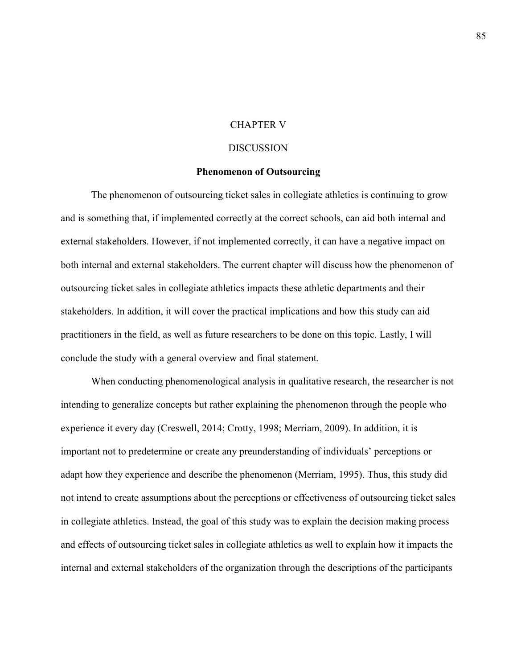### CHAPTER V

### DISCUSSION

### **Phenomenon of Outsourcing**

The phenomenon of outsourcing ticket sales in collegiate athletics is continuing to grow and is something that, if implemented correctly at the correct schools, can aid both internal and external stakeholders. However, if not implemented correctly, it can have a negative impact on both internal and external stakeholders. The current chapter will discuss how the phenomenon of outsourcing ticket sales in collegiate athletics impacts these athletic departments and their stakeholders. In addition, it will cover the practical implications and how this study can aid practitioners in the field, as well as future researchers to be done on this topic. Lastly, I will conclude the study with a general overview and final statement.

When conducting phenomenological analysis in qualitative research, the researcher is not intending to generalize concepts but rather explaining the phenomenon through the people who experience it every day (Creswell, 2014; Crotty, 1998; Merriam, 2009). In addition, it is important not to predetermine or create any preunderstanding of individuals' perceptions or adapt how they experience and describe the phenomenon (Merriam, 1995). Thus, this study did not intend to create assumptions about the perceptions or effectiveness of outsourcing ticket sales in collegiate athletics. Instead, the goal of this study was to explain the decision making process and effects of outsourcing ticket sales in collegiate athletics as well to explain how it impacts the internal and external stakeholders of the organization through the descriptions of the participants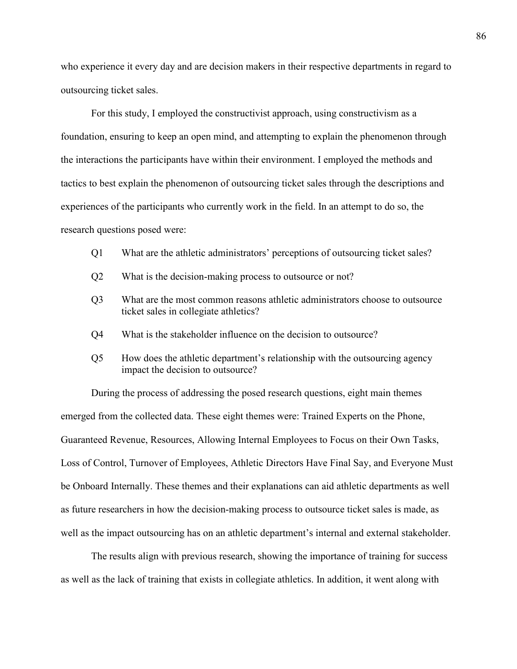who experience it every day and are decision makers in their respective departments in regard to outsourcing ticket sales.

For this study, I employed the constructivist approach, using constructivism as a foundation, ensuring to keep an open mind, and attempting to explain the phenomenon through the interactions the participants have within their environment. I employed the methods and tactics to best explain the phenomenon of outsourcing ticket sales through the descriptions and experiences of the participants who currently work in the field. In an attempt to do so, the research questions posed were:

- Q1 What are the athletic administrators' perceptions of outsourcing ticket sales?
- Q2 What is the decision-making process to outsource or not?
- Q3 What are the most common reasons athletic administrators choose to outsource ticket sales in collegiate athletics?
- Q4 What is the stakeholder influence on the decision to outsource?
- Q5 How does the athletic department's relationship with the outsourcing agency impact the decision to outsource?

During the process of addressing the posed research questions, eight main themes emerged from the collected data. These eight themes were: Trained Experts on the Phone, Guaranteed Revenue, Resources, Allowing Internal Employees to Focus on their Own Tasks, Loss of Control, Turnover of Employees, Athletic Directors Have Final Say, and Everyone Must be Onboard Internally. These themes and their explanations can aid athletic departments as well as future researchers in how the decision-making process to outsource ticket sales is made, as well as the impact outsourcing has on an athletic department's internal and external stakeholder.

The results align with previous research, showing the importance of training for success as well as the lack of training that exists in collegiate athletics. In addition, it went along with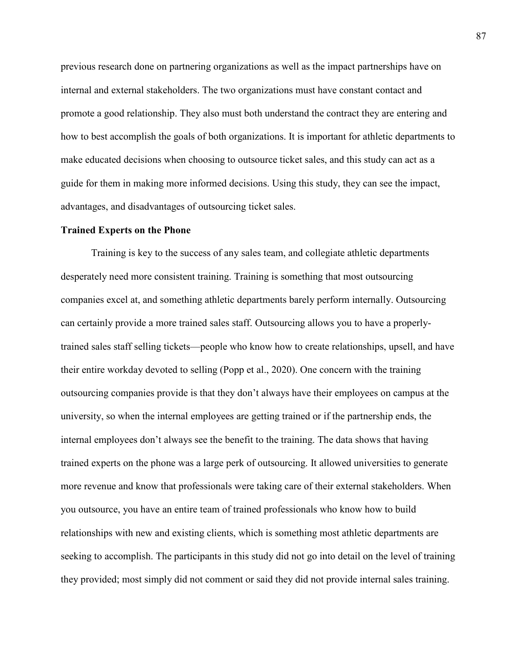previous research done on partnering organizations as well as the impact partnerships have on internal and external stakeholders. The two organizations must have constant contact and promote a good relationship. They also must both understand the contract they are entering and how to best accomplish the goals of both organizations. It is important for athletic departments to make educated decisions when choosing to outsource ticket sales, and this study can act as a guide for them in making more informed decisions. Using this study, they can see the impact, advantages, and disadvantages of outsourcing ticket sales.

#### **Trained Experts on the Phone**

Training is key to the success of any sales team, and collegiate athletic departments desperately need more consistent training. Training is something that most outsourcing companies excel at, and something athletic departments barely perform internally. Outsourcing can certainly provide a more trained sales staff. Outsourcing allows you to have a properlytrained sales staff selling tickets—people who know how to create relationships, upsell, and have their entire workday devoted to selling (Popp et al., 2020). One concern with the training outsourcing companies provide is that they don't always have their employees on campus at the university, so when the internal employees are getting trained or if the partnership ends, the internal employees don't always see the benefit to the training. The data shows that having trained experts on the phone was a large perk of outsourcing. It allowed universities to generate more revenue and know that professionals were taking care of their external stakeholders. When you outsource, you have an entire team of trained professionals who know how to build relationships with new and existing clients, which is something most athletic departments are seeking to accomplish. The participants in this study did not go into detail on the level of training they provided; most simply did not comment or said they did not provide internal sales training.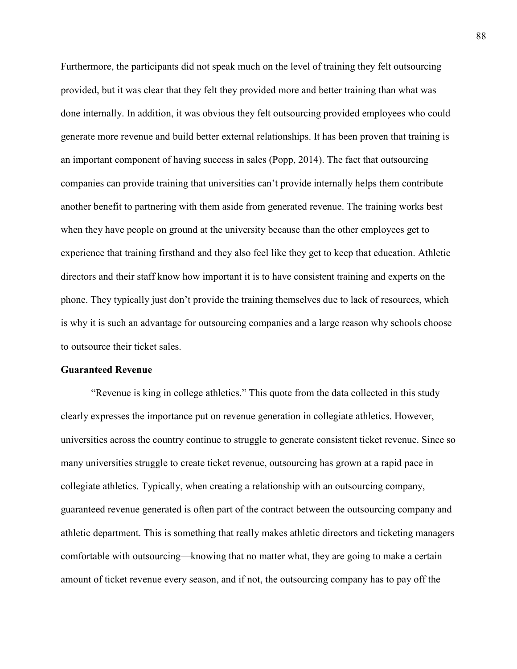Furthermore, the participants did not speak much on the level of training they felt outsourcing provided, but it was clear that they felt they provided more and better training than what was done internally. In addition, it was obvious they felt outsourcing provided employees who could generate more revenue and build better external relationships. It has been proven that training is an important component of having success in sales (Popp, 2014). The fact that outsourcing companies can provide training that universities can't provide internally helps them contribute another benefit to partnering with them aside from generated revenue. The training works best when they have people on ground at the university because than the other employees get to experience that training firsthand and they also feel like they get to keep that education. Athletic directors and their staff know how important it is to have consistent training and experts on the phone. They typically just don't provide the training themselves due to lack of resources, which is why it is such an advantage for outsourcing companies and a large reason why schools choose to outsource their ticket sales.

### **Guaranteed Revenue**

"Revenue is king in college athletics." This quote from the data collected in this study clearly expresses the importance put on revenue generation in collegiate athletics. However, universities across the country continue to struggle to generate consistent ticket revenue. Since so many universities struggle to create ticket revenue, outsourcing has grown at a rapid pace in collegiate athletics. Typically, when creating a relationship with an outsourcing company, guaranteed revenue generated is often part of the contract between the outsourcing company and athletic department. This is something that really makes athletic directors and ticketing managers comfortable with outsourcing—knowing that no matter what, they are going to make a certain amount of ticket revenue every season, and if not, the outsourcing company has to pay off the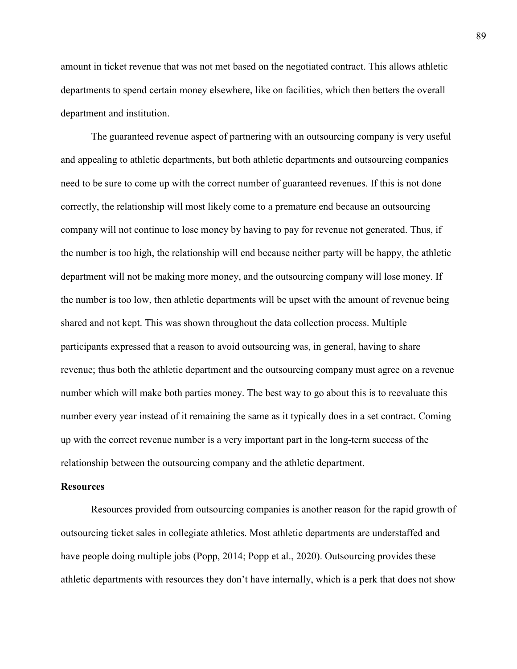amount in ticket revenue that was not met based on the negotiated contract. This allows athletic departments to spend certain money elsewhere, like on facilities, which then betters the overall department and institution.

The guaranteed revenue aspect of partnering with an outsourcing company is very useful and appealing to athletic departments, but both athletic departments and outsourcing companies need to be sure to come up with the correct number of guaranteed revenues. If this is not done correctly, the relationship will most likely come to a premature end because an outsourcing company will not continue to lose money by having to pay for revenue not generated. Thus, if the number is too high, the relationship will end because neither party will be happy, the athletic department will not be making more money, and the outsourcing company will lose money. If the number is too low, then athletic departments will be upset with the amount of revenue being shared and not kept. This was shown throughout the data collection process. Multiple participants expressed that a reason to avoid outsourcing was, in general, having to share revenue; thus both the athletic department and the outsourcing company must agree on a revenue number which will make both parties money. The best way to go about this is to reevaluate this number every year instead of it remaining the same as it typically does in a set contract. Coming up with the correct revenue number is a very important part in the long-term success of the relationship between the outsourcing company and the athletic department.

#### **Resources**

Resources provided from outsourcing companies is another reason for the rapid growth of outsourcing ticket sales in collegiate athletics. Most athletic departments are understaffed and have people doing multiple jobs (Popp, 2014; Popp et al., 2020). Outsourcing provides these athletic departments with resources they don't have internally, which is a perk that does not show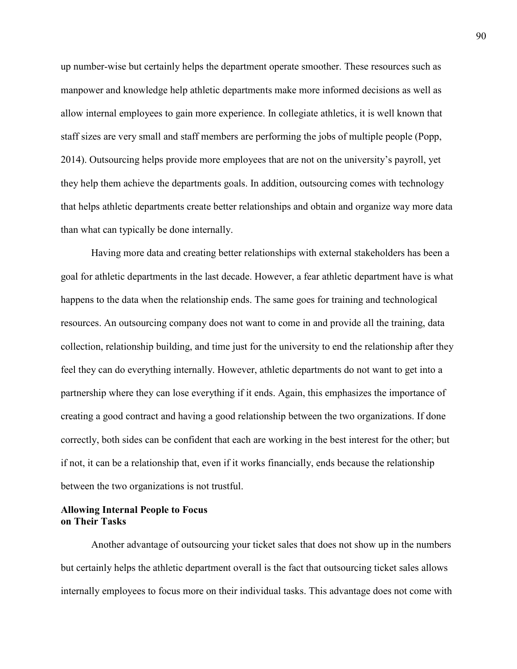up number-wise but certainly helps the department operate smoother. These resources such as manpower and knowledge help athletic departments make more informed decisions as well as allow internal employees to gain more experience. In collegiate athletics, it is well known that staff sizes are very small and staff members are performing the jobs of multiple people (Popp, 2014). Outsourcing helps provide more employees that are not on the university's payroll, yet they help them achieve the departments goals. In addition, outsourcing comes with technology that helps athletic departments create better relationships and obtain and organize way more data than what can typically be done internally.

Having more data and creating better relationships with external stakeholders has been a goal for athletic departments in the last decade. However, a fear athletic department have is what happens to the data when the relationship ends. The same goes for training and technological resources. An outsourcing company does not want to come in and provide all the training, data collection, relationship building, and time just for the university to end the relationship after they feel they can do everything internally. However, athletic departments do not want to get into a partnership where they can lose everything if it ends. Again, this emphasizes the importance of creating a good contract and having a good relationship between the two organizations. If done correctly, both sides can be confident that each are working in the best interest for the other; but if not, it can be a relationship that, even if it works financially, ends because the relationship between the two organizations is not trustful.

# **Allowing Internal People to Focus on Their Tasks**

Another advantage of outsourcing your ticket sales that does not show up in the numbers but certainly helps the athletic department overall is the fact that outsourcing ticket sales allows internally employees to focus more on their individual tasks. This advantage does not come with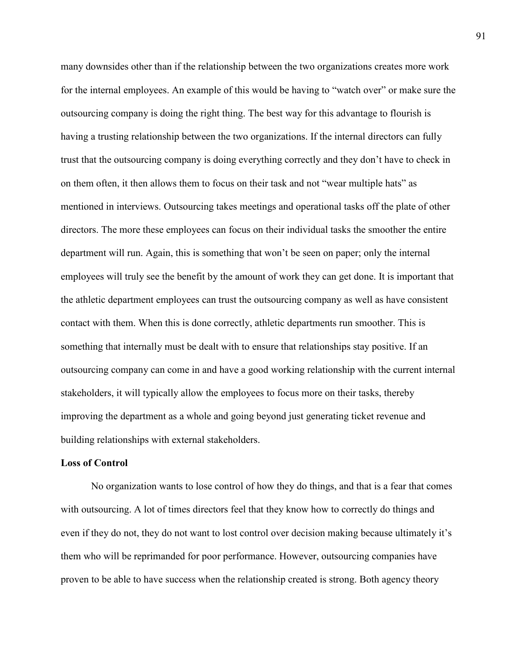many downsides other than if the relationship between the two organizations creates more work for the internal employees. An example of this would be having to "watch over" or make sure the outsourcing company is doing the right thing. The best way for this advantage to flourish is having a trusting relationship between the two organizations. If the internal directors can fully trust that the outsourcing company is doing everything correctly and they don't have to check in on them often, it then allows them to focus on their task and not "wear multiple hats" as mentioned in interviews. Outsourcing takes meetings and operational tasks off the plate of other directors. The more these employees can focus on their individual tasks the smoother the entire department will run. Again, this is something that won't be seen on paper; only the internal employees will truly see the benefit by the amount of work they can get done. It is important that the athletic department employees can trust the outsourcing company as well as have consistent contact with them. When this is done correctly, athletic departments run smoother. This is something that internally must be dealt with to ensure that relationships stay positive. If an outsourcing company can come in and have a good working relationship with the current internal stakeholders, it will typically allow the employees to focus more on their tasks, thereby improving the department as a whole and going beyond just generating ticket revenue and building relationships with external stakeholders.

#### **Loss of Control**

No organization wants to lose control of how they do things, and that is a fear that comes with outsourcing. A lot of times directors feel that they know how to correctly do things and even if they do not, they do not want to lost control over decision making because ultimately it's them who will be reprimanded for poor performance. However, outsourcing companies have proven to be able to have success when the relationship created is strong. Both agency theory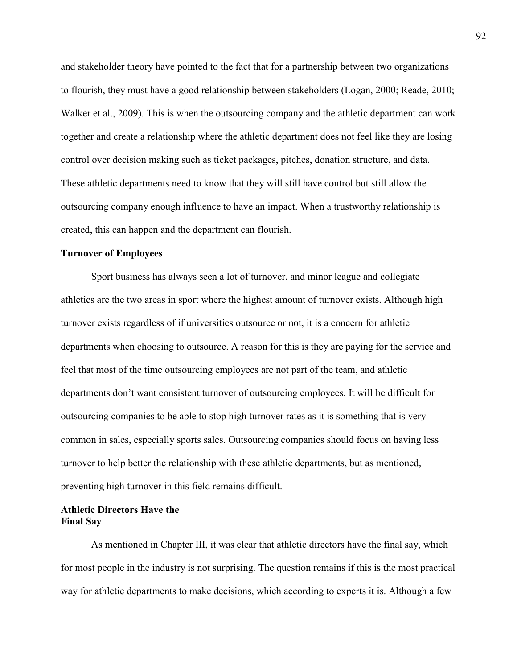and stakeholder theory have pointed to the fact that for a partnership between two organizations to flourish, they must have a good relationship between stakeholders (Logan, 2000; Reade, 2010; Walker et al., 2009). This is when the outsourcing company and the athletic department can work together and create a relationship where the athletic department does not feel like they are losing control over decision making such as ticket packages, pitches, donation structure, and data. These athletic departments need to know that they will still have control but still allow the outsourcing company enough influence to have an impact. When a trustworthy relationship is created, this can happen and the department can flourish.

### **Turnover of Employees**

Sport business has always seen a lot of turnover, and minor league and collegiate athletics are the two areas in sport where the highest amount of turnover exists. Although high turnover exists regardless of if universities outsource or not, it is a concern for athletic departments when choosing to outsource. A reason for this is they are paying for the service and feel that most of the time outsourcing employees are not part of the team, and athletic departments don't want consistent turnover of outsourcing employees. It will be difficult for outsourcing companies to be able to stop high turnover rates as it is something that is very common in sales, especially sports sales. Outsourcing companies should focus on having less turnover to help better the relationship with these athletic departments, but as mentioned, preventing high turnover in this field remains difficult.

## **Athletic Directors Have the Final Say**

As mentioned in Chapter III, it was clear that athletic directors have the final say, which for most people in the industry is not surprising. The question remains if this is the most practical way for athletic departments to make decisions, which according to experts it is. Although a few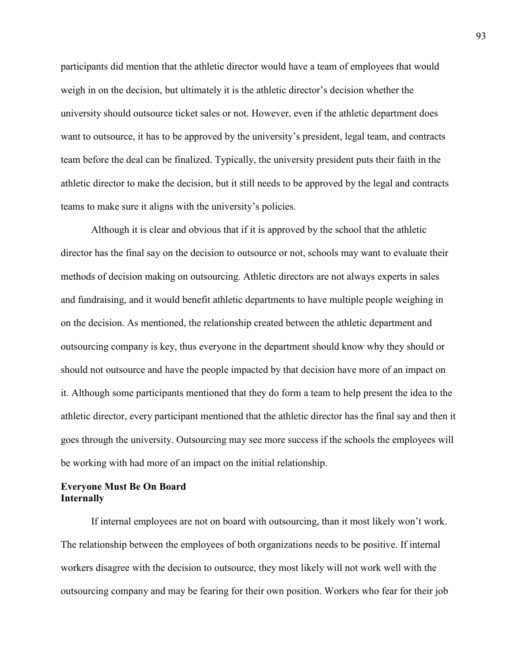participants did mention that the athletic director would have a team of employees that would weigh in on the decision, but ultimately it is the athletic director's decision whether the university should outsource ticket sales or not. However, even if the athletic department does want to outsource, it has to be approved by the university's president, legal team, and contracts team before the deal can be finalized. Typically, the university president puts their faith in the athletic director to make the decision, but it still needs to be approved by the legal and contracts teams to make sure it aligns with the university's policies.

 Although it is clear and obvious that if it is approved by the school that the athletic director has the final say on the decision to outsource or not, schools may want to evaluate their methods of decision making on outsourcing. Athletic directors are not always experts in sales and fundraising, and it would benefit athletic departments to have multiple people weighing in on the decision. As mentioned, the relationship created between the athletic department and outsourcing company is key, thus everyone in the department should know why they should or should not outsource and have the people impacted by that decision have more of an impact on it. Although some participants mentioned that they do form a team to help present the idea to the athletic director, every participant mentioned that the athletic director has the final say and then it goes through the university. Outsourcing may see more success if the schools the employees will be working with had more of an impact on the initial relationship.

# **Everyone Must Be On Board Internally**

If internal employees are not on board with outsourcing, than it most likely won't work. The relationship between the employees of both organizations needs to be positive. If internal workers disagree with the decision to outsource, they most likely will not work well with the outsourcing company and may be fearing for their own position. Workers who fear for their job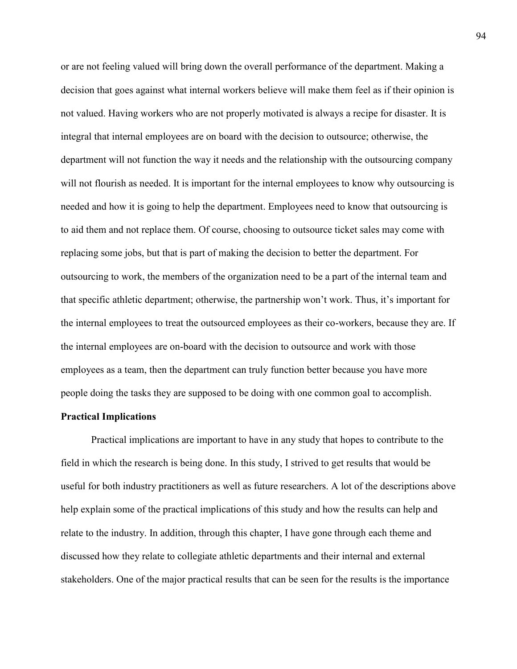or are not feeling valued will bring down the overall performance of the department. Making a decision that goes against what internal workers believe will make them feel as if their opinion is not valued. Having workers who are not properly motivated is always a recipe for disaster. It is integral that internal employees are on board with the decision to outsource; otherwise, the department will not function the way it needs and the relationship with the outsourcing company will not flourish as needed. It is important for the internal employees to know why outsourcing is needed and how it is going to help the department. Employees need to know that outsourcing is to aid them and not replace them. Of course, choosing to outsource ticket sales may come with replacing some jobs, but that is part of making the decision to better the department. For outsourcing to work, the members of the organization need to be a part of the internal team and that specific athletic department; otherwise, the partnership won't work. Thus, it's important for the internal employees to treat the outsourced employees as their co-workers, because they are. If the internal employees are on-board with the decision to outsource and work with those employees as a team, then the department can truly function better because you have more people doing the tasks they are supposed to be doing with one common goal to accomplish.

## **Practical Implications**

Practical implications are important to have in any study that hopes to contribute to the field in which the research is being done. In this study, I strived to get results that would be useful for both industry practitioners as well as future researchers. A lot of the descriptions above help explain some of the practical implications of this study and how the results can help and relate to the industry. In addition, through this chapter, I have gone through each theme and discussed how they relate to collegiate athletic departments and their internal and external stakeholders. One of the major practical results that can be seen for the results is the importance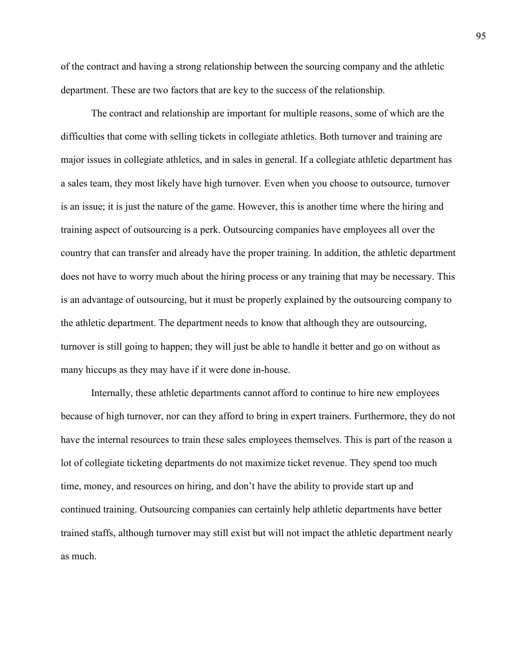of the contract and having a strong relationship between the sourcing company and the athletic department. These are two factors that are key to the success of the relationship.

The contract and relationship are important for multiple reasons, some of which are the difficulties that come with selling tickets in collegiate athletics. Both turnover and training are major issues in collegiate athletics, and in sales in general. If a collegiate athletic department has a sales team, they most likely have high turnover. Even when you choose to outsource, turnover is an issue; it is just the nature of the game. However, this is another time where the hiring and training aspect of outsourcing is a perk. Outsourcing companies have employees all over the country that can transfer and already have the proper training. In addition, the athletic department does not have to worry much about the hiring process or any training that may be necessary. This is an advantage of outsourcing, but it must be properly explained by the outsourcing company to the athletic department. The department needs to know that although they are outsourcing, turnover is still going to happen; they will just be able to handle it better and go on without as many hiccups as they may have if it were done in-house.

Internally, these athletic departments cannot afford to continue to hire new employees because of high turnover, nor can they afford to bring in expert trainers. Furthermore, they do not have the internal resources to train these sales employees themselves. This is part of the reason a lot of collegiate ticketing departments do not maximize ticket revenue. They spend too much time, money, and resources on hiring, and don't have the ability to provide start up and continued training. Outsourcing companies can certainly help athletic departments have better trained staffs, although turnover may still exist but will not impact the athletic department nearly as much.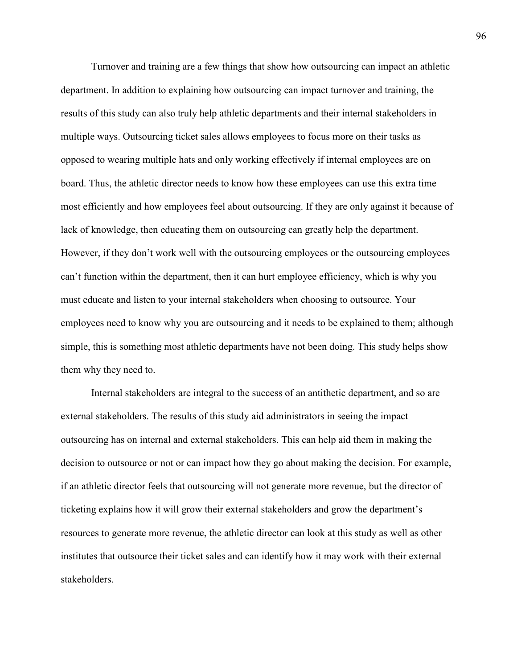Turnover and training are a few things that show how outsourcing can impact an athletic department. In addition to explaining how outsourcing can impact turnover and training, the results of this study can also truly help athletic departments and their internal stakeholders in multiple ways. Outsourcing ticket sales allows employees to focus more on their tasks as opposed to wearing multiple hats and only working effectively if internal employees are on board. Thus, the athletic director needs to know how these employees can use this extra time most efficiently and how employees feel about outsourcing. If they are only against it because of lack of knowledge, then educating them on outsourcing can greatly help the department. However, if they don't work well with the outsourcing employees or the outsourcing employees can't function within the department, then it can hurt employee efficiency, which is why you must educate and listen to your internal stakeholders when choosing to outsource. Your employees need to know why you are outsourcing and it needs to be explained to them; although simple, this is something most athletic departments have not been doing. This study helps show them why they need to.

Internal stakeholders are integral to the success of an antithetic department, and so are external stakeholders. The results of this study aid administrators in seeing the impact outsourcing has on internal and external stakeholders. This can help aid them in making the decision to outsource or not or can impact how they go about making the decision. For example, if an athletic director feels that outsourcing will not generate more revenue, but the director of ticketing explains how it will grow their external stakeholders and grow the department's resources to generate more revenue, the athletic director can look at this study as well as other institutes that outsource their ticket sales and can identify how it may work with their external stakeholders.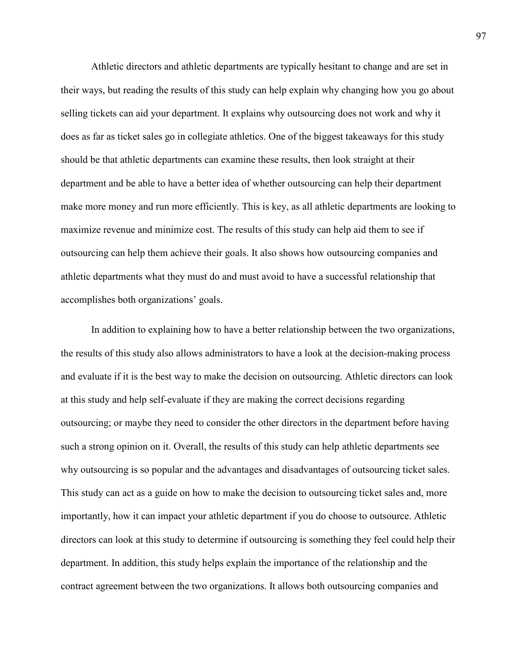Athletic directors and athletic departments are typically hesitant to change and are set in their ways, but reading the results of this study can help explain why changing how you go about selling tickets can aid your department. It explains why outsourcing does not work and why it does as far as ticket sales go in collegiate athletics. One of the biggest takeaways for this study should be that athletic departments can examine these results, then look straight at their department and be able to have a better idea of whether outsourcing can help their department make more money and run more efficiently. This is key, as all athletic departments are looking to maximize revenue and minimize cost. The results of this study can help aid them to see if outsourcing can help them achieve their goals. It also shows how outsourcing companies and athletic departments what they must do and must avoid to have a successful relationship that accomplishes both organizations' goals.

In addition to explaining how to have a better relationship between the two organizations, the results of this study also allows administrators to have a look at the decision-making process and evaluate if it is the best way to make the decision on outsourcing. Athletic directors can look at this study and help self-evaluate if they are making the correct decisions regarding outsourcing; or maybe they need to consider the other directors in the department before having such a strong opinion on it. Overall, the results of this study can help athletic departments see why outsourcing is so popular and the advantages and disadvantages of outsourcing ticket sales. This study can act as a guide on how to make the decision to outsourcing ticket sales and, more importantly, how it can impact your athletic department if you do choose to outsource. Athletic directors can look at this study to determine if outsourcing is something they feel could help their department. In addition, this study helps explain the importance of the relationship and the contract agreement between the two organizations. It allows both outsourcing companies and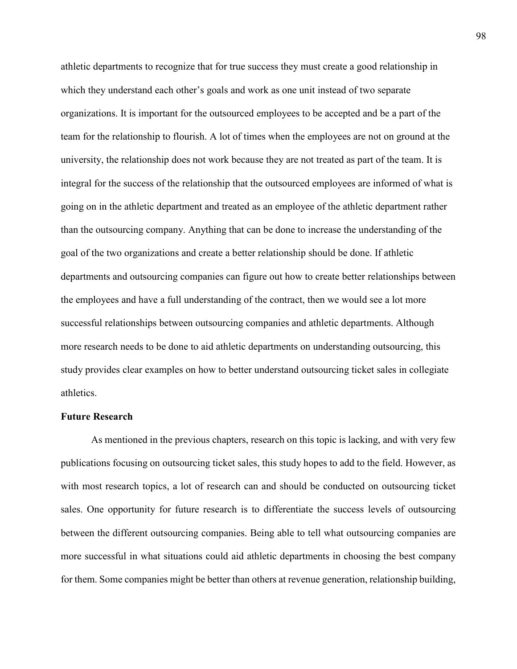athletic departments to recognize that for true success they must create a good relationship in which they understand each other's goals and work as one unit instead of two separate organizations. It is important for the outsourced employees to be accepted and be a part of the team for the relationship to flourish. A lot of times when the employees are not on ground at the university, the relationship does not work because they are not treated as part of the team. It is integral for the success of the relationship that the outsourced employees are informed of what is going on in the athletic department and treated as an employee of the athletic department rather than the outsourcing company. Anything that can be done to increase the understanding of the goal of the two organizations and create a better relationship should be done. If athletic departments and outsourcing companies can figure out how to create better relationships between the employees and have a full understanding of the contract, then we would see a lot more successful relationships between outsourcing companies and athletic departments. Although more research needs to be done to aid athletic departments on understanding outsourcing, this study provides clear examples on how to better understand outsourcing ticket sales in collegiate athletics.

#### **Future Research**

As mentioned in the previous chapters, research on this topic is lacking, and with very few publications focusing on outsourcing ticket sales, this study hopes to add to the field. However, as with most research topics, a lot of research can and should be conducted on outsourcing ticket sales. One opportunity for future research is to differentiate the success levels of outsourcing between the different outsourcing companies. Being able to tell what outsourcing companies are more successful in what situations could aid athletic departments in choosing the best company for them. Some companies might be better than others at revenue generation, relationship building,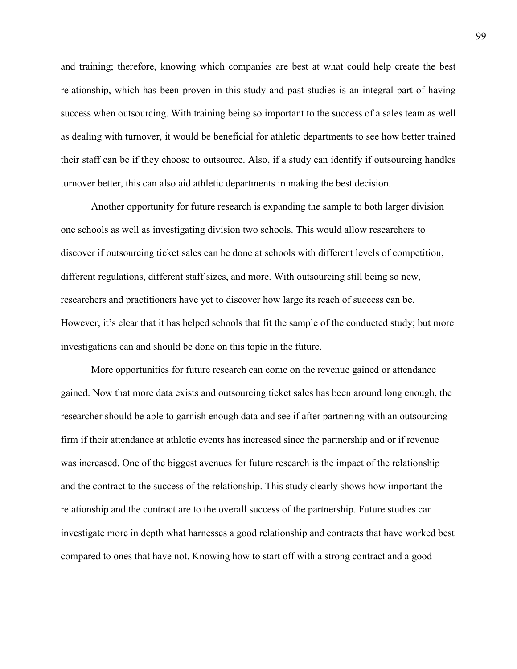and training; therefore, knowing which companies are best at what could help create the best relationship, which has been proven in this study and past studies is an integral part of having success when outsourcing. With training being so important to the success of a sales team as well as dealing with turnover, it would be beneficial for athletic departments to see how better trained their staff can be if they choose to outsource. Also, if a study can identify if outsourcing handles turnover better, this can also aid athletic departments in making the best decision.

Another opportunity for future research is expanding the sample to both larger division one schools as well as investigating division two schools. This would allow researchers to discover if outsourcing ticket sales can be done at schools with different levels of competition, different regulations, different staff sizes, and more. With outsourcing still being so new, researchers and practitioners have yet to discover how large its reach of success can be. However, it's clear that it has helped schools that fit the sample of the conducted study; but more investigations can and should be done on this topic in the future.

More opportunities for future research can come on the revenue gained or attendance gained. Now that more data exists and outsourcing ticket sales has been around long enough, the researcher should be able to garnish enough data and see if after partnering with an outsourcing firm if their attendance at athletic events has increased since the partnership and or if revenue was increased. One of the biggest avenues for future research is the impact of the relationship and the contract to the success of the relationship. This study clearly shows how important the relationship and the contract are to the overall success of the partnership. Future studies can investigate more in depth what harnesses a good relationship and contracts that have worked best compared to ones that have not. Knowing how to start off with a strong contract and a good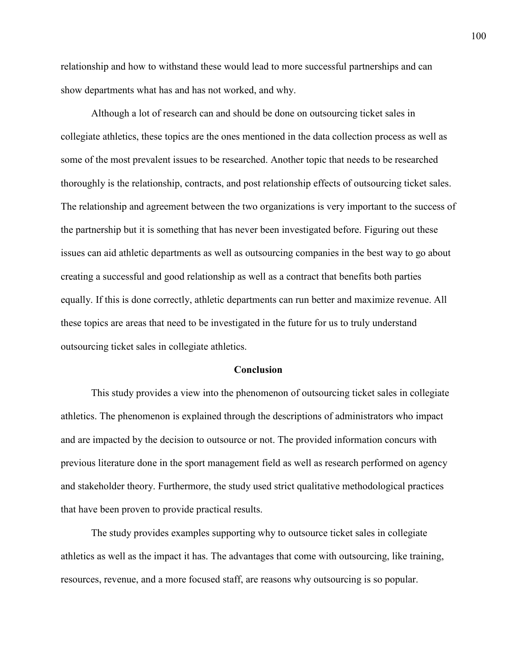relationship and how to withstand these would lead to more successful partnerships and can show departments what has and has not worked, and why.

Although a lot of research can and should be done on outsourcing ticket sales in collegiate athletics, these topics are the ones mentioned in the data collection process as well as some of the most prevalent issues to be researched. Another topic that needs to be researched thoroughly is the relationship, contracts, and post relationship effects of outsourcing ticket sales. The relationship and agreement between the two organizations is very important to the success of the partnership but it is something that has never been investigated before. Figuring out these issues can aid athletic departments as well as outsourcing companies in the best way to go about creating a successful and good relationship as well as a contract that benefits both parties equally. If this is done correctly, athletic departments can run better and maximize revenue. All these topics are areas that need to be investigated in the future for us to truly understand outsourcing ticket sales in collegiate athletics.

#### **Conclusion**

This study provides a view into the phenomenon of outsourcing ticket sales in collegiate athletics. The phenomenon is explained through the descriptions of administrators who impact and are impacted by the decision to outsource or not. The provided information concurs with previous literature done in the sport management field as well as research performed on agency and stakeholder theory. Furthermore, the study used strict qualitative methodological practices that have been proven to provide practical results.

The study provides examples supporting why to outsource ticket sales in collegiate athletics as well as the impact it has. The advantages that come with outsourcing, like training, resources, revenue, and a more focused staff, are reasons why outsourcing is so popular.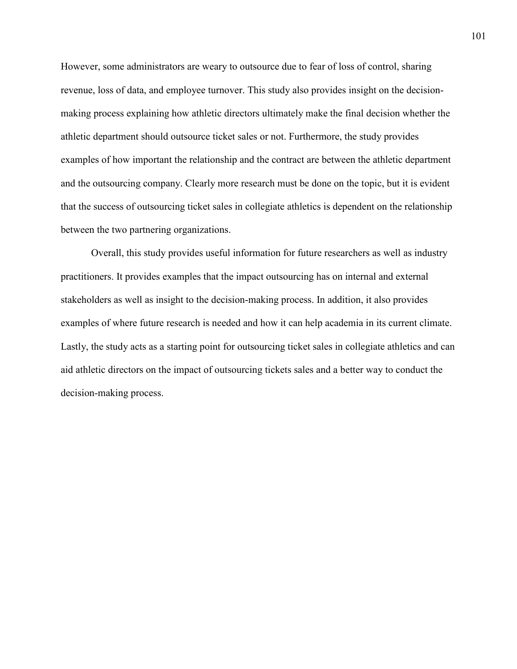However, some administrators are weary to outsource due to fear of loss of control, sharing revenue, loss of data, and employee turnover. This study also provides insight on the decisionmaking process explaining how athletic directors ultimately make the final decision whether the athletic department should outsource ticket sales or not. Furthermore, the study provides examples of how important the relationship and the contract are between the athletic department and the outsourcing company. Clearly more research must be done on the topic, but it is evident that the success of outsourcing ticket sales in collegiate athletics is dependent on the relationship between the two partnering organizations.

Overall, this study provides useful information for future researchers as well as industry practitioners. It provides examples that the impact outsourcing has on internal and external stakeholders as well as insight to the decision-making process. In addition, it also provides examples of where future research is needed and how it can help academia in its current climate. Lastly, the study acts as a starting point for outsourcing ticket sales in collegiate athletics and can aid athletic directors on the impact of outsourcing tickets sales and a better way to conduct the decision-making process.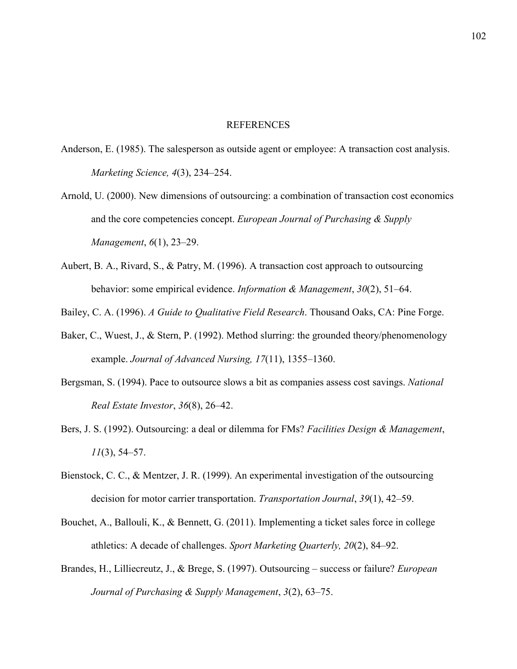#### REFERENCES

- Anderson, E. (1985). The salesperson as outside agent or employee: A transaction cost analysis. *Marketing Science, 4*(3), 234–254.
- Arnold, U. (2000). New dimensions of outsourcing: a combination of transaction cost economics and the core competencies concept. *European Journal of Purchasing & Supply Management*, *6*(1), 23–29.
- Aubert, B. A., Rivard, S., & Patry, M. (1996). A transaction cost approach to outsourcing behavior: some empirical evidence. *Information & Management*, *30*(2), 51–64.
- Bailey, C. A. (1996). *A Guide to Qualitative Field Research*. Thousand Oaks, CA: Pine Forge.
- Baker, C., Wuest, J., & Stern, P. (1992). Method slurring: the grounded theory/phenomenology example. *Journal of Advanced Nursing, 17*(11), 1355–1360.
- Bergsman, S. (1994). Pace to outsource slows a bit as companies assess cost savings. *National Real Estate Investor*, *36*(8), 26–42.
- Bers, J. S. (1992). Outsourcing: a deal or dilemma for FMs? *Facilities Design & Management*, *11*(3), 54–57.
- Bienstock, C. C., & Mentzer, J. R. (1999). An experimental investigation of the outsourcing decision for motor carrier transportation. *Transportation Journal*, *39*(1), 42–59.
- Bouchet, A., Ballouli, K., & Bennett, G. (2011). Implementing a ticket sales force in college athletics: A decade of challenges. *Sport Marketing Quarterly, 20*(2), 84–92.
- Brandes, H., Lilliecreutz, J., & Brege, S. (1997). Outsourcing success or failure? *European Journal of Purchasing & Supply Management*, *3*(2), 63–75.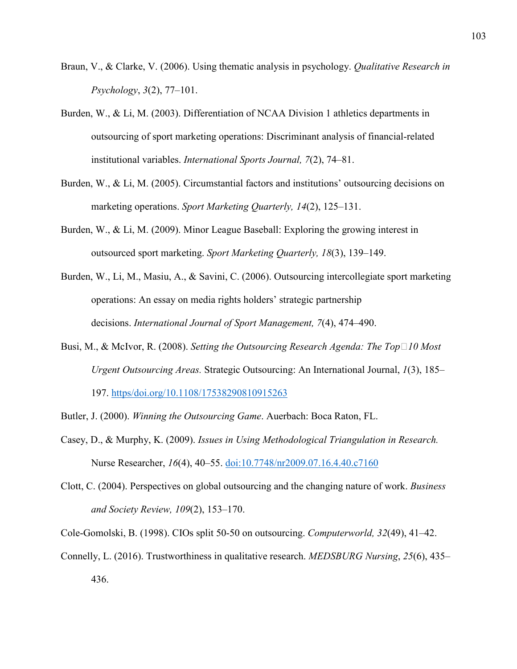- Braun, V., & Clarke, V. (2006). Using thematic analysis in psychology. *Qualitative Research in Psychology*, *3*(2), 77–101.
- Burden, W., & Li, M. (2003). Differentiation of NCAA Division 1 athletics departments in outsourcing of sport marketing operations: Discriminant analysis of financial-related institutional variables. *International Sports Journal, 7*(2), 74–81.
- Burden, W., & Li, M. (2005). Circumstantial factors and institutions' outsourcing decisions on marketing operations. *Sport Marketing Quarterly, 14*(2), 125–131.
- Burden, W., & Li, M. (2009). Minor League Baseball: Exploring the growing interest in outsourced sport marketing. *Sport Marketing Quarterly, 18*(3), 139–149.
- Burden, W., Li, M., Masiu, A., & Savini, C. (2006). Outsourcing intercollegiate sport marketing operations: An essay on media rights holders' strategic partnership decisions. *International Journal of Sport Management, 7*(4), 474–490.
- Busi, M., & McIvor, R. (2008). *Setting the Outsourcing Research Agenda: The Top*□10 Most *Urgent Outsourcing Areas.* Strategic Outsourcing: An International Journal, *1*(3), 185– 197. https/doi.org/10.1108/17538290810915263
- Butler, J. (2000). *Winning the Outsourcing Game*. Auerbach: Boca Raton, FL.
- Casey, D., & Murphy, K. (2009). *Issues in Using Methodological Triangulation in Research.* Nurse Researcher, *16*(4), 40–55. doi:10.7748/nr2009.07.16.4.40.c7160
- Clott, C. (2004). Perspectives on global outsourcing and the changing nature of work. *Business and Society Review, 109*(2), 153–170.
- Cole-Gomolski, B. (1998). CIOs split 50-50 on outsourcing. *Computerworld, 32*(49), 41–42.
- Connelly, L. (2016). Trustworthiness in qualitative research. *MEDSBURG Nursing*, *25*(6), 435– 436.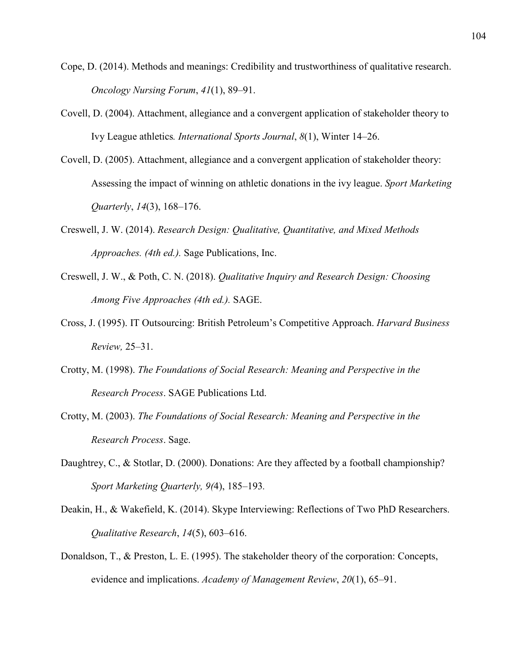- Cope, D. (2014). Methods and meanings: Credibility and trustworthiness of qualitative research. *Oncology Nursing Forum*, *41*(1), 89–91.
- Covell, D. (2004). Attachment, allegiance and a convergent application of stakeholder theory to Ivy League athletics*. International Sports Journal*, *8*(1), Winter 14–26.
- Covell, D. (2005). Attachment, allegiance and a convergent application of stakeholder theory: Assessing the impact of winning on athletic donations in the ivy league. *Sport Marketing Quarterly*, *14*(3), 168–176.
- Creswell, J. W. (2014). *Research Design: Qualitative, Quantitative, and Mixed Methods Approaches. (4th ed.).* Sage Publications, Inc.
- Creswell, J. W., & Poth, C. N. (2018). *Qualitative Inquiry and Research Design: Choosing Among Five Approaches (4th ed.).* SAGE.
- Cross, J. (1995). IT Outsourcing: British Petroleum's Competitive Approach. *Harvard Business Review,* 25–31.
- Crotty, M. (1998). *The Foundations of Social Research: Meaning and Perspective in the Research Process*. SAGE Publications Ltd.
- Crotty, M. (2003). *The Foundations of Social Research: Meaning and Perspective in the Research Process*. Sage.
- Daughtrey, C., & Stotlar, D. (2000). Donations: Are they affected by a football championship? *Sport Marketing Quarterly, 9(*4), 185–193*.*
- Deakin, H., & Wakefield, K. (2014). Skype Interviewing: Reflections of Two PhD Researchers. *Qualitative Research*, *14*(5), 603–616.
- Donaldson, T., & Preston, L. E. (1995). The stakeholder theory of the corporation: Concepts, evidence and implications. *Academy of Management Review*, *20*(1), 65–91.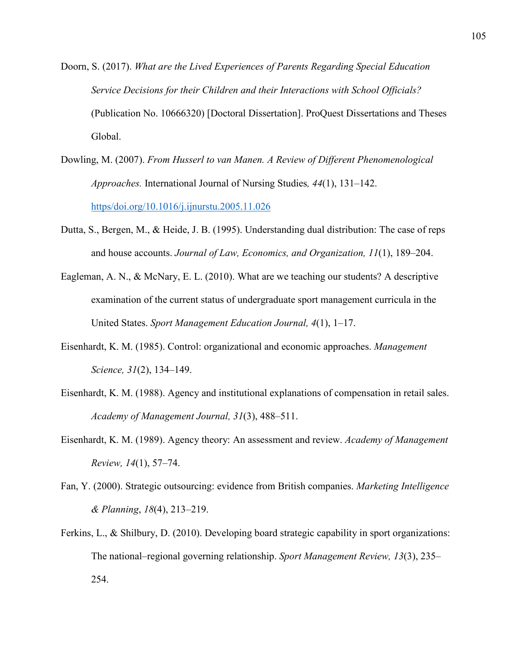- Doorn, S. (2017). *What are the Lived Experiences of Parents Regarding Special Education Service Decisions for their Children and their Interactions with School Officials?* (Publication No. 10666320) [Doctoral Dissertation]. ProQuest Dissertations and Theses Global.
- Dowling, M. (2007). *From Husserl to van Manen. A Review of Different Phenomenological Approaches.* International Journal of Nursing Studies*, 44*(1), 131–142. https/doi.org/10.1016/j.ijnurstu.2005.11.026
- Dutta, S., Bergen, M., & Heide, J. B. (1995). Understanding dual distribution: The case of reps and house accounts. *Journal of Law, Economics, and Organization, 11*(1), 189–204.
- Eagleman, A. N., & McNary, E. L. (2010). What are we teaching our students? A descriptive examination of the current status of undergraduate sport management curricula in the United States. *Sport Management Education Journal, 4*(1), 1–17.
- Eisenhardt, K. M. (1985). Control: organizational and economic approaches. *Management Science, 31*(2), 134–149.
- Eisenhardt, K. M. (1988). Agency and institutional explanations of compensation in retail sales. *Academy of Management Journal, 31*(3), 488–511.
- Eisenhardt, K. M. (1989). Agency theory: An assessment and review. *Academy of Management Review, 14*(1), 57–74.
- Fan, Y. (2000). Strategic outsourcing: evidence from British companies. *Marketing Intelligence & Planning*, *18*(4), 213–219.
- Ferkins, L., & Shilbury, D. (2010). Developing board strategic capability in sport organizations: The national–regional governing relationship. *Sport Management Review, 13*(3), 235– 254.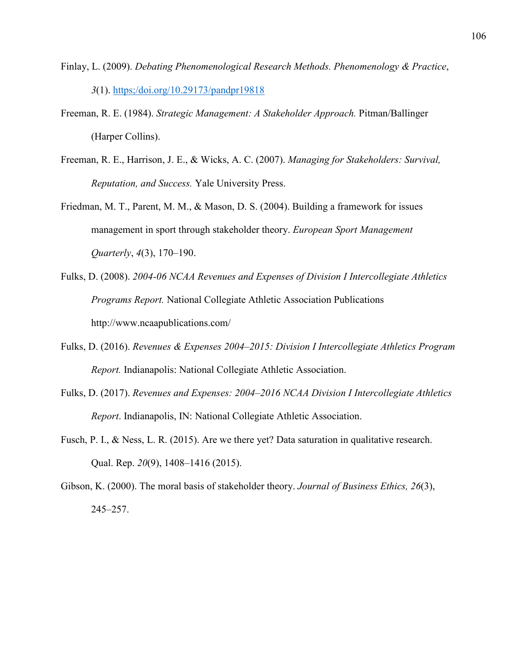- Finlay, L. (2009). *Debating Phenomenological Research Methods. Phenomenology & Practice*, *3*(1). https;/doi.org/10.29173/pandpr19818
- Freeman, R. E. (1984). *Strategic Management: A Stakeholder Approach.* Pitman/Ballinger (Harper Collins).
- Freeman, R. E., Harrison, J. E., & Wicks, A. C. (2007). *Managing for Stakeholders: Survival, Reputation, and Success.* Yale University Press.
- Friedman, M. T., Parent, M. M., & Mason, D. S. (2004). Building a framework for issues management in sport through stakeholder theory. *European Sport Management Quarterly*, *4*(3), 170–190.
- Fulks, D. (2008). *2004-06 NCAA Revenues and Expenses of Division I Intercollegiate Athletics Programs Report.* National Collegiate Athletic Association Publications http://www.ncaapublications.com/
- Fulks, D. (2016). *Revenues & Expenses 2004–2015: Division I Intercollegiate Athletics Program Report.* Indianapolis: National Collegiate Athletic Association.
- Fulks, D. (2017). *Revenues and Expenses: 2004–2016 NCAA Division I Intercollegiate Athletics Report*. Indianapolis, IN: National Collegiate Athletic Association.
- Fusch, P. I., & Ness, L. R. (2015). Are we there yet? Data saturation in qualitative research. Qual. Rep. *20*(9), 1408–1416 (2015).
- Gibson, K. (2000). The moral basis of stakeholder theory. *Journal of Business Ethics, 26*(3), 245–257.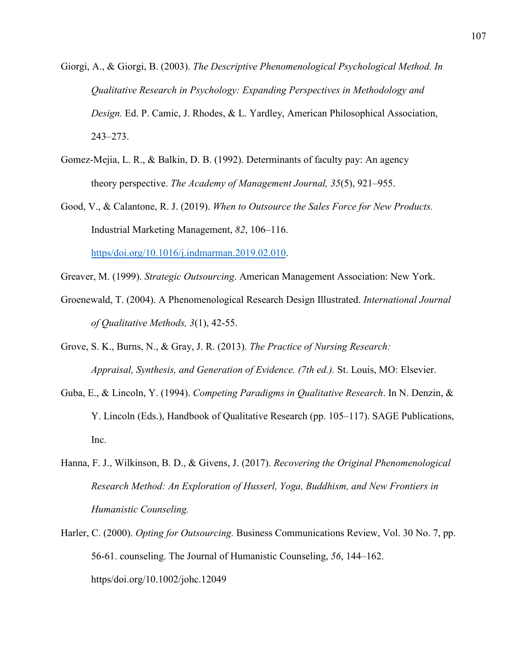- Giorgi, A., & Giorgi, B. (2003). *The Descriptive Phenomenological Psychological Method. In Qualitative Research in Psychology: Expanding Perspectives in Methodology and Design.* Ed. P. Camic, J. Rhodes, & L. Yardley, American Philosophical Association, 243–273.
- Gomez-Mejia, L. R., & Balkin, D. B. (1992). Determinants of faculty pay: An agency theory perspective. *The Academy of Management Journal, 35*(5), 921–955.
- Good, V., & Calantone, R. J. (2019). *When to Outsource the Sales Force for New Products.* Industrial Marketing Management, *82*, 106–116. https/doi.org/10.1016/j.indmarman.2019.02.010.
- Greaver, M. (1999). *Strategic Outsourcing*. American Management Association: New York.
- Groenewald, T. (2004). A Phenomenological Research Design Illustrated. *International Journal of Qualitative Methods, 3*(1), 42-55.
- Grove, S. K., Burns, N., & Gray, J. R. (2013). *The Practice of Nursing Research: Appraisal, Synthesis, and Generation of Evidence. (7th ed.).* St. Louis, MO: Elsevier.
- Guba, E., & Lincoln, Y. (1994). *Competing Paradigms in Qualitative Research*. In N. Denzin, & Y. Lincoln (Eds.), Handbook of Qualitative Research (pp. 105–117). SAGE Publications, Inc.
- Hanna, F. J., Wilkinson, B. D., & Givens, J. (2017). *Recovering the Original Phenomenological Research Method: An Exploration of Husserl, Yoga, Buddhism, and New Frontiers in Humanistic Counseling.*
- Harler, C. (2000). *Opting for Outsourcing.* Business Communications Review, Vol. 30 No. 7, pp. 56-61. counseling. The Journal of Humanistic Counseling, *56*, 144–162. https/doi.org/10.1002/johc.12049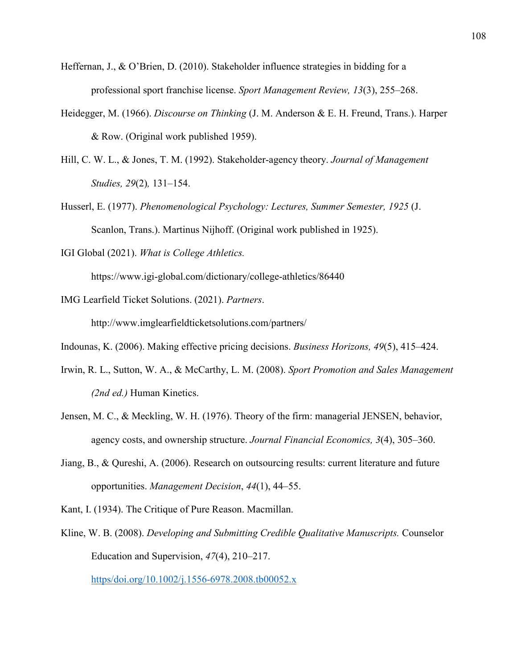- Heffernan, J., & O'Brien, D. (2010). Stakeholder influence strategies in bidding for a professional sport franchise license. *Sport Management Review, 13*(3), 255–268.
- Heidegger, M. (1966). *Discourse on Thinking* (J. M. Anderson & E. H. Freund, Trans.). Harper & Row. (Original work published 1959).
- Hill, C. W. L., & Jones, T. M. (1992). Stakeholder-agency theory. *Journal of Management Studies, 29*(2)*,* 131–154.
- Husserl, E. (1977). *Phenomenological Psychology: Lectures, Summer Semester, 1925* (J. Scanlon, Trans.). Martinus Nijhoff. (Original work published in 1925).
- IGI Global (2021). *What is College Athletics.*

https://www.igi-global.com/dictionary/college-athletics/86440

IMG Learfield Ticket Solutions. (2021). *Partners*.

http://www.imglearfieldticketsolutions.com/partners/

Indounas, K. (2006). Making effective pricing decisions. *Business Horizons, 49*(5), 415–424.

- Irwin, R. L., Sutton, W. A., & McCarthy, L. M. (2008). *Sport Promotion and Sales Management (2nd ed.)* Human Kinetics.
- Jensen, M. C., & Meckling, W. H. (1976). Theory of the firm: managerial JENSEN, behavior, agency costs, and ownership structure. *Journal Financial Economics, 3*(4), 305–360.
- Jiang, B., & Qureshi, A. (2006). Research on outsourcing results: current literature and future opportunities. *Management Decision*, *44*(1), 44–55.
- Kant, I. (1934). The Critique of Pure Reason. Macmillan.
- Kline, W. B. (2008). *Developing and Submitting Credible Qualitative Manuscripts.* Counselor Education and Supervision, *47*(4), 210–217.

https/doi.org/10.1002/j.1556-6978.2008.tb00052.x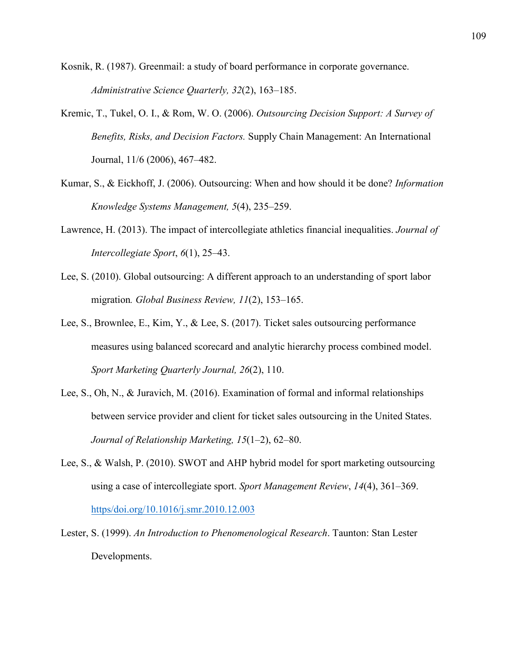Kosnik, R. (1987). Greenmail: a study of board performance in corporate governance. *Administrative Science Quarterly, 32*(2), 163–185.

- Kremic, T., Tukel, O. I., & Rom, W. O. (2006). *Outsourcing Decision Support: A Survey of Benefits, Risks, and Decision Factors.* Supply Chain Management: An International Journal, 11/6 (2006), 467–482.
- Kumar, S., & Eickhoff, J. (2006). Outsourcing: When and how should it be done? *Information Knowledge Systems Management, 5*(4), 235–259.
- Lawrence, H. (2013). The impact of intercollegiate athletics financial inequalities. *Journal of Intercollegiate Sport*, *6*(1), 25–43.
- Lee, S. (2010). Global outsourcing: A different approach to an understanding of sport labor migration*. Global Business Review, 11*(2), 153–165.
- Lee, S., Brownlee, E., Kim, Y., & Lee, S. (2017). Ticket sales outsourcing performance measures using balanced scorecard and analytic hierarchy process combined model. *Sport Marketing Quarterly Journal, 26*(2), 110.
- Lee, S., Oh, N., & Juravich, M. (2016). Examination of formal and informal relationships between service provider and client for ticket sales outsourcing in the United States. *Journal of Relationship Marketing, 15*(1–2), 62–80.
- Lee, S., & Walsh, P. (2010). SWOT and AHP hybrid model for sport marketing outsourcing using a case of intercollegiate sport. *Sport Management Review*, *14*(4), 361–369. https/doi.org/10.1016/j.smr.2010.12.003
- Lester, S. (1999). *An Introduction to Phenomenological Research*. Taunton: Stan Lester Developments.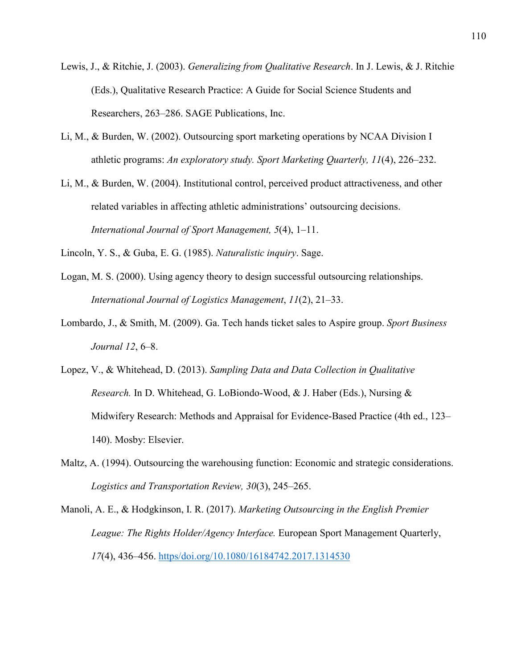- Lewis, J., & Ritchie, J. (2003). *Generalizing from Qualitative Research*. In J. Lewis, & J. Ritchie (Eds.), Qualitative Research Practice: A Guide for Social Science Students and Researchers, 263–286. SAGE Publications, Inc.
- Li, M., & Burden, W. (2002). Outsourcing sport marketing operations by NCAA Division I athletic programs: *An exploratory study. Sport Marketing Quarterly, 11*(4), 226–232.
- Li, M., & Burden, W. (2004). Institutional control, perceived product attractiveness, and other related variables in affecting athletic administrations' outsourcing decisions. *International Journal of Sport Management, 5*(4), 1–11.
- Lincoln, Y. S., & Guba, E. G. (1985). *Naturalistic inquiry*. Sage.
- Logan, M. S. (2000). Using agency theory to design successful outsourcing relationships. *International Journal of Logistics Management*, *11*(2), 21–33.
- Lombardo, J., & Smith, M. (2009). Ga. Tech hands ticket sales to Aspire group. *Sport Business Journal 12*, 6–8.
- Lopez, V., & Whitehead, D. (2013). *Sampling Data and Data Collection in Qualitative Research.* In D. Whitehead, G. LoBiondo-Wood, & J. Haber (Eds.), Nursing & Midwifery Research: Methods and Appraisal for Evidence-Based Practice (4th ed., 123– 140). Mosby: Elsevier.
- Maltz, A. (1994). Outsourcing the warehousing function: Economic and strategic considerations. *Logistics and Transportation Review, 30*(3), 245–265.

Manoli, A. E., & Hodgkinson, I. R. (2017). *Marketing Outsourcing in the English Premier League: The Rights Holder/Agency Interface.* European Sport Management Quarterly, *17*(4), 436–456. https/doi.org/10.1080/16184742.2017.1314530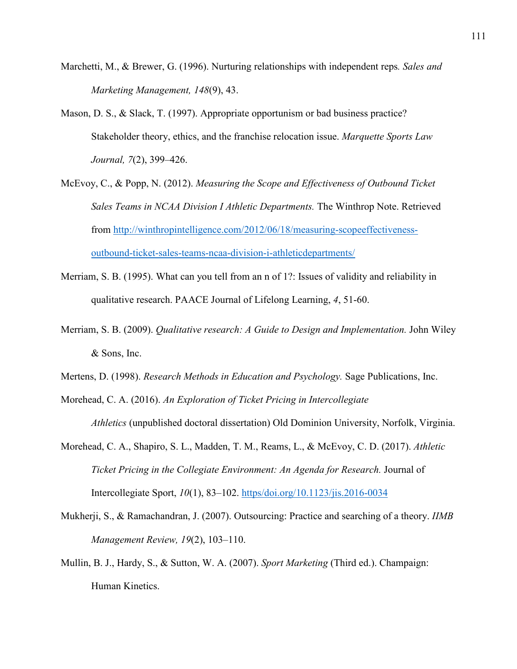- Marchetti, M., & Brewer, G. (1996). Nurturing relationships with independent reps*. Sales and Marketing Management, 148*(9), 43.
- Mason, D. S., & Slack, T. (1997). Appropriate opportunism or bad business practice? Stakeholder theory, ethics, and the franchise relocation issue. *Marquette Sports Law Journal, 7*(2), 399–426.
- McEvoy, C., & Popp, N. (2012). *Measuring the Scope and Effectiveness of Outbound Ticket Sales Teams in NCAA Division I Athletic Departments.* The Winthrop Note. Retrieved from http://winthropintelligence.com/2012/06/18/measuring-scopeeffectivenessoutbound-ticket-sales-teams-ncaa-division-i-athleticdepartments/
- Merriam, S. B. (1995). What can you tell from an n of 1?: Issues of validity and reliability in qualitative research. PAACE Journal of Lifelong Learning, *4*, 51-60.
- Merriam, S. B. (2009). *Qualitative research: A Guide to Design and Implementation.* John Wiley & Sons, Inc.
- Mertens, D. (1998). *Research Methods in Education and Psychology.* Sage Publications, Inc.
- Morehead, C. A. (2016). *An Exploration of Ticket Pricing in Intercollegiate Athletics* (unpublished doctoral dissertation) Old Dominion University, Norfolk, Virginia.
- Morehead, C. A., Shapiro, S. L., Madden, T. M., Reams, L., & McEvoy, C. D. (2017). *Athletic Ticket Pricing in the Collegiate Environment: An Agenda for Research.* Journal of Intercollegiate Sport, *10*(1), 83–102. https/doi.org/10.1123/jis.2016-0034
- Mukherji, S., & Ramachandran, J. (2007). Outsourcing: Practice and searching of a theory. *IIMB Management Review, 19*(2), 103–110.
- Mullin, B. J., Hardy, S., & Sutton, W. A. (2007). *Sport Marketing* (Third ed.). Champaign: Human Kinetics.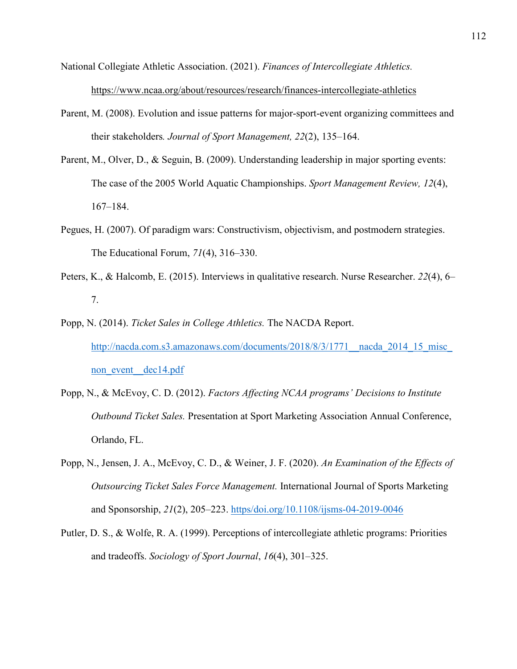National Collegiate Athletic Association. (2021). *Finances of Intercollegiate Athletics.* https://www.ncaa.org/about/resources/research/finances-intercollegiate-athletics

- Parent, M. (2008). Evolution and issue patterns for major-sport-event organizing committees and their stakeholders*. Journal of Sport Management, 22*(2), 135–164.
- Parent, M., Olver, D., & Seguin, B. (2009). Understanding leadership in major sporting events: The case of the 2005 World Aquatic Championships. *Sport Management Review, 12*(4), 167–184.
- Pegues, H. (2007). Of paradigm wars: Constructivism, objectivism, and postmodern strategies. The Educational Forum, *71*(4), 316–330.
- Peters, K., & Halcomb, E. (2015). Interviews in qualitative research. Nurse Researcher. *22*(4), 6– 7.
- Popp, N. (2014). *Ticket Sales in College Athletics.* The NACDA Report. http://nacda.com.s3.amazonaws.com/documents/2018/8/3/1771\_nacda\_2014\_15\_misc\_ non event dec14.pdf
- Popp, N., & McEvoy, C. D. (2012). *Factors Affecting NCAA programs' Decisions to Institute Outbound Ticket Sales.* Presentation at Sport Marketing Association Annual Conference, Orlando, FL.
- Popp, N., Jensen, J. A., McEvoy, C. D., & Weiner, J. F. (2020). *An Examination of the Effects of Outsourcing Ticket Sales Force Management.* International Journal of Sports Marketing and Sponsorship, *21*(2), 205–223. https/doi.org/10.1108/ijsms-04-2019-0046
- Putler, D. S., & Wolfe, R. A. (1999). Perceptions of intercollegiate athletic programs: Priorities and tradeoffs. *Sociology of Sport Journal*, *16*(4), 301–325.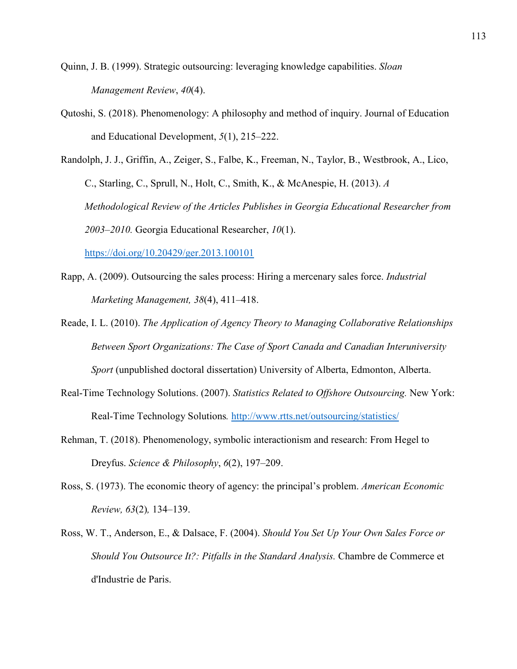- Quinn, J. B. (1999). Strategic outsourcing: leveraging knowledge capabilities. *Sloan Management Review*, *40*(4).
- Qutoshi, S. (2018). Phenomenology: A philosophy and method of inquiry. Journal of Education and Educational Development, *5*(1), 215–222.

Randolph, J. J., Griffin, A., Zeiger, S., Falbe, K., Freeman, N., Taylor, B., Westbrook, A., Lico, C., Starling, C., Sprull, N., Holt, C., Smith, K., & McAnespie, H. (2013). *A Methodological Review of the Articles Publishes in Georgia Educational Researcher from 2003–2010.* Georgia Educational Researcher, *10*(1).

https://doi.org/10.20429/ger.2013.100101

- Rapp, A. (2009). Outsourcing the sales process: Hiring a mercenary sales force. *Industrial Marketing Management, 38*(4), 411–418.
- Reade, I. L. (2010). *The Application of Agency Theory to Managing Collaborative Relationships Between Sport Organizations: The Case of Sport Canada and Canadian Interuniversity Sport* (unpublished doctoral dissertation) University of Alberta, Edmonton, Alberta.
- Real-Time Technology Solutions. (2007). *Statistics Related to Offshore Outsourcing.* New York: Real-Time Technology Solutions*.* http://www.rtts.net/outsourcing/statistics/
- Rehman, T. (2018). Phenomenology, symbolic interactionism and research: From Hegel to Dreyfus. *Science & Philosophy*, *6*(2), 197–209.
- Ross, S. (1973). The economic theory of agency: the principal's problem. *American Economic Review, 63*(2)*,* 134–139.
- Ross, W. T., Anderson, E., & Dalsace, F. (2004). *Should You Set Up Your Own Sales Force or Should You Outsource It?: Pitfalls in the Standard Analysis.* Chambre de Commerce et d'Industrie de Paris.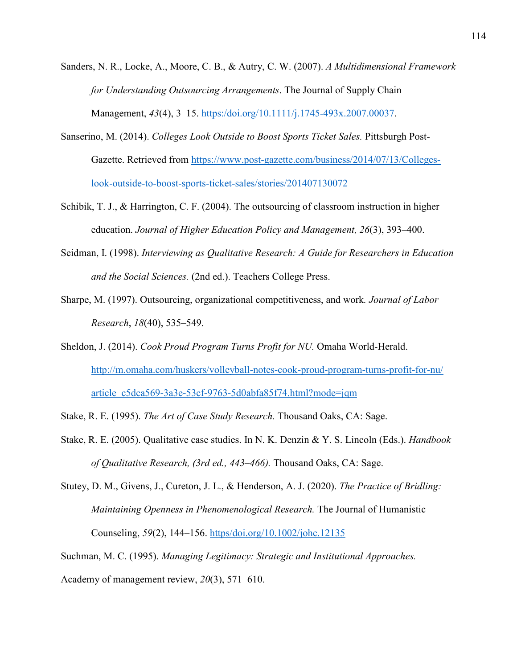- Sanders, N. R., Locke, A., Moore, C. B., & Autry, C. W. (2007). *A Multidimensional Framework for Understanding Outsourcing Arrangements*. The Journal of Supply Chain Management, *43*(4), 3–15. https:/doi.org/10.1111/j.1745-493x.2007.00037.
- Sanserino, M. (2014). *Colleges Look Outside to Boost Sports Ticket Sales.* Pittsburgh Post-Gazette. Retrieved from https://www.post-gazette.com/business/2014/07/13/Collegeslook-outside-to-boost-sports-ticket-sales/stories/201407130072
- Schibik, T. J., & Harrington, C. F. (2004). The outsourcing of classroom instruction in higher education. *Journal of Higher Education Policy and Management, 26*(3), 393–400.
- Seidman, I. (1998). *Interviewing as Qualitative Research: A Guide for Researchers in Education and the Social Sciences.* (2nd ed.). Teachers College Press.
- Sharpe, M. (1997). Outsourcing, organizational competitiveness, and work*. Journal of Labor Research*, *18*(40), 535–549.
- Sheldon, J. (2014). *Cook Proud Program Turns Profit for NU.* Omaha World-Herald. http://m.omaha.com/huskers/volleyball-notes-cook-proud-program-turns-profit-for-nu/ article\_c5dca569-3a3e-53cf-9763-5d0abfa85f74.html?mode=jqm
- Stake, R. E. (1995). *The Art of Case Study Research.* Thousand Oaks, CA: Sage.
- Stake, R. E. (2005). Qualitative case studies. In N. K. Denzin & Y. S. Lincoln (Eds.). *Handbook of Qualitative Research, (3rd ed., 443–466).* Thousand Oaks, CA: Sage.
- Stutey, D. M., Givens, J., Cureton, J. L., & Henderson, A. J. (2020). *The Practice of Bridling: Maintaining Openness in Phenomenological Research.* The Journal of Humanistic Counseling, *59*(2), 144–156. https/doi.org/10.1002/johc.12135
- Suchman, M. C. (1995). *Managing Legitimacy: Strategic and Institutional Approaches.*

Academy of management review, *20*(3), 571–610.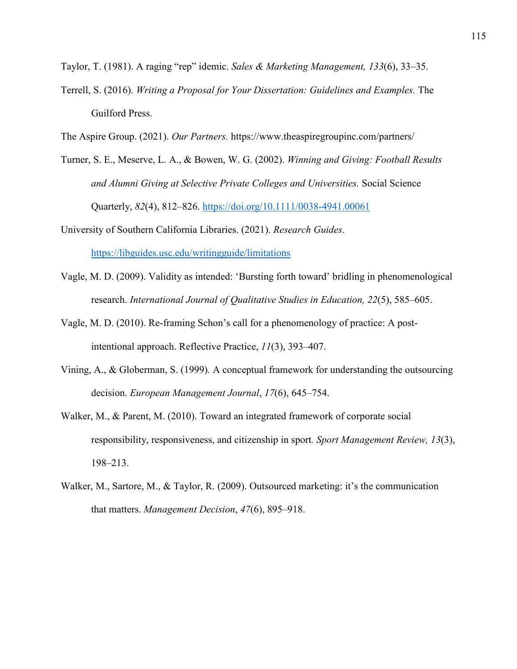Taylor, T. (1981). A raging "rep" idemic. *Sales & Marketing Management, 133*(6), 33–35.

- Terrell, S. (2016). *Writing a Proposal for Your Dissertation: Guidelines and Examples.* The Guilford Press.
- The Aspire Group. (2021). *Our Partners.* https://www.theaspiregroupinc.com/partners/
- Turner, S. E., Meserve, L. A., & Bowen, W. G. (2002). *Winning and Giving: Football Results and Alumni Giving at Selective Private Colleges and Universities.* Social Science Quarterly, *82*(4), 812–826. https://doi.org/10.1111/0038-4941.00061

University of Southern California Libraries. (2021). *Research Guides*. https://libguides.usc.edu/writingguide/limitations

- Vagle, M. D. (2009). Validity as intended: 'Bursting forth toward' bridling in phenomenological research. *International Journal of Qualitative Studies in Education, 22*(5), 585–605.
- Vagle, M. D. (2010). Re-framing Schon's call for a phenomenology of practice: A postintentional approach. Reflective Practice, *11*(3), 393–407.
- Vining, A., & Globerman, S. (1999). A conceptual framework for understanding the outsourcing decision. *European Management Journal*, *17*(6), 645–754.
- Walker, M., & Parent, M. (2010). Toward an integrated framework of corporate social responsibility, responsiveness, and citizenship in sport*. Sport Management Review, 13*(3), 198–213.
- Walker, M., Sartore, M., & Taylor, R. (2009). Outsourced marketing: it's the communication that matters. *Management Decision*, *47*(6), 895–918.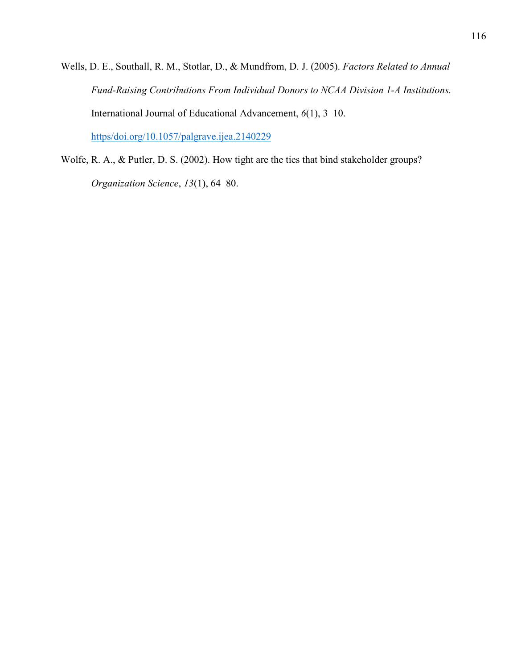Wells, D. E., Southall, R. M., Stotlar, D., & Mundfrom, D. J. (2005). *Factors Related to Annual Fund-Raising Contributions From Individual Donors to NCAA Division 1-A Institutions.* International Journal of Educational Advancement, *6*(1), 3–10. https/doi.org/10.1057/palgrave.ijea.2140229

Wolfe, R. A., & Putler, D. S. (2002). How tight are the ties that bind stakeholder groups? *Organization Science*, *13*(1), 64–80.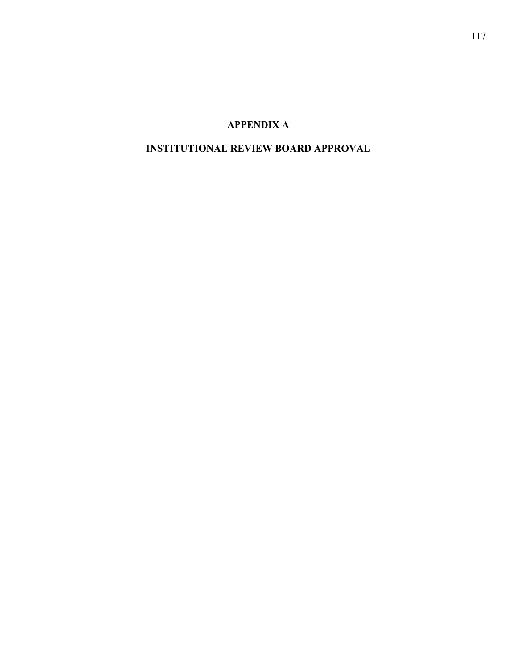# **APPENDIX A**

### **INSTITUTIONAL REVIEW BOARD APPROVAL**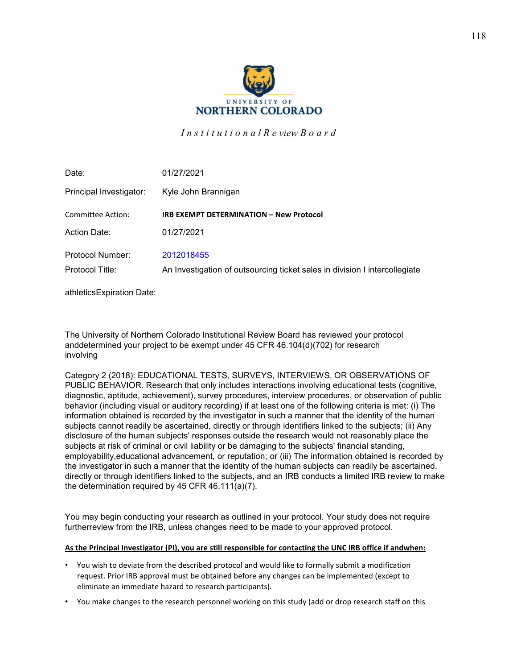

*I n s t i t u t i o n a l R e view B o a r d* 

| Date:                   | 01/27/2021                                                                 |
|-------------------------|----------------------------------------------------------------------------|
| Principal Investigator: | Kyle John Brannigan                                                        |
| Committee Action:       | <b>IRB EXEMPT DETERMINATION - New Protocol</b>                             |
| Action Date:            | 01/27/2021                                                                 |
| Protocol Number:        | 2012018455                                                                 |
| Protocol Title:         | An Investigation of outsourcing ticket sales in division I intercollegiate |

athletics Expiration Date:

The University of Northern Colorado Institutional Review Board has reviewed your protocol and determined your project to be exempt under 45 CFR 46.104(d)(702) for research involving

Category 2 (2018): EDUCATIONAL TESTS, SURVEYS, INTERVIEWS, OR OBSERVATIONS OF PUBLIC BEHAVIOR. Research that only includes interactions involving educational tests (cognitive, diagnostic, aptitude, achievement), survey procedures, interview procedures, or observation of public behavior (including visual or auditory recording) if at least one of the following criteria is met: (i) The information obtained is recorded by the investigator in such a manner that the identity of the human subjects cannot readily be ascertained, directly or through identifiers linked to the subjects; (ii) Any disclosure of the human subjects' responses outside the research would not reasonably place the subjects at risk of criminal or civil liability or be damaging to the subjects' financial standing, employability, educational advancement, or reputation; or (iii) The information obtained is recorded by the investigator in such a manner that the identity of the human subjects can readily be ascertained, directly or through identifiers linked to the subjects, and an IRB conducts a limited IRB review to make the determination required by 45 CFR 46.111(a)(7).

You may begin conducting your research as outlined in your protocol. Your study does not require furtherreview from the IRB, unless changes need to be made to your approved protocol.

#### As the Principal Investigator (PI), you are still responsible for contacting the UNC IRB office if andwhen:

- You wish to deviate from the described protocol and would like to formally submit a modification request. Prior IRB approval must be obtained before any changes can be implemented (except to eliminate an immediate hazard to research participants).
- You make changes to the research personnel working on this study (add or drop research staff on this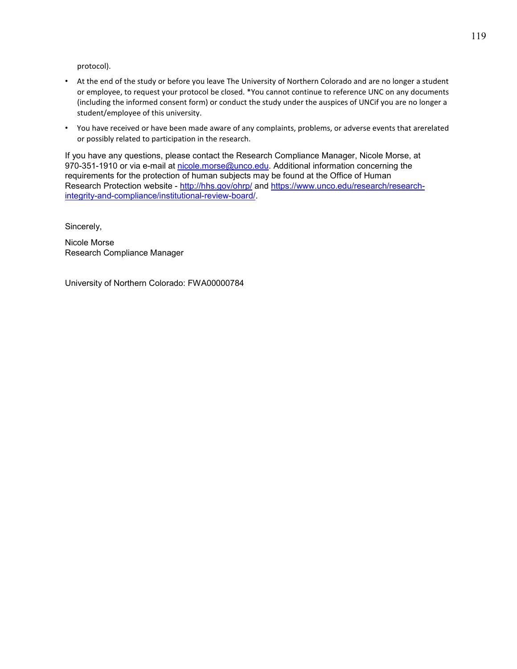protocol).

- At the end of the study or before you leave The University of Northern Colorado and are no longer a student or employee, to request your protocol be closed. \*You cannot continue to reference UNC on any documents (including the informed consent form) or conduct the study under the auspices of UNCif you are no longer a student/employee of this university.
- You have received or have been made aware of any complaints, problems, or adverse events that are related or possibly related to participation in the research.

If you have any questions, please contact the Research Compliance Manager, Nicole Morse, at 970-351-1910 or via e-mail at nicole.morse@unco.edu. Additional information concerning the requirements for the protection of human subjects may be found at the Office of Human Research Protection website - http://hhs.gov/ohrp/ and https://www.unco.edu/research/researchintegrity-and-compliance/institutional-review-board/.

Sincerely,

Nicole Morse Research Compliance Manager

University of Northern Colorado: FWA00000784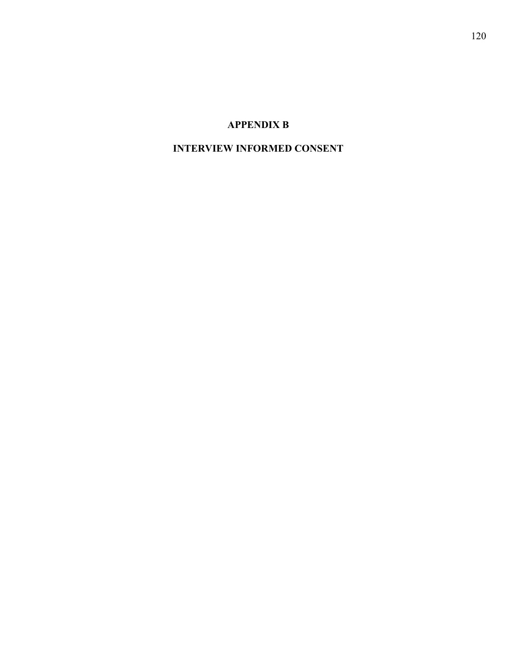### **APPENDIX B**

## **INTERVIEW INFORMED CONSENT**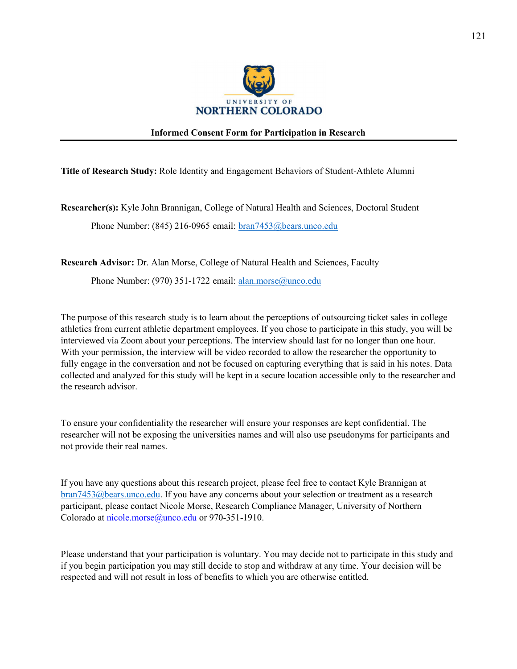

#### **Informed Consent Form for Participation in Research**

**Title of Research Study:** Role Identity and Engagement Behaviors of Student-Athlete Alumni

**Researcher(s):** Kyle John Brannigan, College of Natural Health and Sciences, Doctoral Student

Phone Number: (845) 216-0965 email: bran7453@bears.unco.edu

**Research Advisor:** Dr. Alan Morse, College of Natural Health and Sciences, Faculty

Phone Number: (970) 351-1722 email: alan.morse@unco.edu

The purpose of this research study is to learn about the perceptions of outsourcing ticket sales in college athletics from current athletic department employees. If you chose to participate in this study, you will be interviewed via Zoom about your perceptions. The interview should last for no longer than one hour. With your permission, the interview will be video recorded to allow the researcher the opportunity to fully engage in the conversation and not be focused on capturing everything that is said in his notes. Data collected and analyzed for this study will be kept in a secure location accessible only to the researcher and the research advisor.

To ensure your confidentiality the researcher will ensure your responses are kept confidential. The researcher will not be exposing the universities names and will also use pseudonyms for participants and not provide their real names.

If you have any questions about this research project, please feel free to contact Kyle Brannigan at bran7453@bears.unco.edu. If you have any concerns about your selection or treatment as a research participant, please contact Nicole Morse, Research Compliance Manager, University of Northern Colorado at nicole.morse@unco.edu or 970-351-1910.

Please understand that your participation is voluntary. You may decide not to participate in this study and if you begin participation you may still decide to stop and withdraw at any time. Your decision will be respected and will not result in loss of benefits to which you are otherwise entitled.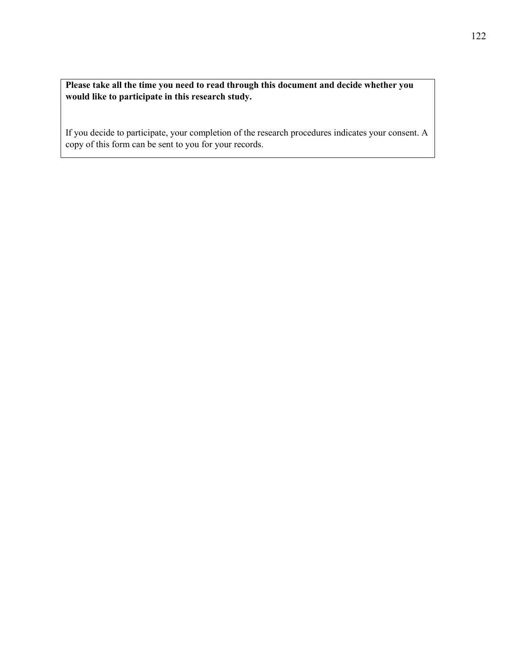**Please take all the time you need to read through this document and decide whether you would like to participate in this research study.**

If you decide to participate, your completion of the research procedures indicates your consent. A copy of this form can be sent to you for your records.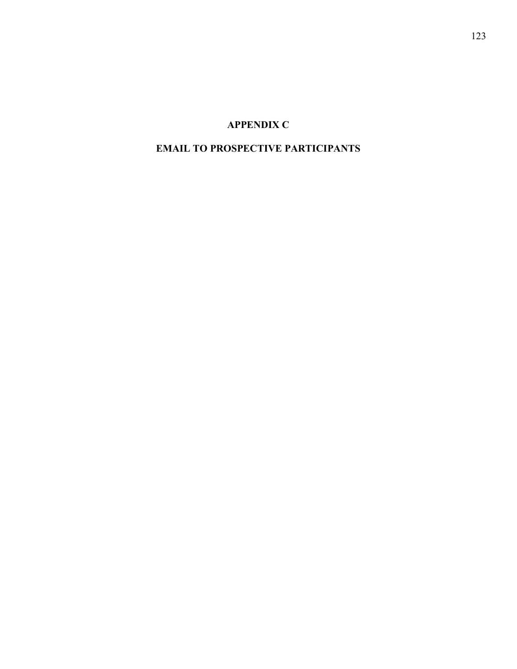### **APPENDIX C**

### **EMAIL TO PROSPECTIVE PARTICIPANTS**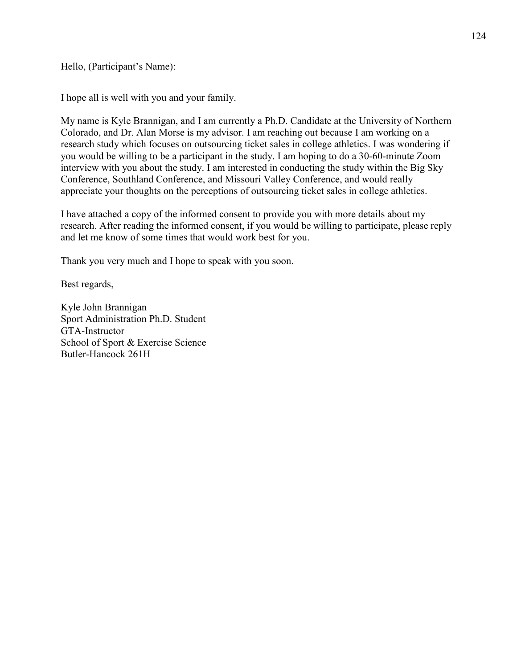Hello, (Participant's Name):

I hope all is well with you and your family.

My name is Kyle Brannigan, and I am currently a Ph.D. Candidate at the University of Northern Colorado, and Dr. Alan Morse is my advisor. I am reaching out because I am working on a research study which focuses on outsourcing ticket sales in college athletics. I was wondering if you would be willing to be a participant in the study. I am hoping to do a 30-60-minute Zoom interview with you about the study. I am interested in conducting the study within the Big Sky Conference, Southland Conference, and Missouri Valley Conference, and would really appreciate your thoughts on the perceptions of outsourcing ticket sales in college athletics.

I have attached a copy of the informed consent to provide you with more details about my research. After reading the informed consent, if you would be willing to participate, please reply and let me know of some times that would work best for you.

Thank you very much and I hope to speak with you soon.

Best regards,

Kyle John Brannigan Sport Administration Ph.D. Student GTA-Instructor School of Sport & Exercise Science Butler-Hancock 261H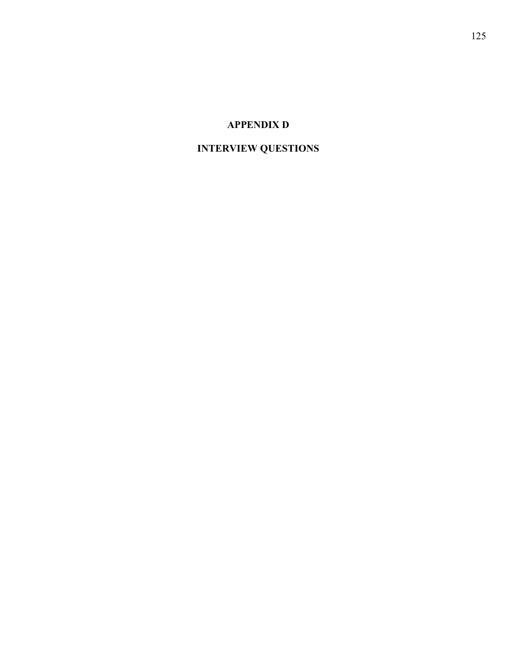### **APPENDIX D**

## **INTERVIEW QUESTIONS**